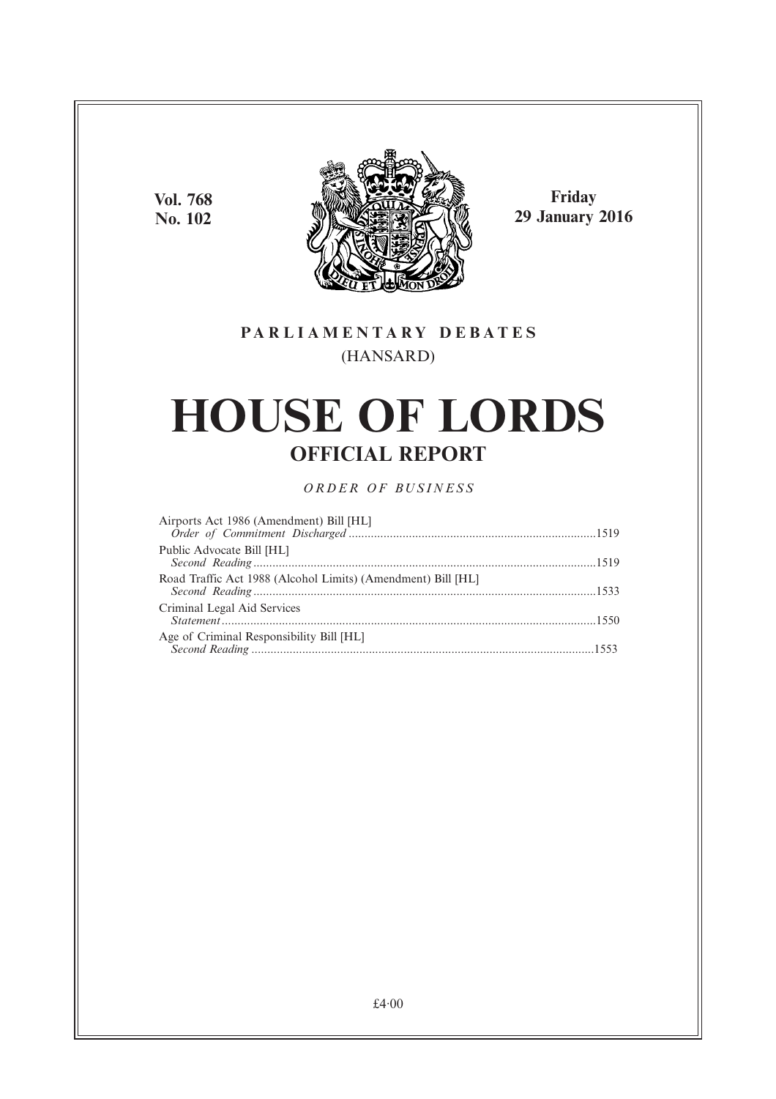**Vol. 768 No. 102**



**Friday 29 January 2016**

# **PARL IAMENTARY DEBATES** (HANSARD)

# **HOUSE OF LORDS OFFICIAL REPORT**

*ORDER OF BUSINESS*

| Airports Act 1986 (Amendment) Bill [HL]                      |  |
|--------------------------------------------------------------|--|
|                                                              |  |
| Public Advocate Bill [HL]                                    |  |
| Road Traffic Act 1988 (Alcohol Limits) (Amendment) Bill [HL] |  |
| Criminal Legal Aid Services                                  |  |
| Age of Criminal Responsibility Bill [HL]                     |  |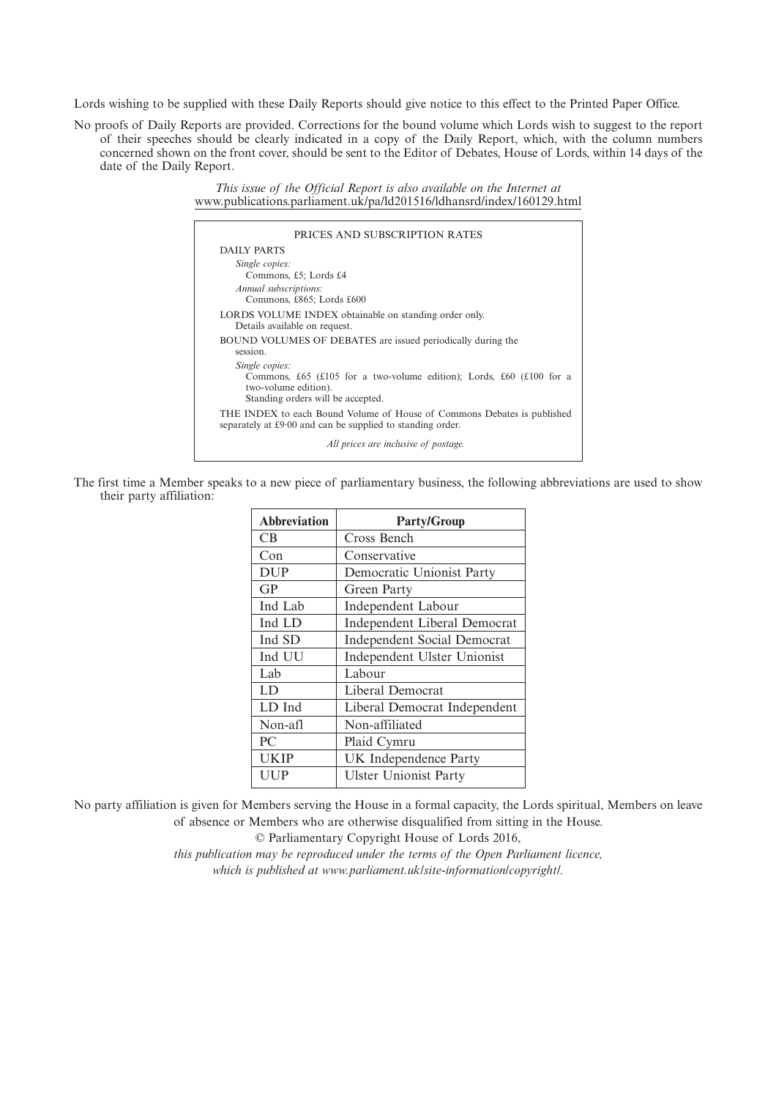Lords wishing to be supplied with these Daily Reports should give notice to this effect to the Printed Paper Office.

No proofs of Daily Reports are provided. Corrections for the bound volume which Lords wish to suggest to the report of their speeches should be clearly indicated in a copy of the Daily Report, which, with the column numbers concerned shown on the front cover, should be sent to the Editor of Debates, House of Lords, within 14 days of the date of the Daily Report.

> *This issue of the Official Report is also available on the Internet at* www.publications.parliament.uk/pa/ld201516/ldhansrd/index/160129.html

| DAILY PARTS                                                                                                                                         |
|-----------------------------------------------------------------------------------------------------------------------------------------------------|
|                                                                                                                                                     |
| Single copies:<br>Commons, £5; Lords £4<br>Annual subscriptions:                                                                                    |
| Commons, £865; Lords £600                                                                                                                           |
| LORDS VOLUME INDEX obtainable on standing order only.<br>Details available on request.                                                              |
| BOUND VOLUMES OF DEBATES are issued periodically during the<br>session.                                                                             |
| Single copies:<br>Commons, £65 (£105 for a two-volume edition); Lords, £60 (£100 for a<br>two-volume edition).<br>Standing orders will be accepted. |
| THE INDEX to each Bound Volume of House of Commons Debates is published<br>separately at £9.00 and can be supplied to standing order.               |
| All prices are inclusive of postage.                                                                                                                |

The first time a Member speaks to a new piece of parliamentary business, the following abbreviations are used to show their party affiliation:

| <b>Abbreviation</b> | <b>Party/Group</b>                  |
|---------------------|-------------------------------------|
| CB                  | Cross Bench                         |
| Con                 | Conservative                        |
| <b>DUP</b>          | Democratic Unionist Party           |
| GP                  | Green Party                         |
| Ind Lab             | Independent Labour                  |
| Ind LD              | <b>Independent Liberal Democrat</b> |
| Ind SD              | <b>Independent Social Democrat</b>  |
| Ind UU              | Independent Ulster Unionist         |
| Lab                 | Labour                              |
| LD                  | Liberal Democrat                    |
| LD Ind              | Liberal Democrat Independent        |
| Non-afl             | Non-affiliated                      |
| PC                  | Plaid Cymru                         |
| <b>UKIP</b>         | UK Independence Party               |
| UUP                 | <b>Ulster Unionist Party</b>        |

No party affiliation is given for Members serving the House in a formal capacity, the Lords spiritual, Members on leave of absence or Members who are otherwise disqualified from sitting in the House.

© Parliamentary Copyright House of Lords 2016,

*this publication may be reproduced under the terms of the Open Parliament licence, which is published at www.parliament.uk/site-information/copyright/.*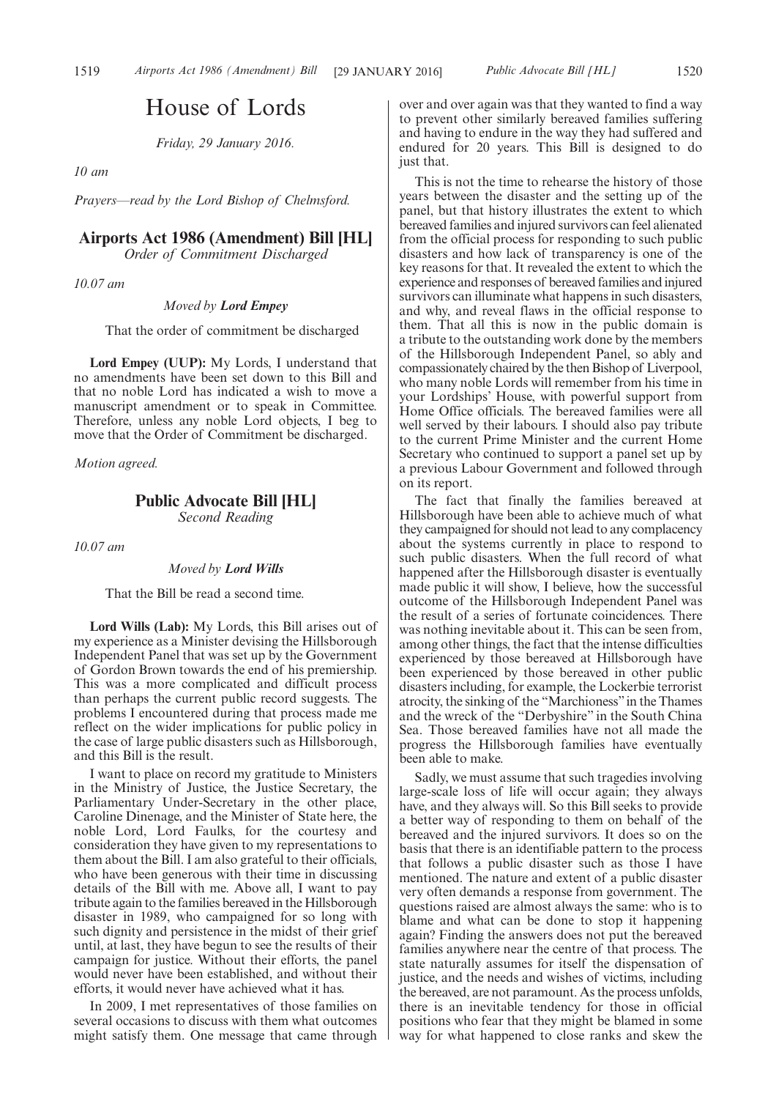# House of Lords

*Friday, 29 January 2016.*

*10 am*

*Prayers—read by the Lord Bishop of Chelmsford.*

# **Airports Act 1986 (Amendment) Bill [HL]**

*Order of Commitment Discharged*

*10.07 am*

*Moved by Lord Empey*

That the order of commitment be discharged

**Lord Empey (UUP):** My Lords, I understand that no amendments have been set down to this Bill and that no noble Lord has indicated a wish to move a manuscript amendment or to speak in Committee. Therefore, unless any noble Lord objects, I beg to move that the Order of Commitment be discharged.

*Motion agreed.*

# **Public Advocate Bill [HL]**

*Second Reading*

*10.07 am*

#### *Moved by Lord Wills*

That the Bill be read a second time.

**Lord Wills (Lab):** My Lords, this Bill arises out of my experience as a Minister devising the Hillsborough Independent Panel that was set up by the Government of Gordon Brown towards the end of his premiership. This was a more complicated and difficult process than perhaps the current public record suggests. The problems I encountered during that process made me reflect on the wider implications for public policy in the case of large public disasters such as Hillsborough, and this Bill is the result.

I want to place on record my gratitude to Ministers in the Ministry of Justice, the Justice Secretary, the Parliamentary Under-Secretary in the other place, Caroline Dinenage, and the Minister of State here, the noble Lord, Lord Faulks, for the courtesy and consideration they have given to my representations to them about the Bill. I am also grateful to their officials, who have been generous with their time in discussing details of the Bill with me. Above all, I want to pay tribute again to the families bereaved in the Hillsborough disaster in 1989, who campaigned for so long with such dignity and persistence in the midst of their grief until, at last, they have begun to see the results of their campaign for justice. Without their efforts, the panel would never have been established, and without their efforts, it would never have achieved what it has.

In 2009, I met representatives of those families on several occasions to discuss with them what outcomes might satisfy them. One message that came through over and over again was that they wanted to find a way to prevent other similarly bereaved families suffering and having to endure in the way they had suffered and endured for 20 years. This Bill is designed to do just that.

This is not the time to rehearse the history of those years between the disaster and the setting up of the panel, but that history illustrates the extent to which bereaved families and injured survivors can feel alienated from the official process for responding to such public disasters and how lack of transparency is one of the key reasons for that. It revealed the extent to which the experience and responses of bereaved families and injured survivors can illuminate what happens in such disasters, and why, and reveal flaws in the official response to them. That all this is now in the public domain is a tribute to the outstanding work done by the members of the Hillsborough Independent Panel, so ably and compassionately chaired by the then Bishop of Liverpool, who many noble Lords will remember from his time in your Lordships' House, with powerful support from Home Office officials. The bereaved families were all well served by their labours. I should also pay tribute to the current Prime Minister and the current Home Secretary who continued to support a panel set up by a previous Labour Government and followed through on its report.

The fact that finally the families bereaved at Hillsborough have been able to achieve much of what they campaigned for should not lead to any complacency about the systems currently in place to respond to such public disasters. When the full record of what happened after the Hillsborough disaster is eventually made public it will show, I believe, how the successful outcome of the Hillsborough Independent Panel was the result of a series of fortunate coincidences. There was nothing inevitable about it. This can be seen from, among other things, the fact that the intense difficulties experienced by those bereaved at Hillsborough have been experienced by those bereaved in other public disasters including, for example, the Lockerbie terrorist atrocity, the sinking of the "Marchioness"in the Thames and the wreck of the "Derbyshire" in the South China Sea. Those bereaved families have not all made the progress the Hillsborough families have eventually been able to make.

Sadly, we must assume that such tragedies involving large-scale loss of life will occur again; they always have, and they always will. So this Bill seeks to provide a better way of responding to them on behalf of the bereaved and the injured survivors. It does so on the basis that there is an identifiable pattern to the process that follows a public disaster such as those I have mentioned. The nature and extent of a public disaster very often demands a response from government. The questions raised are almost always the same: who is to blame and what can be done to stop it happening again? Finding the answers does not put the bereaved families anywhere near the centre of that process. The state naturally assumes for itself the dispensation of justice, and the needs and wishes of victims, including the bereaved, are not paramount. As the process unfolds, there is an inevitable tendency for those in official positions who fear that they might be blamed in some way for what happened to close ranks and skew the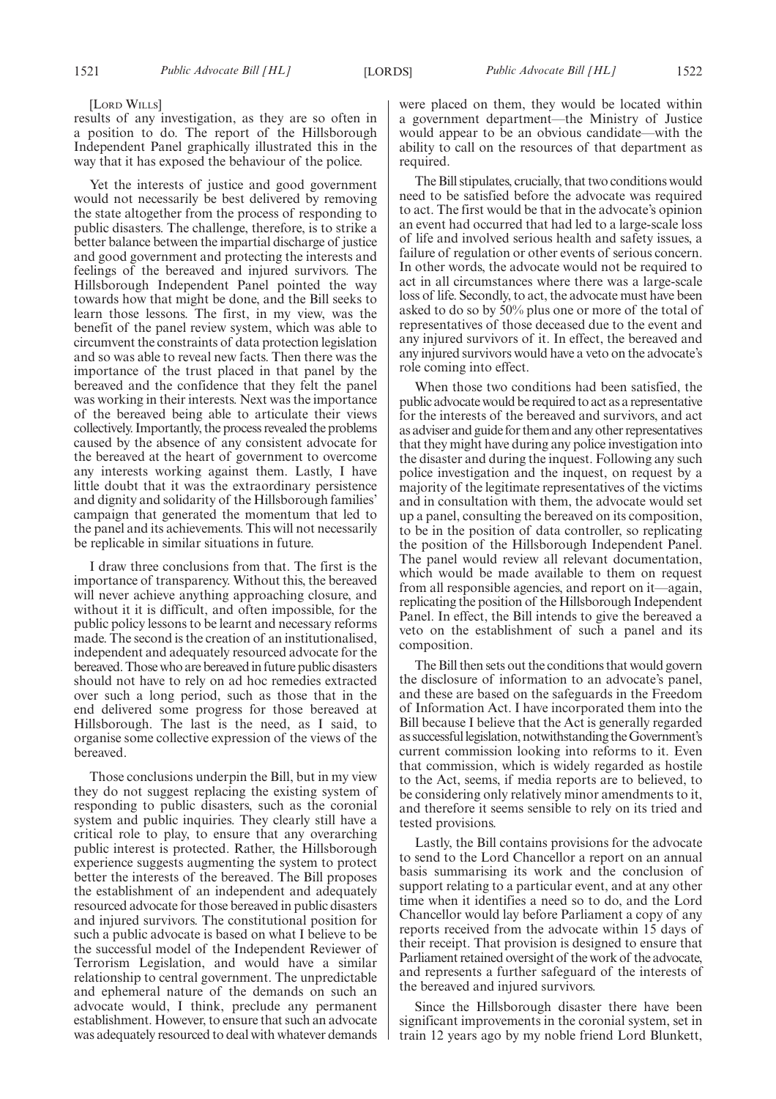[LORD WILLS]

results of any investigation, as they are so often in a position to do. The report of the Hillsborough Independent Panel graphically illustrated this in the way that it has exposed the behaviour of the police.

Yet the interests of justice and good government would not necessarily be best delivered by removing the state altogether from the process of responding to public disasters. The challenge, therefore, is to strike a better balance between the impartial discharge of justice and good government and protecting the interests and feelings of the bereaved and injured survivors. The Hillsborough Independent Panel pointed the way towards how that might be done, and the Bill seeks to learn those lessons. The first, in my view, was the benefit of the panel review system, which was able to circumvent the constraints of data protection legislation and so was able to reveal new facts. Then there was the importance of the trust placed in that panel by the bereaved and the confidence that they felt the panel was working in their interests. Next was the importance of the bereaved being able to articulate their views collectively. Importantly, the process revealed the problems caused by the absence of any consistent advocate for the bereaved at the heart of government to overcome any interests working against them. Lastly, I have little doubt that it was the extraordinary persistence and dignity and solidarity of the Hillsborough families' campaign that generated the momentum that led to the panel and its achievements. This will not necessarily be replicable in similar situations in future.

I draw three conclusions from that. The first is the importance of transparency. Without this, the bereaved will never achieve anything approaching closure, and without it it is difficult, and often impossible, for the public policy lessons to be learnt and necessary reforms made. The second is the creation of an institutionalised, independent and adequately resourced advocate for the bereaved. Those who are bereaved in future public disasters should not have to rely on ad hoc remedies extracted over such a long period, such as those that in the end delivered some progress for those bereaved at Hillsborough. The last is the need, as I said, to organise some collective expression of the views of the bereaved.

Those conclusions underpin the Bill, but in my view they do not suggest replacing the existing system of responding to public disasters, such as the coronial system and public inquiries. They clearly still have a critical role to play, to ensure that any overarching public interest is protected. Rather, the Hillsborough experience suggests augmenting the system to protect better the interests of the bereaved. The Bill proposes the establishment of an independent and adequately resourced advocate for those bereaved in public disasters and injured survivors. The constitutional position for such a public advocate is based on what I believe to be the successful model of the Independent Reviewer of Terrorism Legislation, and would have a similar relationship to central government. The unpredictable and ephemeral nature of the demands on such an advocate would, I think, preclude any permanent establishment. However, to ensure that such an advocate was adequately resourced to deal with whatever demands were placed on them, they would be located within a government department—the Ministry of Justice would appear to be an obvious candidate—with the ability to call on the resources of that department as required.

The Bill stipulates, crucially, that two conditions would need to be satisfied before the advocate was required to act. The first would be that in the advocate's opinion an event had occurred that had led to a large-scale loss of life and involved serious health and safety issues, a failure of regulation or other events of serious concern. In other words, the advocate would not be required to act in all circumstances where there was a large-scale loss of life. Secondly, to act, the advocate must have been asked to do so by 50% plus one or more of the total of representatives of those deceased due to the event and any injured survivors of it. In effect, the bereaved and any injured survivors would have a veto on the advocate's role coming into effect.

When those two conditions had been satisfied, the public advocate would be required to act as a representative for the interests of the bereaved and survivors, and act as adviser and guide for them and any other representatives that they might have during any police investigation into the disaster and during the inquest. Following any such police investigation and the inquest, on request by a majority of the legitimate representatives of the victims and in consultation with them, the advocate would set up a panel, consulting the bereaved on its composition, to be in the position of data controller, so replicating the position of the Hillsborough Independent Panel. The panel would review all relevant documentation, which would be made available to them on request from all responsible agencies, and report on it—again, replicating the position of the Hillsborough Independent Panel. In effect, the Bill intends to give the bereaved a veto on the establishment of such a panel and its composition.

The Bill then sets out the conditions that would govern the disclosure of information to an advocate's panel, and these are based on the safeguards in the Freedom of Information Act. I have incorporated them into the Bill because I believe that the Act is generally regarded as successfullegislation, notwithstanding theGovernment's current commission looking into reforms to it. Even that commission, which is widely regarded as hostile to the Act, seems, if media reports are to believed, to be considering only relatively minor amendments to it, and therefore it seems sensible to rely on its tried and tested provisions.

Lastly, the Bill contains provisions for the advocate to send to the Lord Chancellor a report on an annual basis summarising its work and the conclusion of support relating to a particular event, and at any other time when it identifies a need so to do, and the Lord Chancellor would lay before Parliament a copy of any reports received from the advocate within 15 days of their receipt. That provision is designed to ensure that Parliament retained oversight of the work of the advocate, and represents a further safeguard of the interests of the bereaved and injured survivors.

Since the Hillsborough disaster there have been significant improvements in the coronial system, set in train 12 years ago by my noble friend Lord Blunkett,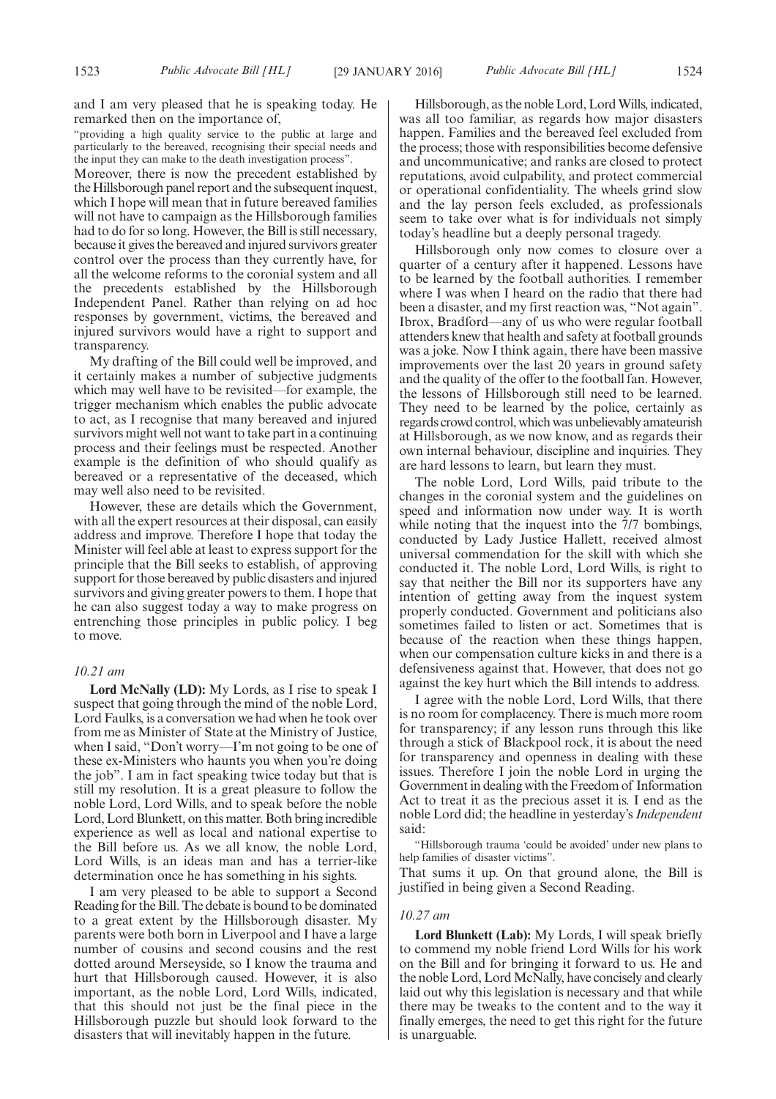and I am very pleased that he is speaking today. He remarked then on the importance of,

"providing a high quality service to the public at large and particularly to the bereaved, recognising their special needs and the input they can make to the death investigation process".

Moreover, there is now the precedent established by the Hillsborough panel report and the subsequent inquest, which I hope will mean that in future bereaved families will not have to campaign as the Hillsborough families had to do for so long. However, the Bill is still necessary, because it gives the bereaved and injured survivors greater control over the process than they currently have, for all the welcome reforms to the coronial system and all the precedents established by the Hillsborough Independent Panel. Rather than relying on ad hoc responses by government, victims, the bereaved and injured survivors would have a right to support and transparency.

My drafting of the Bill could well be improved, and it certainly makes a number of subjective judgments which may well have to be revisited—for example, the trigger mechanism which enables the public advocate to act, as I recognise that many bereaved and injured survivors might well not want to take part in a continuing process and their feelings must be respected. Another example is the definition of who should qualify as bereaved or a representative of the deceased, which may well also need to be revisited.

However, these are details which the Government, with all the expert resources at their disposal, can easily address and improve. Therefore I hope that today the Minister will feel able at least to express support for the principle that the Bill seeks to establish, of approving support for those bereaved by public disasters and injured survivors and giving greater powers to them. I hope that he can also suggest today a way to make progress on entrenching those principles in public policy. I beg to move.

#### *10.21 am*

**Lord McNally (LD):** My Lords, as I rise to speak I suspect that going through the mind of the noble Lord, Lord Faulks, is a conversation we had when he took over from me as Minister of State at the Ministry of Justice, when I said, "Don't worry—I'm not going to be one of these ex-Ministers who haunts you when you're doing the job". I am in fact speaking twice today but that is still my resolution. It is a great pleasure to follow the noble Lord, Lord Wills, and to speak before the noble Lord, Lord Blunkett, on this matter. Both bring incredible experience as well as local and national expertise to the Bill before us. As we all know, the noble Lord, Lord Wills, is an ideas man and has a terrier-like determination once he has something in his sights.

I am very pleased to be able to support a Second Reading for the Bill. The debate is bound to be dominated to a great extent by the Hillsborough disaster. My parents were both born in Liverpool and I have a large number of cousins and second cousins and the rest dotted around Merseyside, so I know the trauma and hurt that Hillsborough caused. However, it is also important, as the noble Lord, Lord Wills, indicated, that this should not just be the final piece in the Hillsborough puzzle but should look forward to the disasters that will inevitably happen in the future.

Hillsborough, as the noble Lord, Lord Wills, indicated, was all too familiar, as regards how major disasters happen. Families and the bereaved feel excluded from the process; those with responsibilities become defensive and uncommunicative; and ranks are closed to protect reputations, avoid culpability, and protect commercial or operational confidentiality. The wheels grind slow and the lay person feels excluded, as professionals seem to take over what is for individuals not simply today's headline but a deeply personal tragedy.

Hillsborough only now comes to closure over a quarter of a century after it happened. Lessons have to be learned by the football authorities. I remember where I was when I heard on the radio that there had been a disaster, and my first reaction was, "Not again". Ibrox, Bradford—any of us who were regular football attenders knew that health and safety at football grounds was a joke. Now I think again, there have been massive improvements over the last 20 years in ground safety and the quality of the offer to the football fan. However, the lessons of Hillsborough still need to be learned. They need to be learned by the police, certainly as regards crowd control, which was unbelievably amateurish at Hillsborough, as we now know, and as regards their own internal behaviour, discipline and inquiries. They are hard lessons to learn, but learn they must.

The noble Lord, Lord Wills, paid tribute to the changes in the coronial system and the guidelines on speed and information now under way. It is worth while noting that the inquest into the  $7/7$  bombings, conducted by Lady Justice Hallett, received almost universal commendation for the skill with which she conducted it. The noble Lord, Lord Wills, is right to say that neither the Bill nor its supporters have any intention of getting away from the inquest system properly conducted. Government and politicians also sometimes failed to listen or act. Sometimes that is because of the reaction when these things happen, when our compensation culture kicks in and there is a defensiveness against that. However, that does not go against the key hurt which the Bill intends to address.

I agree with the noble Lord, Lord Wills, that there is no room for complacency. There is much more room for transparency; if any lesson runs through this like through a stick of Blackpool rock, it is about the need for transparency and openness in dealing with these issues. Therefore I join the noble Lord in urging the Government in dealing with the Freedom of Information Act to treat it as the precious asset it is. I end as the noble Lord did; the headline in yesterday's *Independent* said:

"Hillsborough trauma 'could be avoided' under new plans to help families of disaster victims".

That sums it up. On that ground alone, the Bill is justified in being given a Second Reading.

#### *10.27 am*

**Lord Blunkett (Lab):** My Lords, I will speak briefly to commend my noble friend Lord Wills for his work on the Bill and for bringing it forward to us. He and the noble Lord, Lord McNally, have concisely and clearly laid out why this legislation is necessary and that while there may be tweaks to the content and to the way it finally emerges, the need to get this right for the future is unarguable.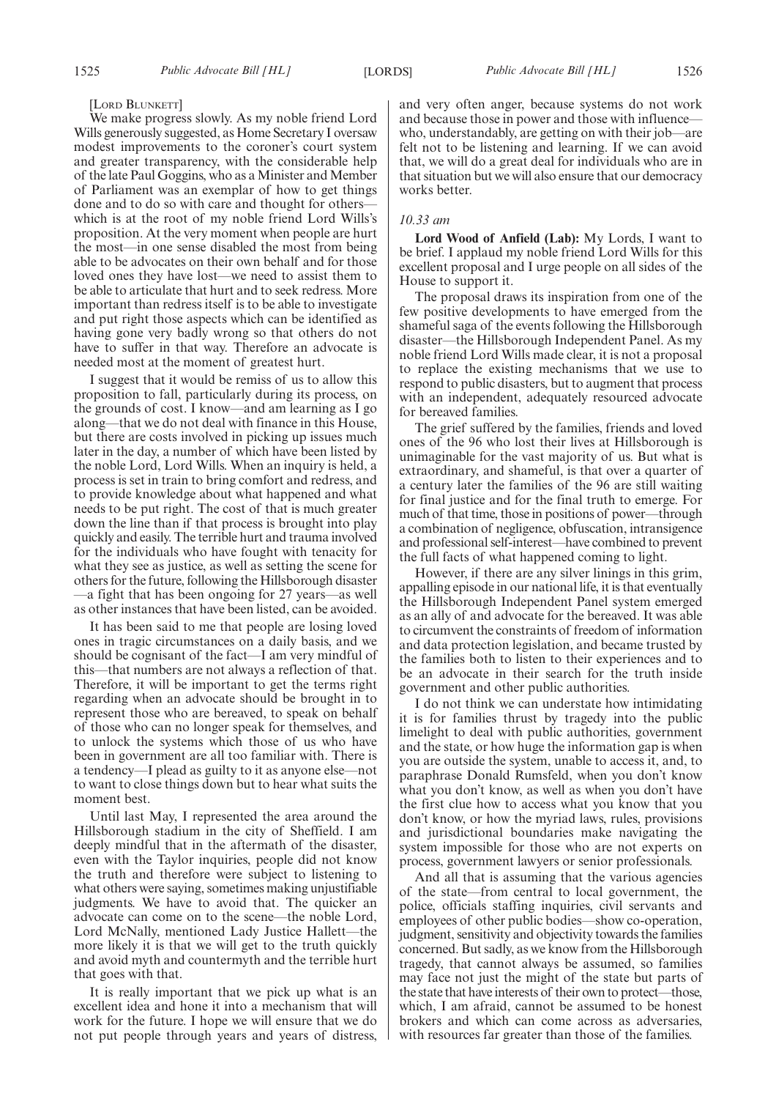#### [LORD BLUNKETT]

We make progress slowly. As my noble friend Lord Wills generously suggested, as Home Secretary I oversaw modest improvements to the coroner's court system and greater transparency, with the considerable help of the late Paul Goggins, who as a Minister and Member of Parliament was an exemplar of how to get things done and to do so with care and thought for others which is at the root of my noble friend Lord Wills's proposition. At the very moment when people are hurt the most—in one sense disabled the most from being able to be advocates on their own behalf and for those loved ones they have lost—we need to assist them to be able to articulate that hurt and to seek redress. More important than redress itself is to be able to investigate and put right those aspects which can be identified as having gone very badly wrong so that others do not have to suffer in that way. Therefore an advocate is needed most at the moment of greatest hurt.

I suggest that it would be remiss of us to allow this proposition to fall, particularly during its process, on the grounds of cost. I know—and am learning as I go along—that we do not deal with finance in this House, but there are costs involved in picking up issues much later in the day, a number of which have been listed by the noble Lord, Lord Wills. When an inquiry is held, a process is set in train to bring comfort and redress, and to provide knowledge about what happened and what needs to be put right. The cost of that is much greater down the line than if that process is brought into play quickly and easily. The terrible hurt and trauma involved for the individuals who have fought with tenacity for what they see as justice, as well as setting the scene for others for the future, following the Hillsborough disaster —a fight that has been ongoing for 27 years—as well as other instances that have been listed, can be avoided.

It has been said to me that people are losing loved ones in tragic circumstances on a daily basis, and we should be cognisant of the fact—I am very mindful of this—that numbers are not always a reflection of that. Therefore, it will be important to get the terms right regarding when an advocate should be brought in to represent those who are bereaved, to speak on behalf of those who can no longer speak for themselves, and to unlock the systems which those of us who have been in government are all too familiar with. There is a tendency—I plead as guilty to it as anyone else—not to want to close things down but to hear what suits the moment best.

Until last May, I represented the area around the Hillsborough stadium in the city of Sheffield. I am deeply mindful that in the aftermath of the disaster, even with the Taylor inquiries, people did not know the truth and therefore were subject to listening to what others were saying, sometimes making unjustifiable judgments. We have to avoid that. The quicker an advocate can come on to the scene—the noble Lord, Lord McNally, mentioned Lady Justice Hallett—the more likely it is that we will get to the truth quickly and avoid myth and countermyth and the terrible hurt that goes with that.

It is really important that we pick up what is an excellent idea and hone it into a mechanism that will work for the future. I hope we will ensure that we do not put people through years and years of distress, and very often anger, because systems do not work and because those in power and those with influence who, understandably, are getting on with their job—are felt not to be listening and learning. If we can avoid that, we will do a great deal for individuals who are in that situation but we will also ensure that our democracy works better.

### *10.33 am*

**Lord Wood of Anfield (Lab):** My Lords, I want to be brief. I applaud my noble friend Lord Wills for this excellent proposal and I urge people on all sides of the House to support it.

The proposal draws its inspiration from one of the few positive developments to have emerged from the shameful saga of the events following the Hillsborough disaster—the Hillsborough Independent Panel. As my noble friend Lord Wills made clear, it is not a proposal to replace the existing mechanisms that we use to respond to public disasters, but to augment that process with an independent, adequately resourced advocate for bereaved families.

The grief suffered by the families, friends and loved ones of the 96 who lost their lives at Hillsborough is unimaginable for the vast majority of us. But what is extraordinary, and shameful, is that over a quarter of a century later the families of the 96 are still waiting for final justice and for the final truth to emerge. For much of that time, those in positions of power—through a combination of negligence, obfuscation, intransigence and professional self-interest—have combined to prevent the full facts of what happened coming to light.

However, if there are any silver linings in this grim, appalling episode in our national life, it is that eventually the Hillsborough Independent Panel system emerged as an ally of and advocate for the bereaved. It was able to circumvent the constraints of freedom of information and data protection legislation, and became trusted by the families both to listen to their experiences and to be an advocate in their search for the truth inside government and other public authorities.

I do not think we can understate how intimidating it is for families thrust by tragedy into the public limelight to deal with public authorities, government and the state, or how huge the information gap is when you are outside the system, unable to access it, and, to paraphrase Donald Rumsfeld, when you don't know what you don't know, as well as when you don't have the first clue how to access what you know that you don't know, or how the myriad laws, rules, provisions and jurisdictional boundaries make navigating the system impossible for those who are not experts on process, government lawyers or senior professionals.

And all that is assuming that the various agencies of the state—from central to local government, the police, officials staffing inquiries, civil servants and employees of other public bodies—show co-operation, judgment, sensitivity and objectivity towards the families concerned. But sadly, as we know from the Hillsborough tragedy, that cannot always be assumed, so families may face not just the might of the state but parts of the state that have interests of their own to protect—those, which, I am afraid, cannot be assumed to be honest brokers and which can come across as adversaries, with resources far greater than those of the families.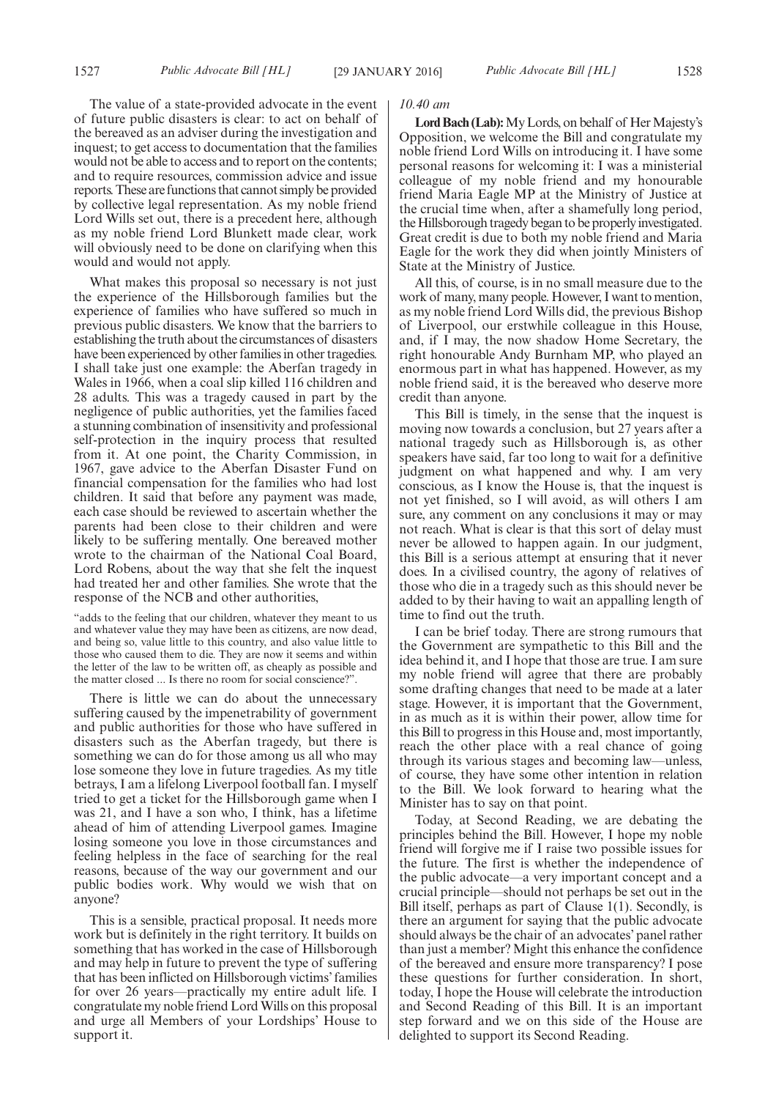The value of a state-provided advocate in the event of future public disasters is clear: to act on behalf of the bereaved as an adviser during the investigation and inquest; to get access to documentation that the families would not be able to access and to report on the contents; and to require resources, commission advice and issue reports.These are functions that cannot simply be provided by collective legal representation. As my noble friend Lord Wills set out, there is a precedent here, although as my noble friend Lord Blunkett made clear, work will obviously need to be done on clarifying when this would and would not apply.

What makes this proposal so necessary is not just the experience of the Hillsborough families but the experience of families who have suffered so much in previous public disasters. We know that the barriers to establishing the truth about the circumstances of disasters have been experienced by other families in other tragedies. I shall take just one example: the Aberfan tragedy in Wales in 1966, when a coal slip killed 116 children and 28 adults. This was a tragedy caused in part by the negligence of public authorities, yet the families faced a stunning combination of insensitivity and professional self-protection in the inquiry process that resulted from it. At one point, the Charity Commission, in 1967, gave advice to the Aberfan Disaster Fund on financial compensation for the families who had lost children. It said that before any payment was made, each case should be reviewed to ascertain whether the parents had been close to their children and were likely to be suffering mentally. One bereaved mother wrote to the chairman of the National Coal Board, Lord Robens, about the way that she felt the inquest had treated her and other families. She wrote that the response of the NCB and other authorities,

"adds to the feeling that our children, whatever they meant to us and whatever value they may have been as citizens, are now dead, and being so, value little to this country, and also value little to those who caused them to die. They are now it seems and within the letter of the law to be written off, as cheaply as possible and the matter closed ... Is there no room for social conscience?".

There is little we can do about the unnecessary suffering caused by the impenetrability of government and public authorities for those who have suffered in disasters such as the Aberfan tragedy, but there is something we can do for those among us all who may lose someone they love in future tragedies. As my title betrays, I am a lifelong Liverpool football fan. I myself tried to get a ticket for the Hillsborough game when I was 21, and I have a son who, I think, has a lifetime ahead of him of attending Liverpool games. Imagine losing someone you love in those circumstances and feeling helpless in the face of searching for the real reasons, because of the way our government and our public bodies work. Why would we wish that on anyone?

This is a sensible, practical proposal. It needs more work but is definitely in the right territory. It builds on something that has worked in the case of Hillsborough and may help in future to prevent the type of suffering that has been inflicted on Hillsborough victims' families for over 26 years—practically my entire adult life. I congratulate my noble friend LordWills on this proposal and urge all Members of your Lordships' House to support it.

#### *10.40 am*

Lord Bach (Lab): My Lords, on behalf of Her Majesty's Opposition, we welcome the Bill and congratulate my noble friend Lord Wills on introducing it. I have some personal reasons for welcoming it: I was a ministerial colleague of my noble friend and my honourable friend Maria Eagle MP at the Ministry of Justice at the crucial time when, after a shamefully long period, the Hillsborough tragedy began to be properly investigated. Great credit is due to both my noble friend and Maria Eagle for the work they did when jointly Ministers of State at the Ministry of Justice.

All this, of course, is in no small measure due to the work of many, many people. However, I want to mention, as my noble friend Lord Wills did, the previous Bishop of Liverpool, our erstwhile colleague in this House, and, if I may, the now shadow Home Secretary, the right honourable Andy Burnham MP, who played an enormous part in what has happened. However, as my noble friend said, it is the bereaved who deserve more credit than anyone.

This Bill is timely, in the sense that the inquest is moving now towards a conclusion, but 27 years after a national tragedy such as Hillsborough is, as other speakers have said, far too long to wait for a definitive judgment on what happened and why. I am very conscious, as I know the House is, that the inquest is not yet finished, so I will avoid, as will others I am sure, any comment on any conclusions it may or may not reach. What is clear is that this sort of delay must never be allowed to happen again. In our judgment, this Bill is a serious attempt at ensuring that it never does. In a civilised country, the agony of relatives of those who die in a tragedy such as this should never be added to by their having to wait an appalling length of time to find out the truth.

I can be brief today. There are strong rumours that the Government are sympathetic to this Bill and the idea behind it, and I hope that those are true. I am sure my noble friend will agree that there are probably some drafting changes that need to be made at a later stage. However, it is important that the Government, in as much as it is within their power, allow time for this Bill to progress in this House and, most importantly, reach the other place with a real chance of going through its various stages and becoming law—unless, of course, they have some other intention in relation to the Bill. We look forward to hearing what the Minister has to say on that point.

Today, at Second Reading, we are debating the principles behind the Bill. However, I hope my noble friend will forgive me if I raise two possible issues for the future. The first is whether the independence of the public advocate—a very important concept and a crucial principle—should not perhaps be set out in the Bill itself, perhaps as part of Clause 1(1). Secondly, is there an argument for saying that the public advocate should always be the chair of an advocates' panel rather than just a member? Might this enhance the confidence of the bereaved and ensure more transparency? I pose these questions for further consideration. In short, today, I hope the House will celebrate the introduction and Second Reading of this Bill. It is an important step forward and we on this side of the House are delighted to support its Second Reading.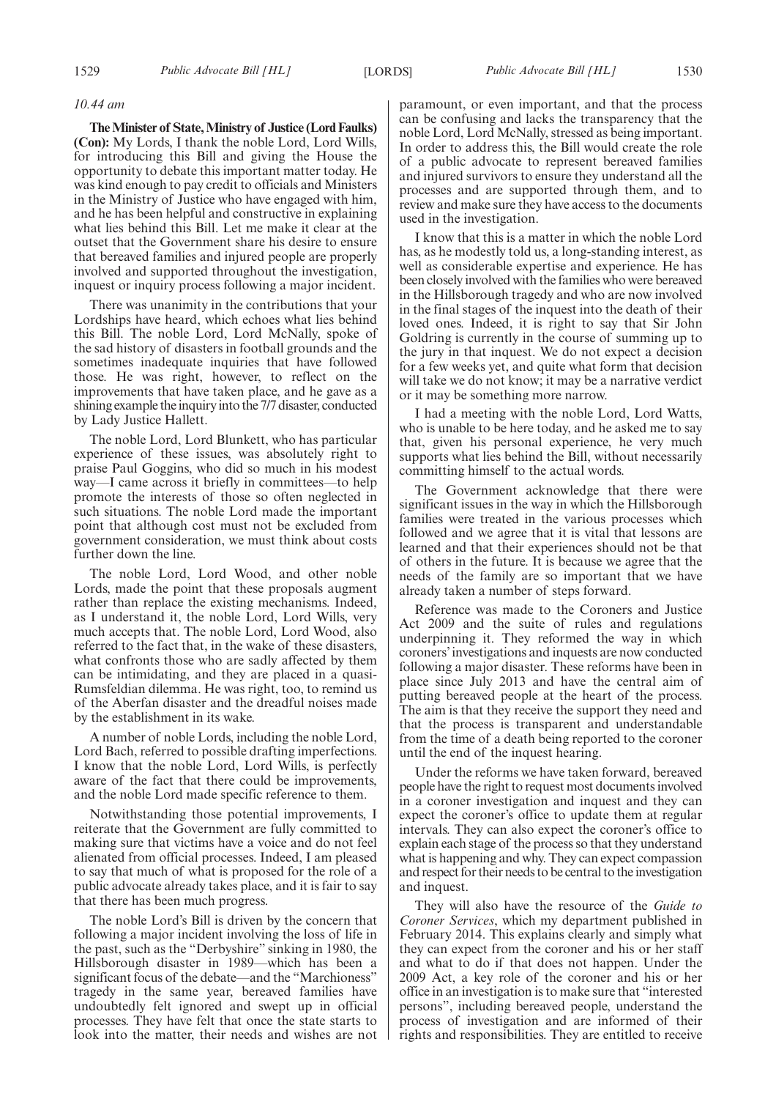#### *10.44 am*

**TheMinister of State,Ministry of Justice (Lord Faulks) (Con):** My Lords, I thank the noble Lord, Lord Wills, for introducing this Bill and giving the House the opportunity to debate this important matter today. He was kind enough to pay credit to officials and Ministers in the Ministry of Justice who have engaged with him, and he has been helpful and constructive in explaining what lies behind this Bill. Let me make it clear at the outset that the Government share his desire to ensure that bereaved families and injured people are properly involved and supported throughout the investigation, inquest or inquiry process following a major incident.

There was unanimity in the contributions that your Lordships have heard, which echoes what lies behind this Bill. The noble Lord, Lord McNally, spoke of the sad history of disasters in football grounds and the sometimes inadequate inquiries that have followed those. He was right, however, to reflect on the improvements that have taken place, and he gave as a shining example the inquiry into the 7/7 disaster, conducted by Lady Justice Hallett.

The noble Lord, Lord Blunkett, who has particular experience of these issues, was absolutely right to praise Paul Goggins, who did so much in his modest way—I came across it briefly in committees—to help promote the interests of those so often neglected in such situations. The noble Lord made the important point that although cost must not be excluded from government consideration, we must think about costs further down the line.

The noble Lord, Lord Wood, and other noble Lords, made the point that these proposals augment rather than replace the existing mechanisms. Indeed, as I understand it, the noble Lord, Lord Wills, very much accepts that. The noble Lord, Lord Wood, also referred to the fact that, in the wake of these disasters, what confronts those who are sadly affected by them can be intimidating, and they are placed in a quasi-Rumsfeldian dilemma. He was right, too, to remind us of the Aberfan disaster and the dreadful noises made by the establishment in its wake.

A number of noble Lords, including the noble Lord, Lord Bach, referred to possible drafting imperfections. I know that the noble Lord, Lord Wills, is perfectly aware of the fact that there could be improvements, and the noble Lord made specific reference to them.

Notwithstanding those potential improvements, I reiterate that the Government are fully committed to making sure that victims have a voice and do not feel alienated from official processes. Indeed, I am pleased to say that much of what is proposed for the role of a public advocate already takes place, and it is fair to say that there has been much progress.

The noble Lord's Bill is driven by the concern that following a major incident involving the loss of life in the past, such as the "Derbyshire" sinking in 1980, the Hillsborough disaster in 1989—which has been a significant focus of the debate—and the "Marchioness" tragedy in the same year, bereaved families have undoubtedly felt ignored and swept up in official processes. They have felt that once the state starts to look into the matter, their needs and wishes are not paramount, or even important, and that the process can be confusing and lacks the transparency that the noble Lord, Lord McNally, stressed as being important. In order to address this, the Bill would create the role of a public advocate to represent bereaved families and injured survivors to ensure they understand all the processes and are supported through them, and to review and make sure they have access to the documents used in the investigation.

I know that this is a matter in which the noble Lord has, as he modestly told us, a long-standing interest, as well as considerable expertise and experience. He has been closely involved with the families who were bereaved in the Hillsborough tragedy and who are now involved in the final stages of the inquest into the death of their loved ones. Indeed, it is right to say that Sir John Goldring is currently in the course of summing up to the jury in that inquest. We do not expect a decision for a few weeks yet, and quite what form that decision will take we do not know; it may be a narrative verdict or it may be something more narrow.

I had a meeting with the noble Lord, Lord Watts, who is unable to be here today, and he asked me to say that, given his personal experience, he very much supports what lies behind the Bill, without necessarily committing himself to the actual words.

The Government acknowledge that there were significant issues in the way in which the Hillsborough families were treated in the various processes which followed and we agree that it is vital that lessons are learned and that their experiences should not be that of others in the future. It is because we agree that the needs of the family are so important that we have already taken a number of steps forward.

Reference was made to the Coroners and Justice Act 2009 and the suite of rules and regulations underpinning it. They reformed the way in which coroners'investigations and inquests are now conducted following a major disaster. These reforms have been in place since July 2013 and have the central aim of putting bereaved people at the heart of the process. The aim is that they receive the support they need and that the process is transparent and understandable from the time of a death being reported to the coroner until the end of the inquest hearing.

Under the reforms we have taken forward, bereaved people have the right to request most documents involved in a coroner investigation and inquest and they can expect the coroner's office to update them at regular intervals. They can also expect the coroner's office to explain each stage of the process so that they understand what is happening and why. They can expect compassion and respect for their needs to be central to the investigation and inquest.

They will also have the resource of the *Guide to Coroner Services*, which my department published in February 2014. This explains clearly and simply what they can expect from the coroner and his or her staff and what to do if that does not happen. Under the 2009 Act, a key role of the coroner and his or her office in an investigation is to make sure that "interested persons", including bereaved people, understand the process of investigation and are informed of their rights and responsibilities. They are entitled to receive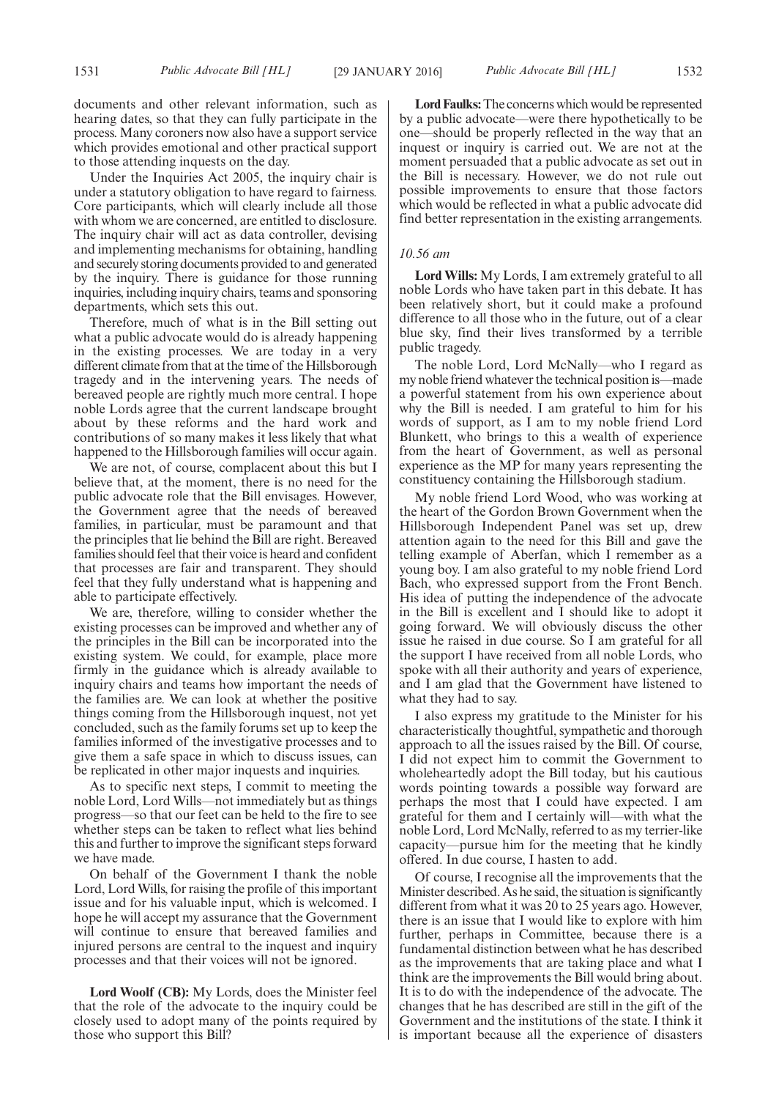documents and other relevant information, such as hearing dates, so that they can fully participate in the process. Many coroners now also have a support service which provides emotional and other practical support to those attending inquests on the day.

Under the Inquiries Act 2005, the inquiry chair is under a statutory obligation to have regard to fairness. Core participants, which will clearly include all those with whom we are concerned, are entitled to disclosure. The inquiry chair will act as data controller, devising and implementing mechanisms for obtaining, handling and securely storing documents provided to and generated by the inquiry. There is guidance for those running inquiries, including inquiry chairs, teams and sponsoring departments, which sets this out.

Therefore, much of what is in the Bill setting out what a public advocate would do is already happening in the existing processes. We are today in a very different climate from that at the time of the Hillsborough tragedy and in the intervening years. The needs of bereaved people are rightly much more central. I hope noble Lords agree that the current landscape brought about by these reforms and the hard work and contributions of so many makes it less likely that what happened to the Hillsborough families will occur again.

We are not, of course, complacent about this but I believe that, at the moment, there is no need for the public advocate role that the Bill envisages. However, the Government agree that the needs of bereaved families, in particular, must be paramount and that the principles that lie behind the Bill are right. Bereaved families should feel that their voice is heard and confident that processes are fair and transparent. They should feel that they fully understand what is happening and able to participate effectively.

We are, therefore, willing to consider whether the existing processes can be improved and whether any of the principles in the Bill can be incorporated into the existing system. We could, for example, place more firmly in the guidance which is already available to inquiry chairs and teams how important the needs of the families are. We can look at whether the positive things coming from the Hillsborough inquest, not yet concluded, such as the family forums set up to keep the families informed of the investigative processes and to give them a safe space in which to discuss issues, can be replicated in other major inquests and inquiries.

As to specific next steps, I commit to meeting the noble Lord, Lord Wills—not immediately but as things progress—so that our feet can be held to the fire to see whether steps can be taken to reflect what lies behind this and further to improve the significant steps forward we have made.

On behalf of the Government I thank the noble Lord, Lord Wills, for raising the profile of this important issue and for his valuable input, which is welcomed. I hope he will accept my assurance that the Government will continue to ensure that bereaved families and injured persons are central to the inquest and inquiry processes and that their voices will not be ignored.

**Lord Woolf (CB):** My Lords, does the Minister feel that the role of the advocate to the inquiry could be closely used to adopt many of the points required by those who support this Bill?

**Lord Faulks:**The concerns which would be represented by a public advocate—were there hypothetically to be one—should be properly reflected in the way that an inquest or inquiry is carried out. We are not at the moment persuaded that a public advocate as set out in the Bill is necessary. However, we do not rule out possible improvements to ensure that those factors which would be reflected in what a public advocate did find better representation in the existing arrangements.

#### *10.56 am*

**Lord Wills:** My Lords, I am extremely grateful to all noble Lords who have taken part in this debate. It has been relatively short, but it could make a profound difference to all those who in the future, out of a clear blue sky, find their lives transformed by a terrible public tragedy.

The noble Lord, Lord McNally—who I regard as my noble friend whatever the technical position is—made a powerful statement from his own experience about why the Bill is needed. I am grateful to him for his words of support, as I am to my noble friend Lord Blunkett, who brings to this a wealth of experience from the heart of Government, as well as personal experience as the MP for many years representing the constituency containing the Hillsborough stadium.

My noble friend Lord Wood, who was working at the heart of the Gordon Brown Government when the Hillsborough Independent Panel was set up, drew attention again to the need for this Bill and gave the telling example of Aberfan, which I remember as a young boy. I am also grateful to my noble friend Lord Bach, who expressed support from the Front Bench. His idea of putting the independence of the advocate in the Bill is excellent and I should like to adopt it going forward. We will obviously discuss the other issue he raised in due course. So I am grateful for all the support I have received from all noble Lords, who spoke with all their authority and years of experience, and I am glad that the Government have listened to what they had to say.

I also express my gratitude to the Minister for his characteristically thoughtful, sympathetic and thorough approach to all the issues raised by the Bill. Of course, I did not expect him to commit the Government to wholeheartedly adopt the Bill today, but his cautious words pointing towards a possible way forward are perhaps the most that I could have expected. I am grateful for them and I certainly will—with what the noble Lord, Lord McNally, referred to as my terrier-like capacity—pursue him for the meeting that he kindly offered. In due course, I hasten to add.

Of course, I recognise all the improvements that the Minister described. As he said, the situation is significantly different from what it was 20 to 25 years ago. However, there is an issue that I would like to explore with him further, perhaps in Committee, because there is a fundamental distinction between what he has described as the improvements that are taking place and what I think are the improvements the Bill would bring about. It is to do with the independence of the advocate. The changes that he has described are still in the gift of the Government and the institutions of the state. I think it is important because all the experience of disasters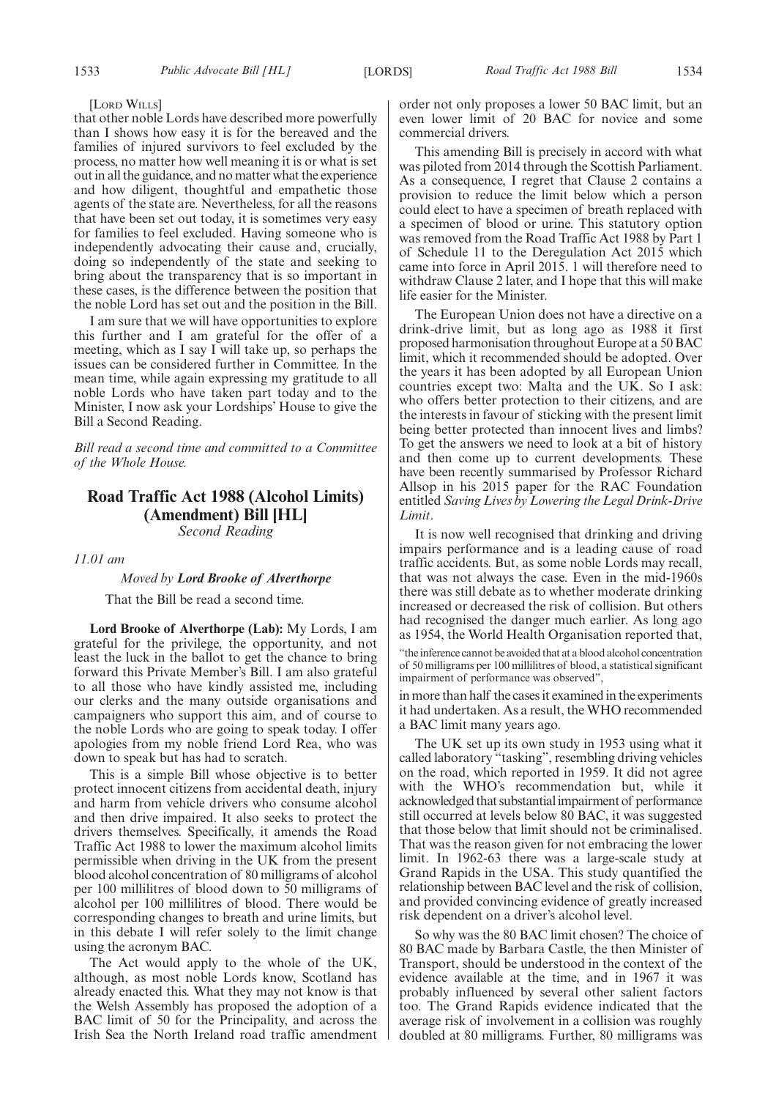[LORD WILLS]

that other noble Lords have described more powerfully than I shows how easy it is for the bereaved and the families of injured survivors to feel excluded by the process, no matter how well meaning it is or what is set out in all the guidance, and no matter what the experience and how diligent, thoughtful and empathetic those agents of the state are. Nevertheless, for all the reasons that have been set out today, it is sometimes very easy for families to feel excluded. Having someone who is independently advocating their cause and, crucially, doing so independently of the state and seeking to bring about the transparency that is so important in these cases, is the difference between the position that the noble Lord has set out and the position in the Bill.

I am sure that we will have opportunities to explore this further and I am grateful for the offer of a meeting, which as I say I will take up, so perhaps the issues can be considered further in Committee. In the mean time, while again expressing my gratitude to all noble Lords who have taken part today and to the Minister, I now ask your Lordships' House to give the Bill a Second Reading.

*Bill read a second time and committed to a Committee of the Whole House.*

# **Road Traffic Act 1988 (Alcohol Limits) (Amendment) Bill [HL]**

*Second Reading*

*11.01 am*

#### *Moved by Lord Brooke of Alverthorpe*

That the Bill be read a second time.

**Lord Brooke of Alverthorpe (Lab):** My Lords, I am grateful for the privilege, the opportunity, and not least the luck in the ballot to get the chance to bring forward this Private Member's Bill. I am also grateful to all those who have kindly assisted me, including our clerks and the many outside organisations and campaigners who support this aim, and of course to the noble Lords who are going to speak today. I offer apologies from my noble friend Lord Rea, who was down to speak but has had to scratch.

This is a simple Bill whose objective is to better protect innocent citizens from accidental death, injury and harm from vehicle drivers who consume alcohol and then drive impaired. It also seeks to protect the drivers themselves. Specifically, it amends the Road Traffic Act 1988 to lower the maximum alcohol limits permissible when driving in the UK from the present blood alcohol concentration of 80 milligrams of alcohol per 100 millilitres of blood down to 50 milligrams of alcohol per 100 millilitres of blood. There would be corresponding changes to breath and urine limits, but in this debate I will refer solely to the limit change using the acronym BAC.

The Act would apply to the whole of the UK, although, as most noble Lords know, Scotland has already enacted this. What they may not know is that the Welsh Assembly has proposed the adoption of a BAC limit of 50 for the Principality, and across the Irish Sea the North Ireland road traffic amendment order not only proposes a lower 50 BAC limit, but an even lower limit of 20 BAC for novice and some commercial drivers.

This amending Bill is precisely in accord with what was piloted from 2014 through the Scottish Parliament. As a consequence, I regret that Clause 2 contains a provision to reduce the limit below which a person could elect to have a specimen of breath replaced with a specimen of blood or urine. This statutory option was removed from the Road Traffic Act 1988 by Part 1 of Schedule 11 to the Deregulation Act 2015 which came into force in April 2015. 1 will therefore need to withdraw Clause 2 later, and I hope that this will make life easier for the Minister.

The European Union does not have a directive on a drink-drive limit, but as long ago as 1988 it first proposed harmonisation throughout Europe at a 50 BAC limit, which it recommended should be adopted. Over the years it has been adopted by all European Union countries except two: Malta and the UK. So I ask: who offers better protection to their citizens, and are the interests in favour of sticking with the present limit being better protected than innocent lives and limbs? To get the answers we need to look at a bit of history and then come up to current developments. These have been recently summarised by Professor Richard Allsop in his 2015 paper for the RAC Foundation entitled *Saving Lives by Lowering the Legal Drink-Drive Limit*.

It is now well recognised that drinking and driving impairs performance and is a leading cause of road traffic accidents. But, as some noble Lords may recall, that was not always the case. Even in the mid-1960s there was still debate as to whether moderate drinking increased or decreased the risk of collision. But others had recognised the danger much earlier. As long ago as 1954, the World Health Organisation reported that,

"the inference cannot be avoided that at a blood alcohol concentration of 50 milligrams per 100 millilitres of blood, a statistical significant impairment of performance was observed",

in more than half the cases it examined in the experiments it had undertaken. As a result, the WHO recommended a BAC limit many years ago.

The UK set up its own study in 1953 using what it called laboratory "tasking", resembling driving vehicles on the road, which reported in 1959. It did not agree with the WHO's recommendation but, while it acknowledged that substantialimpairment of performance still occurred at levels below 80 BAC, it was suggested that those below that limit should not be criminalised. That was the reason given for not embracing the lower limit. In 1962-63 there was a large-scale study at Grand Rapids in the USA. This study quantified the relationship between BAC level and the risk of collision, and provided convincing evidence of greatly increased risk dependent on a driver's alcohol level.

So why was the 80 BAC limit chosen? The choice of 80 BAC made by Barbara Castle, the then Minister of Transport, should be understood in the context of the evidence available at the time, and in 1967 it was probably influenced by several other salient factors too. The Grand Rapids evidence indicated that the average risk of involvement in a collision was roughly doubled at 80 milligrams. Further, 80 milligrams was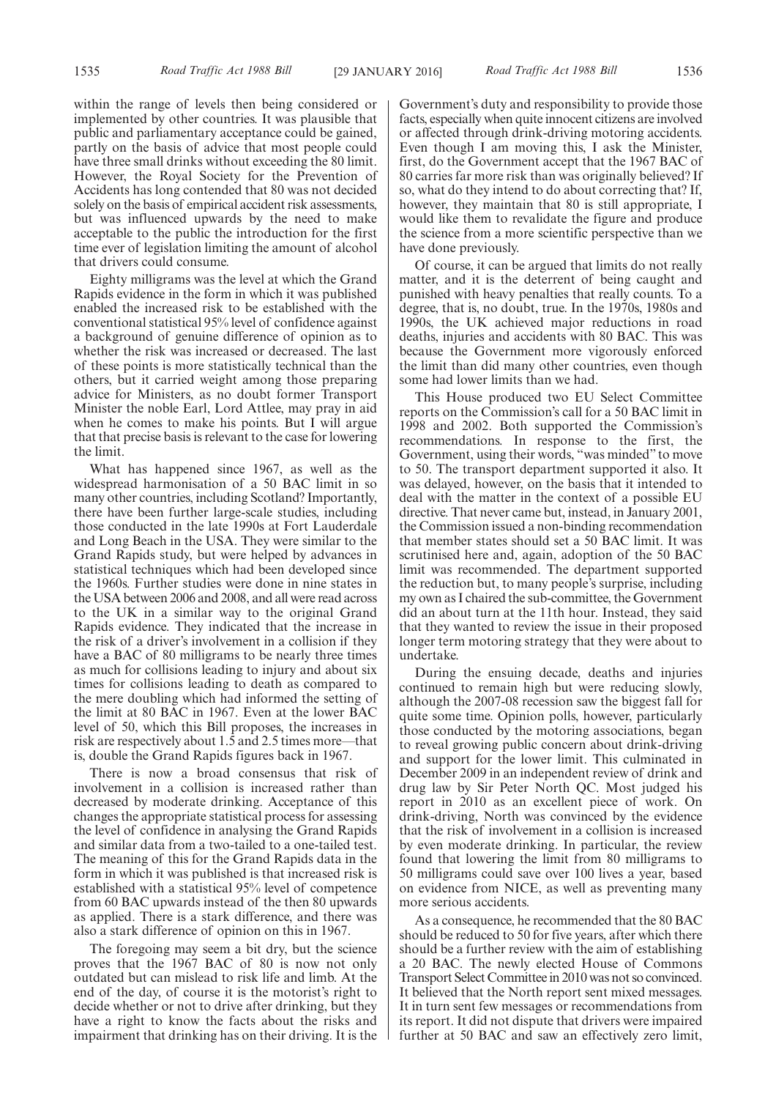within the range of levels then being considered or implemented by other countries. It was plausible that public and parliamentary acceptance could be gained, partly on the basis of advice that most people could have three small drinks without exceeding the 80 limit. However, the Royal Society for the Prevention of Accidents has long contended that 80 was not decided solely on the basis of empirical accident risk assessments, but was influenced upwards by the need to make acceptable to the public the introduction for the first time ever of legislation limiting the amount of alcohol that drivers could consume.

Eighty milligrams was the level at which the Grand Rapids evidence in the form in which it was published enabled the increased risk to be established with the conventional statistical 95% level of confidence against a background of genuine difference of opinion as to whether the risk was increased or decreased. The last of these points is more statistically technical than the others, but it carried weight among those preparing advice for Ministers, as no doubt former Transport Minister the noble Earl, Lord Attlee, may pray in aid when he comes to make his points. But I will argue that that precise basis is relevant to the case for lowering the limit.

What has happened since 1967, as well as the widespread harmonisation of a 50 BAC limit in so many other countries, including Scotland? Importantly, there have been further large-scale studies, including those conducted in the late 1990s at Fort Lauderdale and Long Beach in the USA. They were similar to the Grand Rapids study, but were helped by advances in statistical techniques which had been developed since the 1960s. Further studies were done in nine states in the USA between 2006 and 2008, and all were read across to the UK in a similar way to the original Grand Rapids evidence. They indicated that the increase in the risk of a driver's involvement in a collision if they have a BAC of 80 milligrams to be nearly three times as much for collisions leading to injury and about six times for collisions leading to death as compared to the mere doubling which had informed the setting of the limit at 80 BAC in 1967. Even at the lower BAC level of 50, which this Bill proposes, the increases in risk are respectively about 1.5 and 2.5 times more—that is, double the Grand Rapids figures back in 1967.

There is now a broad consensus that risk of involvement in a collision is increased rather than decreased by moderate drinking. Acceptance of this changes the appropriate statistical process for assessing the level of confidence in analysing the Grand Rapids and similar data from a two-tailed to a one-tailed test. The meaning of this for the Grand Rapids data in the form in which it was published is that increased risk is established with a statistical 95% level of competence from 60 BAC upwards instead of the then 80 upwards as applied. There is a stark difference, and there was also a stark difference of opinion on this in 1967.

The foregoing may seem a bit dry, but the science proves that the 1967 BAC of 80 is now not only outdated but can mislead to risk life and limb. At the end of the day, of course it is the motorist's right to decide whether or not to drive after drinking, but they have a right to know the facts about the risks and impairment that drinking has on their driving. It is the Government's duty and responsibility to provide those facts, especially when quite innocent citizens are involved or affected through drink-driving motoring accidents. Even though I am moving this, I ask the Minister, first, do the Government accept that the 1967 BAC of 80 carries far more risk than was originally believed? If so, what do they intend to do about correcting that? If, however, they maintain that 80 is still appropriate, I would like them to revalidate the figure and produce the science from a more scientific perspective than we have done previously.

Of course, it can be argued that limits do not really matter, and it is the deterrent of being caught and punished with heavy penalties that really counts. To a degree, that is, no doubt, true. In the 1970s, 1980s and 1990s, the UK achieved major reductions in road deaths, injuries and accidents with 80 BAC. This was because the Government more vigorously enforced the limit than did many other countries, even though some had lower limits than we had.

This House produced two EU Select Committee reports on the Commission's call for a 50 BAC limit in 1998 and 2002. Both supported the Commission's recommendations. In response to the first, the Government, using their words, "was minded" to move to 50. The transport department supported it also. It was delayed, however, on the basis that it intended to deal with the matter in the context of a possible EU directive. That never came but, instead, in January 2001, the Commission issued a non-binding recommendation that member states should set a 50 BAC limit. It was scrutinised here and, again, adoption of the 50 BAC limit was recommended. The department supported the reduction but, to many people's surprise, including my own as I chaired the sub-committee, the Government did an about turn at the 11th hour. Instead, they said that they wanted to review the issue in their proposed longer term motoring strategy that they were about to undertake.

During the ensuing decade, deaths and injuries continued to remain high but were reducing slowly, although the 2007-08 recession saw the biggest fall for quite some time. Opinion polls, however, particularly those conducted by the motoring associations, began to reveal growing public concern about drink-driving and support for the lower limit. This culminated in December 2009 in an independent review of drink and drug law by Sir Peter North QC. Most judged his report in 2010 as an excellent piece of work. On drink-driving, North was convinced by the evidence that the risk of involvement in a collision is increased by even moderate drinking. In particular, the review found that lowering the limit from 80 milligrams to 50 milligrams could save over 100 lives a year, based on evidence from NICE, as well as preventing many more serious accidents.

As a consequence, he recommended that the 80 BAC should be reduced to 50 for five years, after which there should be a further review with the aim of establishing a 20 BAC. The newly elected House of Commons Transport Select Committee in 2010 was not so convinced. It believed that the North report sent mixed messages. It in turn sent few messages or recommendations from its report. It did not dispute that drivers were impaired further at 50 BAC and saw an effectively zero limit,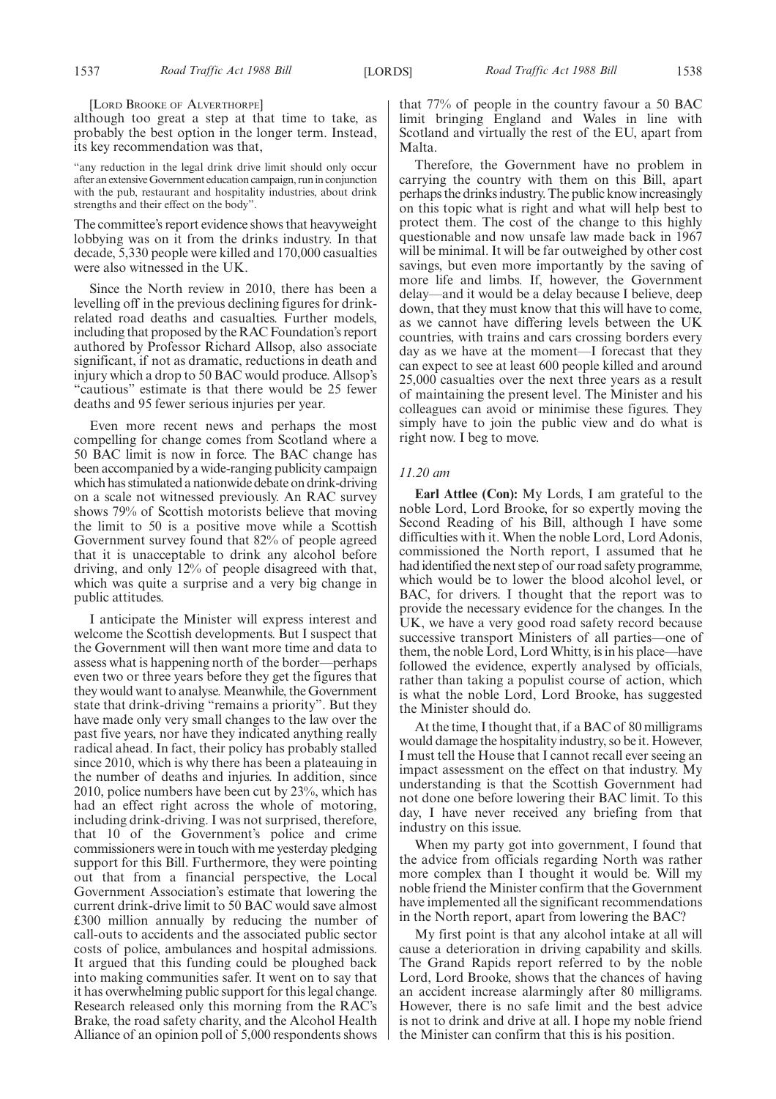[LORD BROOKE OF ALVERTHORPE]

although too great a step at that time to take, as probably the best option in the longer term. Instead, its key recommendation was that,

"any reduction in the legal drink drive limit should only occur after an extensiveGovernment education campaign, runin conjunction with the pub, restaurant and hospitality industries, about drink strengths and their effect on the body".

The committee's report evidence shows that heavyweight lobbying was on it from the drinks industry. In that decade, 5,330 people were killed and 170,000 casualties were also witnessed in the UK.

Since the North review in 2010, there has been a levelling off in the previous declining figures for drinkrelated road deaths and casualties. Further models, including that proposed by the RAC Foundation's report authored by Professor Richard Allsop, also associate significant, if not as dramatic, reductions in death and injury which a drop to 50 BAC would produce. Allsop's "cautious" estimate is that there would be 25 fewer deaths and 95 fewer serious injuries per year.

Even more recent news and perhaps the most compelling for change comes from Scotland where a 50 BAC limit is now in force. The BAC change has been accompanied by a wide-ranging publicity campaign which has stimulated a nationwide debate on drink-driving on a scale not witnessed previously. An RAC survey shows 79% of Scottish motorists believe that moving the limit to 50 is a positive move while a Scottish Government survey found that 82% of people agreed that it is unacceptable to drink any alcohol before driving, and only 12% of people disagreed with that, which was quite a surprise and a very big change in public attitudes.

I anticipate the Minister will express interest and welcome the Scottish developments. But I suspect that the Government will then want more time and data to assess what is happening north of the border—perhaps even two or three years before they get the figures that they would want to analyse. Meanwhile, the Government state that drink-driving "remains a priority". But they have made only very small changes to the law over the past five years, nor have they indicated anything really radical ahead. In fact, their policy has probably stalled since 2010, which is why there has been a plateauing in the number of deaths and injuries. In addition, since 2010, police numbers have been cut by 23%, which has had an effect right across the whole of motoring, including drink-driving. I was not surprised, therefore, that 10 of the Government's police and crime commissioners were in touch with me yesterday pledging support for this Bill. Furthermore, they were pointing out that from a financial perspective, the Local Government Association's estimate that lowering the current drink-drive limit to 50 BAC would save almost £300 million annually by reducing the number of call-outs to accidents and the associated public sector costs of police, ambulances and hospital admissions. It argued that this funding could be ploughed back into making communities safer. It went on to say that it has overwhelming public support for this legal change. Research released only this morning from the RAC's Brake, the road safety charity, and the Alcohol Health Alliance of an opinion poll of 5,000 respondents shows that 77% of people in the country favour a 50 BAC limit bringing England and Wales in line with Scotland and virtually the rest of the EU, apart from Malta.

Therefore, the Government have no problem in carrying the country with them on this Bill, apart perhaps the drinks industry. The public know increasingly on this topic what is right and what will help best to protect them. The cost of the change to this highly questionable and now unsafe law made back in 1967 will be minimal. It will be far outweighed by other cost savings, but even more importantly by the saving of more life and limbs. If, however, the Government delay—and it would be a delay because I believe, deep down, that they must know that this will have to come, as we cannot have differing levels between the UK countries, with trains and cars crossing borders every day as we have at the moment—I forecast that they can expect to see at least 600 people killed and around 25,000 casualties over the next three years as a result of maintaining the present level. The Minister and his colleagues can avoid or minimise these figures. They simply have to join the public view and do what is right now. I beg to move.

#### *11.20 am*

**Earl Attlee (Con):** My Lords, I am grateful to the noble Lord, Lord Brooke, for so expertly moving the Second Reading of his Bill, although I have some difficulties with it. When the noble Lord, Lord Adonis, commissioned the North report, I assumed that he had identified the next step of our road safety programme, which would be to lower the blood alcohol level, or BAC, for drivers. I thought that the report was to provide the necessary evidence for the changes. In the UK, we have a very good road safety record because successive transport Ministers of all parties—one of them, the noble Lord, Lord Whitty, is in his place—have followed the evidence, expertly analysed by officials, rather than taking a populist course of action, which is what the noble Lord, Lord Brooke, has suggested the Minister should do.

At the time, I thought that, if a BAC of 80 milligrams would damage the hospitality industry, so be it. However, I must tell the House that I cannot recall ever seeing an impact assessment on the effect on that industry. My understanding is that the Scottish Government had not done one before lowering their BAC limit. To this day, I have never received any briefing from that industry on this issue.

When my party got into government, I found that the advice from officials regarding North was rather more complex than I thought it would be. Will my noble friend the Minister confirm that the Government have implemented all the significant recommendations in the North report, apart from lowering the BAC?

My first point is that any alcohol intake at all will cause a deterioration in driving capability and skills. The Grand Rapids report referred to by the noble Lord, Lord Brooke, shows that the chances of having an accident increase alarmingly after 80 milligrams. However, there is no safe limit and the best advice is not to drink and drive at all. I hope my noble friend the Minister can confirm that this is his position.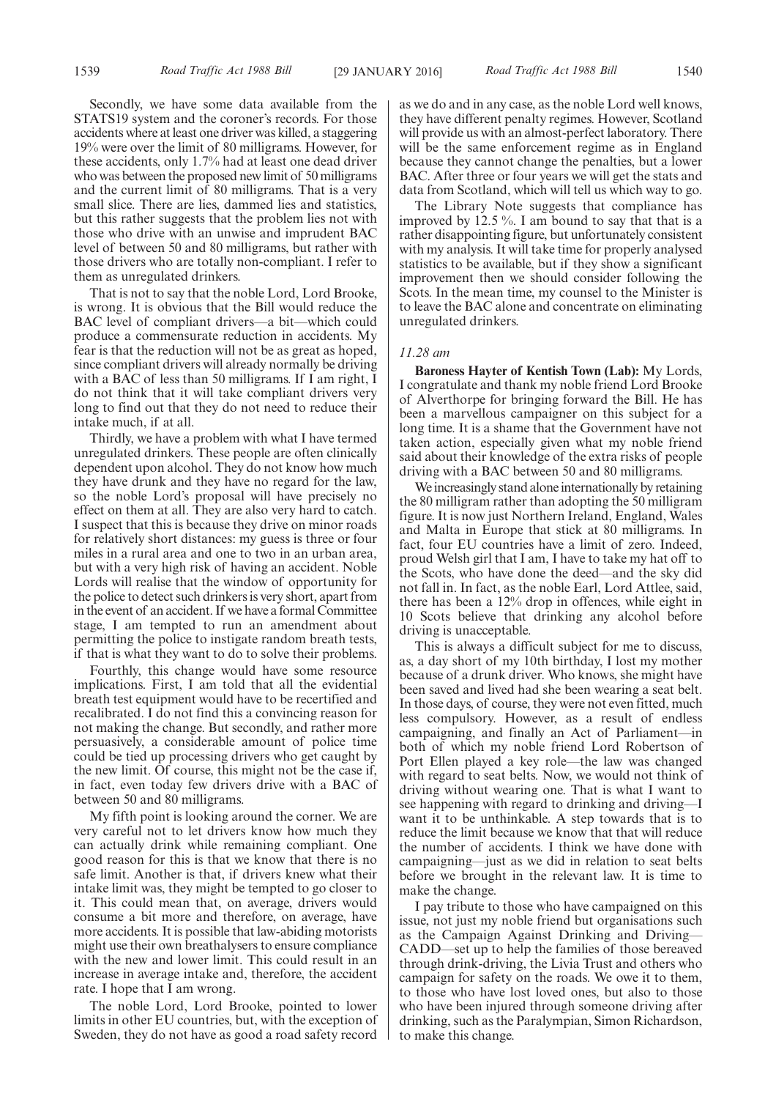Secondly, we have some data available from the STATS19 system and the coroner's records. For those accidents where at least one driver was killed, a staggering 19% were over the limit of 80 milligrams. However, for these accidents, only 1.7% had at least one dead driver who was between the proposed new limit of 50 milligrams and the current limit of 80 milligrams. That is a very small slice. There are lies, dammed lies and statistics, but this rather suggests that the problem lies not with those who drive with an unwise and imprudent BAC level of between 50 and 80 milligrams, but rather with those drivers who are totally non-compliant. I refer to them as unregulated drinkers.

That is not to say that the noble Lord, Lord Brooke, is wrong. It is obvious that the Bill would reduce the BAC level of compliant drivers—a bit—which could produce a commensurate reduction in accidents. My fear is that the reduction will not be as great as hoped, since compliant drivers will already normally be driving with a BAC of less than 50 milligrams. If I am right, I do not think that it will take compliant drivers very long to find out that they do not need to reduce their intake much, if at all.

Thirdly, we have a problem with what I have termed unregulated drinkers. These people are often clinically dependent upon alcohol. They do not know how much they have drunk and they have no regard for the law, so the noble Lord's proposal will have precisely no effect on them at all. They are also very hard to catch. I suspect that this is because they drive on minor roads for relatively short distances: my guess is three or four miles in a rural area and one to two in an urban area, but with a very high risk of having an accident. Noble Lords will realise that the window of opportunity for the police to detect such drinkers is very short, apart from in the event of an accident. If we have a formal Committee stage, I am tempted to run an amendment about permitting the police to instigate random breath tests, if that is what they want to do to solve their problems.

Fourthly, this change would have some resource implications. First, I am told that all the evidential breath test equipment would have to be recertified and recalibrated. I do not find this a convincing reason for not making the change. But secondly, and rather more persuasively, a considerable amount of police time could be tied up processing drivers who get caught by the new limit. Of course, this might not be the case if, in fact, even today few drivers drive with a BAC of between 50 and 80 milligrams.

My fifth point is looking around the corner. We are very careful not to let drivers know how much they can actually drink while remaining compliant. One good reason for this is that we know that there is no safe limit. Another is that, if drivers knew what their intake limit was, they might be tempted to go closer to it. This could mean that, on average, drivers would consume a bit more and therefore, on average, have more accidents. It is possible that law-abiding motorists might use their own breathalysers to ensure compliance with the new and lower limit. This could result in an increase in average intake and, therefore, the accident rate. I hope that I am wrong.

The noble Lord, Lord Brooke, pointed to lower limits in other EU countries, but, with the exception of Sweden, they do not have as good a road safety record as we do and in any case, as the noble Lord well knows, they have different penalty regimes. However, Scotland will provide us with an almost-perfect laboratory. There will be the same enforcement regime as in England because they cannot change the penalties, but a lower BAC. After three or four years we will get the stats and data from Scotland, which will tell us which way to go.

The Library Note suggests that compliance has improved by 12.5 %. I am bound to say that that is a rather disappointing figure, but unfortunately consistent with my analysis. It will take time for properly analysed statistics to be available, but if they show a significant improvement then we should consider following the Scots. In the mean time, my counsel to the Minister is to leave the BAC alone and concentrate on eliminating unregulated drinkers.

#### *11.28 am*

**Baroness Hayter of Kentish Town (Lab):** My Lords, I congratulate and thank my noble friend Lord Brooke of Alverthorpe for bringing forward the Bill. He has been a marvellous campaigner on this subject for a long time. It is a shame that the Government have not taken action, especially given what my noble friend said about their knowledge of the extra risks of people driving with a BAC between 50 and 80 milligrams.

We increasingly stand alone internationally by retaining the 80 milligram rather than adopting the 50 milligram figure. It is now just Northern Ireland, England, Wales and Malta in Europe that stick at 80 milligrams. In fact, four EU countries have a limit of zero. Indeed, proud Welsh girl that I am, I have to take my hat off to the Scots, who have done the deed—and the sky did not fall in. In fact, as the noble Earl, Lord Attlee, said, there has been a 12% drop in offences, while eight in 10 Scots believe that drinking any alcohol before driving is unacceptable.

This is always a difficult subject for me to discuss, as, a day short of my 10th birthday, I lost my mother because of a drunk driver. Who knows, she might have been saved and lived had she been wearing a seat belt. In those days, of course, they were not even fitted, much less compulsory. However, as a result of endless campaigning, and finally an Act of Parliament—in both of which my noble friend Lord Robertson of Port Ellen played a key role—the law was changed with regard to seat belts. Now, we would not think of driving without wearing one. That is what I want to see happening with regard to drinking and driving—I want it to be unthinkable. A step towards that is to reduce the limit because we know that that will reduce the number of accidents. I think we have done with campaigning—just as we did in relation to seat belts before we brought in the relevant law. It is time to make the change.

I pay tribute to those who have campaigned on this issue, not just my noble friend but organisations such as the Campaign Against Drinking and Driving— CADD—set up to help the families of those bereaved through drink-driving, the Livia Trust and others who campaign for safety on the roads. We owe it to them, to those who have lost loved ones, but also to those who have been injured through someone driving after drinking, such as the Paralympian, Simon Richardson, to make this change.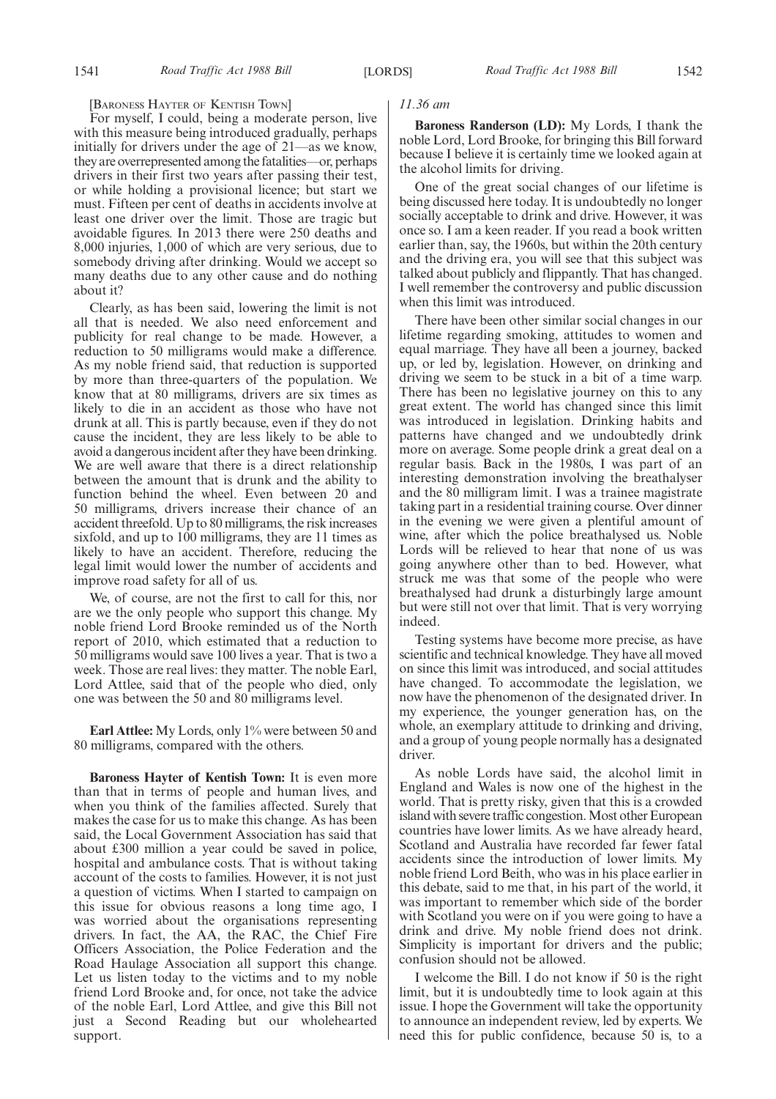#### [BARONESS HAYTER OF KENTISH TOWN]

For myself, I could, being a moderate person, live with this measure being introduced gradually, perhaps initially for drivers under the age of 21—as we know, they are overrepresented among the fatalities—or, perhaps drivers in their first two years after passing their test, or while holding a provisional licence; but start we must. Fifteen per cent of deaths in accidents involve at least one driver over the limit. Those are tragic but avoidable figures. In 2013 there were 250 deaths and 8,000 injuries, 1,000 of which are very serious, due to somebody driving after drinking. Would we accept so many deaths due to any other cause and do nothing about it?

Clearly, as has been said, lowering the limit is not all that is needed. We also need enforcement and publicity for real change to be made. However, a reduction to 50 milligrams would make a difference. As my noble friend said, that reduction is supported by more than three-quarters of the population. We know that at 80 milligrams, drivers are six times as likely to die in an accident as those who have not drunk at all. This is partly because, even if they do not cause the incident, they are less likely to be able to avoid a dangerous incident after they have been drinking. We are well aware that there is a direct relationship between the amount that is drunk and the ability to function behind the wheel. Even between 20 and 50 milligrams, drivers increase their chance of an accident threefold. Up to 80 milligrams, the risk increases sixfold, and up to 100 milligrams, they are 11 times as likely to have an accident. Therefore, reducing the legal limit would lower the number of accidents and improve road safety for all of us.

We, of course, are not the first to call for this, nor are we the only people who support this change. My noble friend Lord Brooke reminded us of the North report of 2010, which estimated that a reduction to 50 milligrams would save 100 lives a year. That is two a week. Those are real lives: they matter. The noble Earl, Lord Attlee, said that of the people who died, only one was between the 50 and 80 milligrams level.

**Earl Attlee:** My Lords, only 1% were between 50 and 80 milligrams, compared with the others.

**Baroness Hayter of Kentish Town:** It is even more than that in terms of people and human lives, and when you think of the families affected. Surely that makes the case for us to make this change. As has been said, the Local Government Association has said that about £300 million a year could be saved in police, hospital and ambulance costs. That is without taking account of the costs to families. However, it is not just a question of victims. When I started to campaign on this issue for obvious reasons a long time ago, I was worried about the organisations representing drivers. In fact, the AA, the RAC, the Chief Fire Officers Association, the Police Federation and the Road Haulage Association all support this change. Let us listen today to the victims and to my noble friend Lord Brooke and, for once, not take the advice of the noble Earl, Lord Attlee, and give this Bill not just a Second Reading but our wholehearted support.

### *11.36 am*

**Baroness Randerson (LD):** My Lords, I thank the noble Lord, Lord Brooke, for bringing this Bill forward because I believe it is certainly time we looked again at the alcohol limits for driving.

One of the great social changes of our lifetime is being discussed here today. It is undoubtedly no longer socially acceptable to drink and drive. However, it was once so. I am a keen reader. If you read a book written earlier than, say, the 1960s, but within the 20th century and the driving era, you will see that this subject was talked about publicly and flippantly. That has changed. I well remember the controversy and public discussion when this limit was introduced.

There have been other similar social changes in our lifetime regarding smoking, attitudes to women and equal marriage. They have all been a journey, backed up, or led by, legislation. However, on drinking and driving we seem to be stuck in a bit of a time warp. There has been no legislative journey on this to any great extent. The world has changed since this limit was introduced in legislation. Drinking habits and patterns have changed and we undoubtedly drink more on average. Some people drink a great deal on a regular basis. Back in the 1980s, I was part of an interesting demonstration involving the breathalyser and the 80 milligram limit. I was a trainee magistrate taking part in a residential training course. Over dinner in the evening we were given a plentiful amount of wine, after which the police breathalysed us. Noble Lords will be relieved to hear that none of us was going anywhere other than to bed. However, what struck me was that some of the people who were breathalysed had drunk a disturbingly large amount but were still not over that limit. That is very worrying indeed.

Testing systems have become more precise, as have scientific and technical knowledge. They have all moved on since this limit was introduced, and social attitudes have changed. To accommodate the legislation, we now have the phenomenon of the designated driver. In my experience, the younger generation has, on the whole, an exemplary attitude to drinking and driving, and a group of young people normally has a designated driver.

As noble Lords have said, the alcohol limit in England and Wales is now one of the highest in the world. That is pretty risky, given that this is a crowded island with severe traffic congestion. Most other European countries have lower limits. As we have already heard, Scotland and Australia have recorded far fewer fatal accidents since the introduction of lower limits. My noble friend Lord Beith, who was in his place earlier in this debate, said to me that, in his part of the world, it was important to remember which side of the border with Scotland you were on if you were going to have a drink and drive. My noble friend does not drink. Simplicity is important for drivers and the public; confusion should not be allowed.

I welcome the Bill. I do not know if 50 is the right limit, but it is undoubtedly time to look again at this issue. I hope the Government will take the opportunity to announce an independent review, led by experts. We need this for public confidence, because 50 is, to a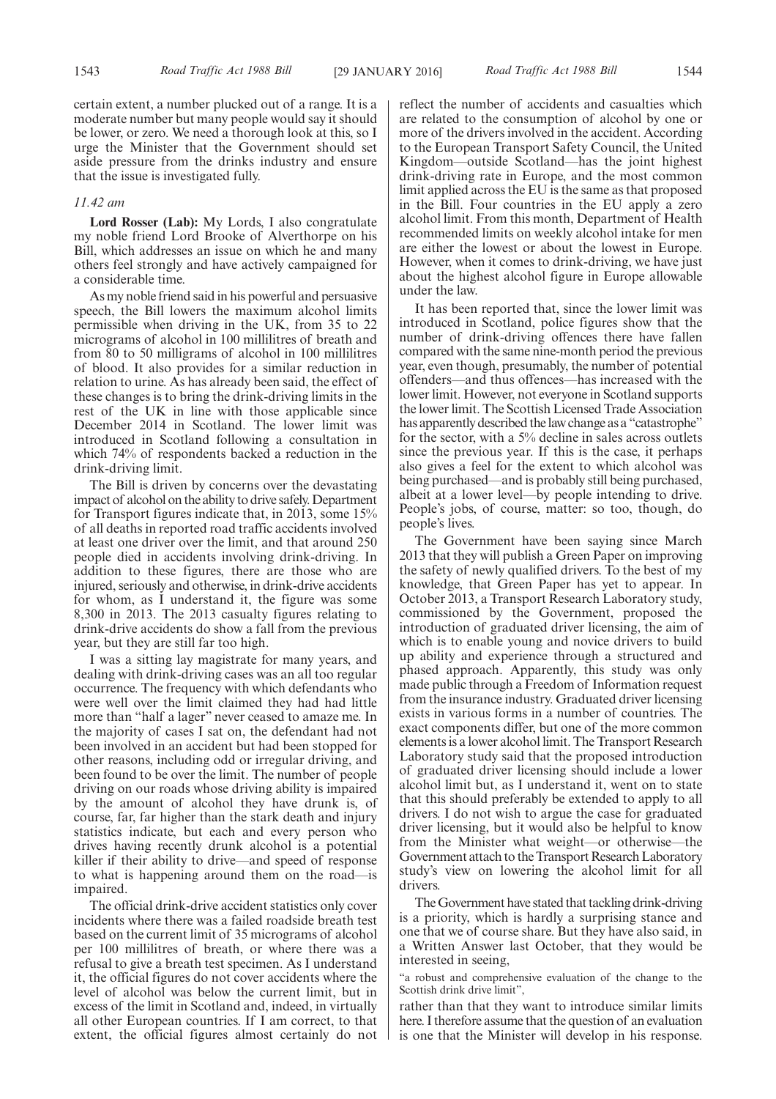certain extent, a number plucked out of a range. It is a moderate number but many people would say it should be lower, or zero. We need a thorough look at this, so I urge the Minister that the Government should set aside pressure from the drinks industry and ensure that the issue is investigated fully.

#### *11.42 am*

**Lord Rosser (Lab):** My Lords, I also congratulate my noble friend Lord Brooke of Alverthorpe on his Bill, which addresses an issue on which he and many others feel strongly and have actively campaigned for a considerable time.

As my noble friend said in his powerful and persuasive speech, the Bill lowers the maximum alcohol limits permissible when driving in the UK, from 35 to 22 micrograms of alcohol in 100 millilitres of breath and from 80 to 50 milligrams of alcohol in 100 millilitres of blood. It also provides for a similar reduction in relation to urine. As has already been said, the effect of these changes is to bring the drink-driving limits in the rest of the UK in line with those applicable since December 2014 in Scotland. The lower limit was introduced in Scotland following a consultation in which 74% of respondents backed a reduction in the drink-driving limit.

The Bill is driven by concerns over the devastating impact of alcohol on the ability to drive safely. Department for Transport figures indicate that, in 2013, some 15% of all deaths in reported road traffic accidents involved at least one driver over the limit, and that around 250 people died in accidents involving drink-driving. In addition to these figures, there are those who are injured, seriously and otherwise, in drink-drive accidents for whom, as I understand it, the figure was some 8,300 in 2013. The 2013 casualty figures relating to drink-drive accidents do show a fall from the previous year, but they are still far too high.

I was a sitting lay magistrate for many years, and dealing with drink-driving cases was an all too regular occurrence. The frequency with which defendants who were well over the limit claimed they had had little more than "half a lager" never ceased to amaze me. In the majority of cases I sat on, the defendant had not been involved in an accident but had been stopped for other reasons, including odd or irregular driving, and been found to be over the limit. The number of people driving on our roads whose driving ability is impaired by the amount of alcohol they have drunk is, of course, far, far higher than the stark death and injury statistics indicate, but each and every person who drives having recently drunk alcohol is a potential killer if their ability to drive—and speed of response to what is happening around them on the road—is impaired.

The official drink-drive accident statistics only cover incidents where there was a failed roadside breath test based on the current limit of 35 micrograms of alcohol per 100 millilitres of breath, or where there was a refusal to give a breath test specimen. As I understand it, the official figures do not cover accidents where the level of alcohol was below the current limit, but in excess of the limit in Scotland and, indeed, in virtually all other European countries. If I am correct, to that extent, the official figures almost certainly do not reflect the number of accidents and casualties which are related to the consumption of alcohol by one or more of the drivers involved in the accident. According to the European Transport Safety Council, the United Kingdom—outside Scotland—has the joint highest drink-driving rate in Europe, and the most common limit applied across the EU is the same as that proposed in the Bill. Four countries in the EU apply a zero alcohol limit. From this month, Department of Health recommended limits on weekly alcohol intake for men are either the lowest or about the lowest in Europe. However, when it comes to drink-driving, we have just about the highest alcohol figure in Europe allowable under the law.

It has been reported that, since the lower limit was introduced in Scotland, police figures show that the number of drink-driving offences there have fallen compared with the same nine-month period the previous year, even though, presumably, the number of potential offenders—and thus offences—has increased with the lower limit. However, not everyone in Scotland supports the lower limit. The Scottish Licensed Trade Association has apparently described the law change as a "catastrophe" for the sector, with a 5% decline in sales across outlets since the previous year. If this is the case, it perhaps also gives a feel for the extent to which alcohol was being purchased—and is probably still being purchased, albeit at a lower level—by people intending to drive. People's jobs, of course, matter: so too, though, do people's lives.

The Government have been saying since March 2013 that they will publish a Green Paper on improving the safety of newly qualified drivers. To the best of my knowledge, that Green Paper has yet to appear. In October 2013, a Transport Research Laboratory study, commissioned by the Government, proposed the introduction of graduated driver licensing, the aim of which is to enable young and novice drivers to build up ability and experience through a structured and phased approach. Apparently, this study was only made public through a Freedom of Information request from the insurance industry. Graduated driver licensing exists in various forms in a number of countries. The exact components differ, but one of the more common elements is a lower alcohol limit. The Transport Research Laboratory study said that the proposed introduction of graduated driver licensing should include a lower alcohol limit but, as I understand it, went on to state that this should preferably be extended to apply to all drivers. I do not wish to argue the case for graduated driver licensing, but it would also be helpful to know from the Minister what weight—or otherwise—the Government attach to the Transport Research Laboratory study's view on lowering the alcohol limit for all drivers.

The Government have stated that tackling drink-driving is a priority, which is hardly a surprising stance and one that we of course share. But they have also said, in a Written Answer last October, that they would be interested in seeing,

"a robust and comprehensive evaluation of the change to the Scottish drink drive limit",

rather than that they want to introduce similar limits here. I therefore assume that the question of an evaluation is one that the Minister will develop in his response.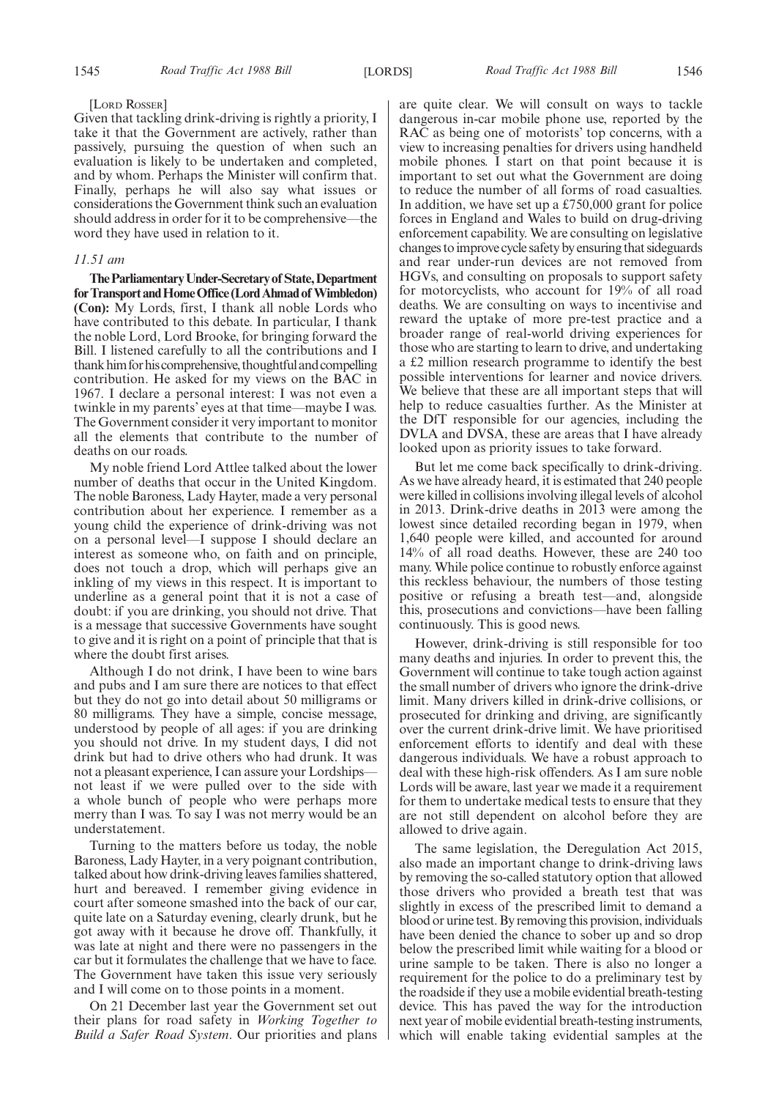#### [LORD ROSSER]

Given that tackling drink-driving is rightly a priority, I take it that the Government are actively, rather than passively, pursuing the question of when such an evaluation is likely to be undertaken and completed, and by whom. Perhaps the Minister will confirm that. Finally, perhaps he will also say what issues or considerations the Government think such an evaluation should address in order for it to be comprehensive—the word they have used in relation to it.

#### *11.51 am*

**TheParliamentaryUnder-Secretaryof State,Department** for Transport and Home Office (Lord Ahmad of Wimbledon) **(Con):** My Lords, first, I thank all noble Lords who have contributed to this debate. In particular, I thank the noble Lord, Lord Brooke, for bringing forward the Bill. I listened carefully to all the contributions and I thank him for his comprehensive, thoughtful and compelling contribution. He asked for my views on the BAC in 1967. I declare a personal interest: I was not even a twinkle in my parents' eyes at that time—maybe I was. The Government consider it very important to monitor all the elements that contribute to the number of deaths on our roads.

My noble friend Lord Attlee talked about the lower number of deaths that occur in the United Kingdom. The noble Baroness, Lady Hayter, made a very personal contribution about her experience. I remember as a young child the experience of drink-driving was not on a personal level—I suppose I should declare an interest as someone who, on faith and on principle, does not touch a drop, which will perhaps give an inkling of my views in this respect. It is important to underline as a general point that it is not a case of doubt: if you are drinking, you should not drive. That is a message that successive Governments have sought to give and it is right on a point of principle that that is where the doubt first arises.

Although I do not drink, I have been to wine bars and pubs and I am sure there are notices to that effect but they do not go into detail about 50 milligrams or 80 milligrams. They have a simple, concise message, understood by people of all ages: if you are drinking you should not drive. In my student days, I did not drink but had to drive others who had drunk. It was not a pleasant experience, I can assure your Lordships not least if we were pulled over to the side with a whole bunch of people who were perhaps more merry than I was. To say I was not merry would be an understatement.

Turning to the matters before us today, the noble Baroness, Lady Hayter, in a very poignant contribution, talked about how drink-driving leaves families shattered, hurt and bereaved. I remember giving evidence in court after someone smashed into the back of our car, quite late on a Saturday evening, clearly drunk, but he got away with it because he drove off. Thankfully, it was late at night and there were no passengers in the car but it formulates the challenge that we have to face. The Government have taken this issue very seriously and I will come on to those points in a moment.

On 21 December last year the Government set out their plans for road safety in *Working Together to Build a Safer Road System*. Our priorities and plans are quite clear. We will consult on ways to tackle dangerous in-car mobile phone use, reported by the RAC as being one of motorists' top concerns, with a view to increasing penalties for drivers using handheld mobile phones. I start on that point because it is important to set out what the Government are doing to reduce the number of all forms of road casualties. In addition, we have set up a £750,000 grant for police forces in England and Wales to build on drug-driving enforcement capability. We are consulting on legislative changes toimprove cycle safety by ensuring that sideguards and rear under-run devices are not removed from HGVs, and consulting on proposals to support safety for motorcyclists, who account for 19% of all road deaths. We are consulting on ways to incentivise and reward the uptake of more pre-test practice and a broader range of real-world driving experiences for those who are starting to learn to drive, and undertaking a £2 million research programme to identify the best possible interventions for learner and novice drivers. We believe that these are all important steps that will help to reduce casualties further. As the Minister at the DfT responsible for our agencies, including the DVLA and DVSA, these are areas that I have already looked upon as priority issues to take forward.

But let me come back specifically to drink-driving. As we have already heard, it is estimated that 240 people were killed in collisions involving illegal levels of alcohol in 2013. Drink-drive deaths in 2013 were among the lowest since detailed recording began in 1979, when 1,640 people were killed, and accounted for around 14% of all road deaths. However, these are 240 too many. While police continue to robustly enforce against this reckless behaviour, the numbers of those testing positive or refusing a breath test—and, alongside this, prosecutions and convictions—have been falling continuously. This is good news.

However, drink-driving is still responsible for too many deaths and injuries. In order to prevent this, the Government will continue to take tough action against the small number of drivers who ignore the drink-drive limit. Many drivers killed in drink-drive collisions, or prosecuted for drinking and driving, are significantly over the current drink-drive limit. We have prioritised enforcement efforts to identify and deal with these dangerous individuals. We have a robust approach to deal with these high-risk offenders. As I am sure noble Lords will be aware, last year we made it a requirement for them to undertake medical tests to ensure that they are not still dependent on alcohol before they are allowed to drive again.

The same legislation, the Deregulation Act 2015, also made an important change to drink-driving laws by removing the so-called statutory option that allowed those drivers who provided a breath test that was slightly in excess of the prescribed limit to demand a blood or urine test. By removing this provision, individuals have been denied the chance to sober up and so drop below the prescribed limit while waiting for a blood or urine sample to be taken. There is also no longer a requirement for the police to do a preliminary test by the roadside if they use a mobile evidential breath-testing device. This has paved the way for the introduction next year of mobile evidential breath-testing instruments, which will enable taking evidential samples at the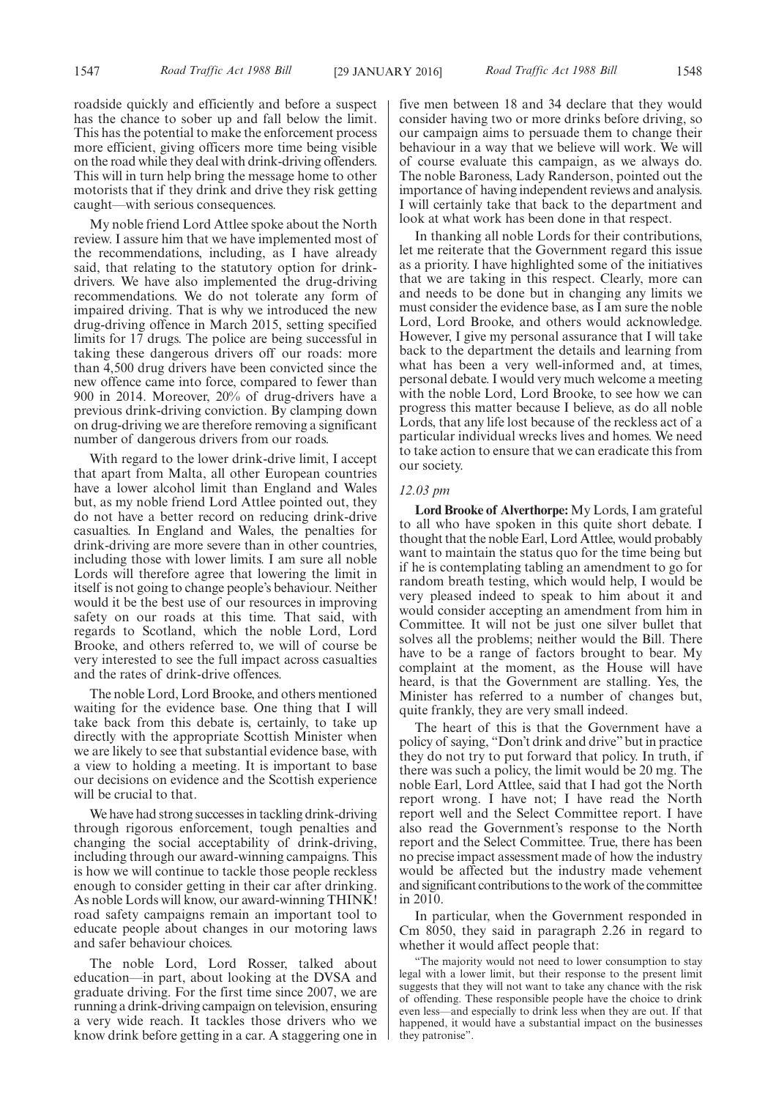roadside quickly and efficiently and before a suspect has the chance to sober up and fall below the limit. This has the potential to make the enforcement process more efficient, giving officers more time being visible on the road while they deal with drink-driving offenders. This will in turn help bring the message home to other motorists that if they drink and drive they risk getting caught—with serious consequences.

My noble friend Lord Attlee spoke about the North review. I assure him that we have implemented most of the recommendations, including, as I have already said, that relating to the statutory option for drinkdrivers. We have also implemented the drug-driving recommendations. We do not tolerate any form of impaired driving. That is why we introduced the new drug-driving offence in March 2015, setting specified limits for 17 drugs. The police are being successful in taking these dangerous drivers off our roads: more than 4,500 drug drivers have been convicted since the new offence came into force, compared to fewer than 900 in 2014. Moreover, 20% of drug-drivers have a previous drink-driving conviction. By clamping down on drug-driving we are therefore removing a significant number of dangerous drivers from our roads.

With regard to the lower drink-drive limit, I accept that apart from Malta, all other European countries have a lower alcohol limit than England and Wales but, as my noble friend Lord Attlee pointed out, they do not have a better record on reducing drink-drive casualties. In England and Wales, the penalties for drink-driving are more severe than in other countries, including those with lower limits. I am sure all noble Lords will therefore agree that lowering the limit in itself is not going to change people's behaviour. Neither would it be the best use of our resources in improving safety on our roads at this time. That said, with regards to Scotland, which the noble Lord, Lord Brooke, and others referred to, we will of course be very interested to see the full impact across casualties and the rates of drink-drive offences.

The noble Lord, Lord Brooke, and others mentioned waiting for the evidence base. One thing that I will take back from this debate is, certainly, to take up directly with the appropriate Scottish Minister when we are likely to see that substantial evidence base, with a view to holding a meeting. It is important to base our decisions on evidence and the Scottish experience will be crucial to that.

We have had strong successes in tackling drink-driving through rigorous enforcement, tough penalties and changing the social acceptability of drink-driving, including through our award-winning campaigns. This is how we will continue to tackle those people reckless enough to consider getting in their car after drinking. As noble Lords will know, our award-winning THINK! road safety campaigns remain an important tool to educate people about changes in our motoring laws and safer behaviour choices.

The noble Lord, Lord Rosser, talked about education—in part, about looking at the DVSA and graduate driving. For the first time since 2007, we are running a drink-driving campaign on television, ensuring a very wide reach. It tackles those drivers who we know drink before getting in a car. A staggering one in five men between 18 and 34 declare that they would consider having two or more drinks before driving, so our campaign aims to persuade them to change their behaviour in a way that we believe will work. We will of course evaluate this campaign, as we always do. The noble Baroness, Lady Randerson, pointed out the importance of having independent reviews and analysis. I will certainly take that back to the department and look at what work has been done in that respect.

In thanking all noble Lords for their contributions, let me reiterate that the Government regard this issue as a priority. I have highlighted some of the initiatives that we are taking in this respect. Clearly, more can and needs to be done but in changing any limits we must consider the evidence base, as I am sure the noble Lord, Lord Brooke, and others would acknowledge. However, I give my personal assurance that I will take back to the department the details and learning from what has been a very well-informed and, at times, personal debate. I would very much welcome a meeting with the noble Lord, Lord Brooke, to see how we can progress this matter because I believe, as do all noble Lords, that any life lost because of the reckless act of a particular individual wrecks lives and homes. We need to take action to ensure that we can eradicate this from our society.

#### *12.03 pm*

**Lord Brooke of Alverthorpe:** My Lords, I am grateful to all who have spoken in this quite short debate. I thought that the noble Earl, Lord Attlee, would probably want to maintain the status quo for the time being but if he is contemplating tabling an amendment to go for random breath testing, which would help, I would be very pleased indeed to speak to him about it and would consider accepting an amendment from him in Committee. It will not be just one silver bullet that solves all the problems; neither would the Bill. There have to be a range of factors brought to bear. My complaint at the moment, as the House will have heard, is that the Government are stalling. Yes, the Minister has referred to a number of changes but, quite frankly, they are very small indeed.

The heart of this is that the Government have a policy of saying, "Don't drink and drive" but in practice they do not try to put forward that policy. In truth, if there was such a policy, the limit would be 20 mg. The noble Earl, Lord Attlee, said that I had got the North report wrong. I have not; I have read the North report well and the Select Committee report. I have also read the Government's response to the North report and the Select Committee. True, there has been no precise impact assessment made of how the industry would be affected but the industry made vehement and significant contributions to the work of the committee in 2010.

In particular, when the Government responded in Cm 8050, they said in paragraph 2.26 in regard to whether it would affect people that:

"The majority would not need to lower consumption to stay legal with a lower limit, but their response to the present limit suggests that they will not want to take any chance with the risk of offending. These responsible people have the choice to drink even less—and especially to drink less when they are out. If that happened, it would have a substantial impact on the businesses they patronise".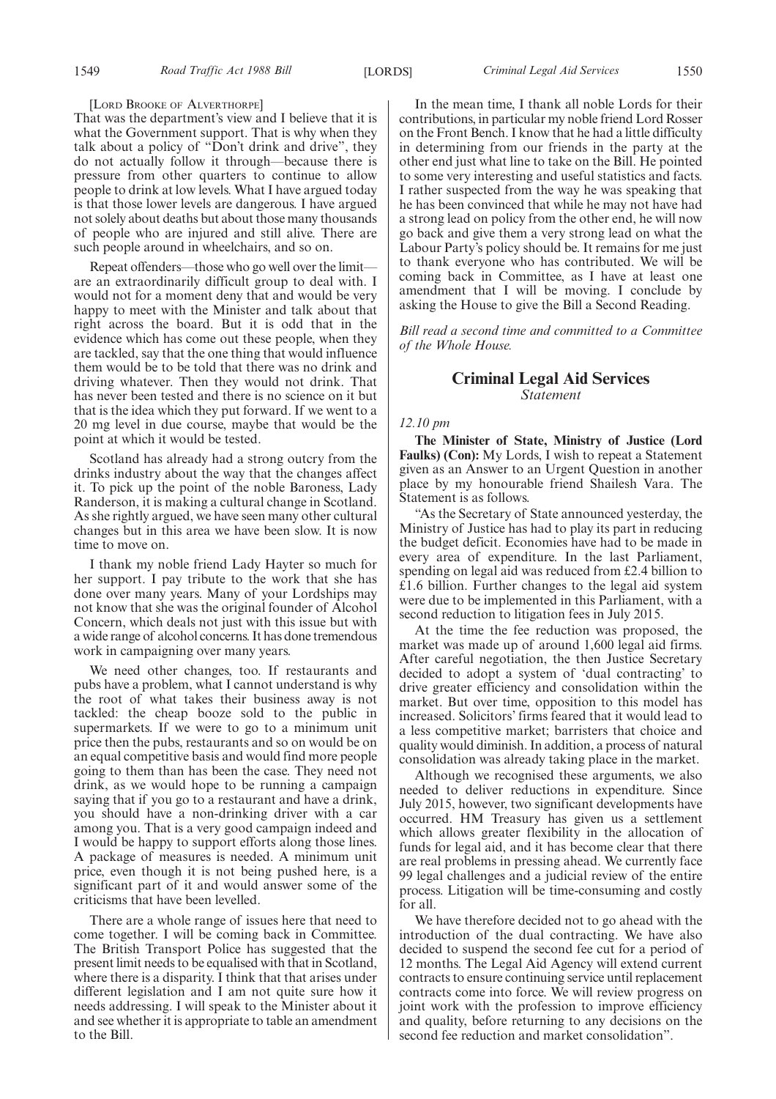#### [LORD BROOKE OF ALVERTHORPE]

That was the department's view and I believe that it is what the Government support. That is why when they talk about a policy of "Don't drink and drive", they do not actually follow it through—because there is pressure from other quarters to continue to allow people to drink at low levels. What I have argued today is that those lower levels are dangerous. I have argued not solely about deaths but about those many thousands of people who are injured and still alive. There are such people around in wheelchairs, and so on.

Repeat offenders—those who go well over the limit are an extraordinarily difficult group to deal with. I would not for a moment deny that and would be very happy to meet with the Minister and talk about that right across the board. But it is odd that in the evidence which has come out these people, when they are tackled, say that the one thing that would influence them would be to be told that there was no drink and driving whatever. Then they would not drink. That has never been tested and there is no science on it but that is the idea which they put forward. If we went to a 20 mg level in due course, maybe that would be the point at which it would be tested.

Scotland has already had a strong outcry from the drinks industry about the way that the changes affect it. To pick up the point of the noble Baroness, Lady Randerson, it is making a cultural change in Scotland. As she rightly argued, we have seen many other cultural changes but in this area we have been slow. It is now time to move on.

I thank my noble friend Lady Hayter so much for her support. I pay tribute to the work that she has done over many years. Many of your Lordships may not know that she was the original founder of Alcohol Concern, which deals not just with this issue but with a wide range of alcohol concerns. It has done tremendous work in campaigning over many years.

We need other changes, too. If restaurants and pubs have a problem, what I cannot understand is why the root of what takes their business away is not tackled: the cheap booze sold to the public in supermarkets. If we were to go to a minimum unit price then the pubs, restaurants and so on would be on an equal competitive basis and would find more people going to them than has been the case. They need not drink, as we would hope to be running a campaign saying that if you go to a restaurant and have a drink, you should have a non-drinking driver with a car among you. That is a very good campaign indeed and I would be happy to support efforts along those lines. A package of measures is needed. A minimum unit price, even though it is not being pushed here, is a significant part of it and would answer some of the criticisms that have been levelled.

There are a whole range of issues here that need to come together. I will be coming back in Committee. The British Transport Police has suggested that the present limit needs to be equalised with that in Scotland, where there is a disparity. I think that that arises under different legislation and I am not quite sure how it needs addressing. I will speak to the Minister about it and see whether it is appropriate to table an amendment to the Bill.

In the mean time, I thank all noble Lords for their contributions, in particular my noble friend Lord Rosser on the Front Bench. I know that he had a little difficulty in determining from our friends in the party at the other end just what line to take on the Bill. He pointed to some very interesting and useful statistics and facts. I rather suspected from the way he was speaking that he has been convinced that while he may not have had a strong lead on policy from the other end, he will now go back and give them a very strong lead on what the Labour Party's policy should be. It remains for me just to thank everyone who has contributed. We will be coming back in Committee, as I have at least one amendment that I will be moving. I conclude by asking the House to give the Bill a Second Reading.

*Bill read a second time and committed to a Committee of the Whole House.*

# **Criminal Legal Aid Services** *Statement*

## *12.10 pm*

**The Minister of State, Ministry of Justice (Lord Faulks) (Con):** My Lords, I wish to repeat a Statement given as an Answer to an Urgent Question in another place by my honourable friend Shailesh Vara. The Statement is as follows.

"As the Secretary of State announced yesterday, the Ministry of Justice has had to play its part in reducing the budget deficit. Economies have had to be made in every area of expenditure. In the last Parliament, spending on legal aid was reduced from £2.4 billion to £1.6 billion. Further changes to the legal aid system were due to be implemented in this Parliament, with a second reduction to litigation fees in July 2015.

At the time the fee reduction was proposed, the market was made up of around 1,600 legal aid firms. After careful negotiation, the then Justice Secretary decided to adopt a system of 'dual contracting' to drive greater efficiency and consolidation within the market. But over time, opposition to this model has increased. Solicitors' firms feared that it would lead to a less competitive market; barristers that choice and quality would diminish. In addition, a process of natural consolidation was already taking place in the market.

Although we recognised these arguments, we also needed to deliver reductions in expenditure. Since July 2015, however, two significant developments have occurred. HM Treasury has given us a settlement which allows greater flexibility in the allocation of funds for legal aid, and it has become clear that there are real problems in pressing ahead. We currently face 99 legal challenges and a judicial review of the entire process. Litigation will be time-consuming and costly for all.

We have therefore decided not to go ahead with the introduction of the dual contracting. We have also decided to suspend the second fee cut for a period of 12 months. The Legal Aid Agency will extend current contracts to ensure continuing service until replacement contracts come into force. We will review progress on joint work with the profession to improve efficiency and quality, before returning to any decisions on the second fee reduction and market consolidation".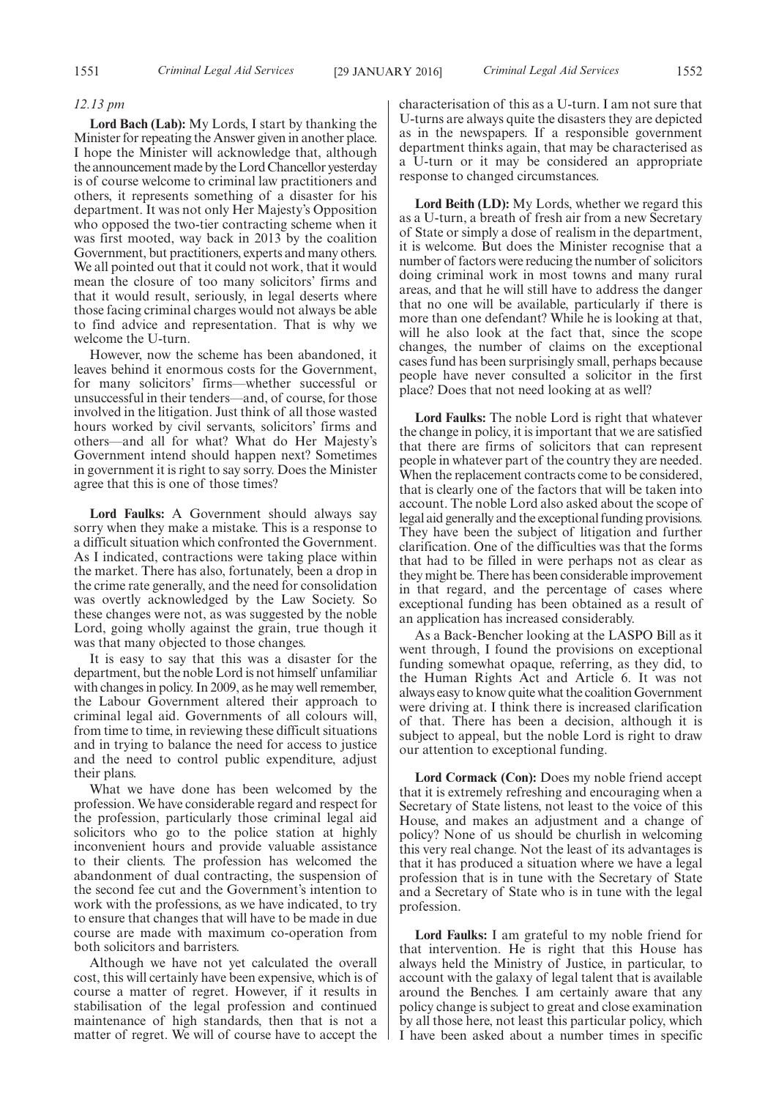#### *12.13 pm*

**Lord Bach (Lab):** My Lords, I start by thanking the Minister for repeating the Answer given in another place. I hope the Minister will acknowledge that, although the announcement made by the Lord Chancellor yesterday is of course welcome to criminal law practitioners and others, it represents something of a disaster for his department. It was not only Her Majesty's Opposition who opposed the two-tier contracting scheme when it was first mooted, way back in 2013 by the coalition Government, but practitioners, experts and many others. We all pointed out that it could not work, that it would mean the closure of too many solicitors' firms and that it would result, seriously, in legal deserts where those facing criminal charges would not always be able to find advice and representation. That is why we welcome the U-turn.

However, now the scheme has been abandoned, it leaves behind it enormous costs for the Government, for many solicitors' firms—whether successful or unsuccessful in their tenders—and, of course, for those involved in the litigation. Just think of all those wasted hours worked by civil servants, solicitors' firms and others—and all for what? What do Her Majesty's Government intend should happen next? Sometimes in government it is right to say sorry. Does the Minister agree that this is one of those times?

**Lord Faulks:** A Government should always say sorry when they make a mistake. This is a response to a difficult situation which confronted the Government. As I indicated, contractions were taking place within the market. There has also, fortunately, been a drop in the crime rate generally, and the need for consolidation was overtly acknowledged by the Law Society. So these changes were not, as was suggested by the noble Lord, going wholly against the grain, true though it was that many objected to those changes.

It is easy to say that this was a disaster for the department, but the noble Lord is not himself unfamiliar with changes in policy. In 2009, as he may well remember, the Labour Government altered their approach to criminal legal aid. Governments of all colours will, from time to time, in reviewing these difficult situations and in trying to balance the need for access to justice and the need to control public expenditure, adjust their plans.

What we have done has been welcomed by the profession. We have considerable regard and respect for the profession, particularly those criminal legal aid solicitors who go to the police station at highly inconvenient hours and provide valuable assistance to their clients. The profession has welcomed the abandonment of dual contracting, the suspension of the second fee cut and the Government's intention to work with the professions, as we have indicated, to try to ensure that changes that will have to be made in due course are made with maximum co-operation from both solicitors and barristers.

Although we have not yet calculated the overall cost, this will certainly have been expensive, which is of course a matter of regret. However, if it results in stabilisation of the legal profession and continued maintenance of high standards, then that is not a matter of regret. We will of course have to accept the characterisation of this as a U-turn. I am not sure that U-turns are always quite the disasters they are depicted as in the newspapers. If a responsible government department thinks again, that may be characterised as a U-turn or it may be considered an appropriate response to changed circumstances.

**Lord Beith (LD):** My Lords, whether we regard this as a U-turn, a breath of fresh air from a new Secretary of State or simply a dose of realism in the department, it is welcome. But does the Minister recognise that a number of factors were reducing the number of solicitors doing criminal work in most towns and many rural areas, and that he will still have to address the danger that no one will be available, particularly if there is more than one defendant? While he is looking at that, will he also look at the fact that, since the scope changes, the number of claims on the exceptional cases fund has been surprisingly small, perhaps because people have never consulted a solicitor in the first place? Does that not need looking at as well?

**Lord Faulks:** The noble Lord is right that whatever the change in policy, it is important that we are satisfied that there are firms of solicitors that can represent people in whatever part of the country they are needed. When the replacement contracts come to be considered, that is clearly one of the factors that will be taken into account. The noble Lord also asked about the scope of legal aid generally and the exceptional funding provisions. They have been the subject of litigation and further clarification. One of the difficulties was that the forms that had to be filled in were perhaps not as clear as they might be. There has been considerable improvement in that regard, and the percentage of cases where exceptional funding has been obtained as a result of an application has increased considerably.

As a Back-Bencher looking at the LASPO Bill as it went through, I found the provisions on exceptional funding somewhat opaque, referring, as they did, to the Human Rights Act and Article 6. It was not always easy to know quite what the coalition Government were driving at. I think there is increased clarification of that. There has been a decision, although it is subject to appeal, but the noble Lord is right to draw our attention to exceptional funding.

**Lord Cormack (Con):** Does my noble friend accept that it is extremely refreshing and encouraging when a Secretary of State listens, not least to the voice of this House, and makes an adjustment and a change of policy? None of us should be churlish in welcoming this very real change. Not the least of its advantages is that it has produced a situation where we have a legal profession that is in tune with the Secretary of State and a Secretary of State who is in tune with the legal profession.

**Lord Faulks:** I am grateful to my noble friend for that intervention. He is right that this House has always held the Ministry of Justice, in particular, to account with the galaxy of legal talent that is available around the Benches. I am certainly aware that any policy change is subject to great and close examination by all those here, not least this particular policy, which I have been asked about a number times in specific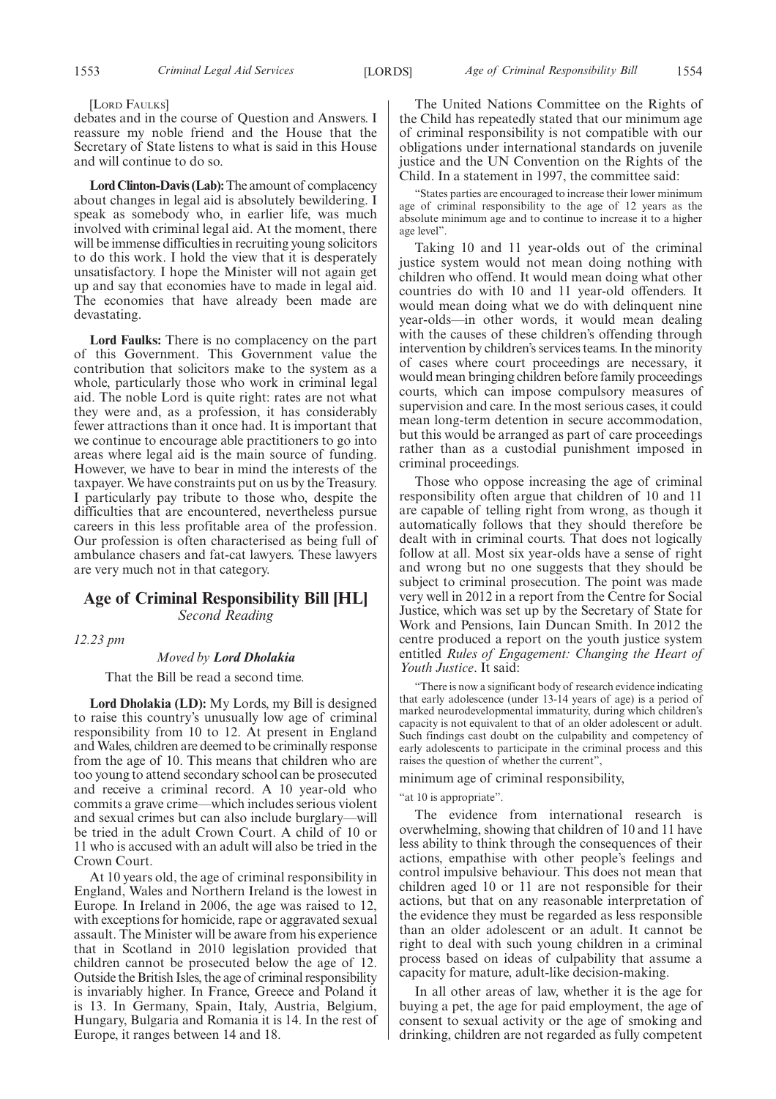#### [LORD FAULKS]

debates and in the course of Question and Answers. I reassure my noble friend and the House that the Secretary of State listens to what is said in this House and will continue to do so.

**Lord Clinton-Davis (Lab):**The amount of complacency about changes in legal aid is absolutely bewildering. I speak as somebody who, in earlier life, was much involved with criminal legal aid. At the moment, there will be immense difficulties in recruiting young solicitors to do this work. I hold the view that it is desperately unsatisfactory. I hope the Minister will not again get up and say that economies have to made in legal aid. The economies that have already been made are devastating.

**Lord Faulks:** There is no complacency on the part of this Government. This Government value the contribution that solicitors make to the system as a whole, particularly those who work in criminal legal aid. The noble Lord is quite right: rates are not what they were and, as a profession, it has considerably fewer attractions than it once had. It is important that we continue to encourage able practitioners to go into areas where legal aid is the main source of funding. However, we have to bear in mind the interests of the taxpayer. We have constraints put on us by the Treasury. I particularly pay tribute to those who, despite the difficulties that are encountered, nevertheless pursue careers in this less profitable area of the profession. Our profession is often characterised as being full of ambulance chasers and fat-cat lawyers. These lawyers are very much not in that category.

# **Age of Criminal Responsibility Bill [HL]** *Second Reading*

*12.23 pm*

#### *Moved by Lord Dholakia*

That the Bill be read a second time.

**Lord Dholakia (LD):** My Lords, my Bill is designed to raise this country's unusually low age of criminal responsibility from 10 to 12. At present in England andWales, children are deemed to be criminally response from the age of 10. This means that children who are too young to attend secondary school can be prosecuted and receive a criminal record. A 10 year-old who commits a grave crime—which includes serious violent and sexual crimes but can also include burglary—will be tried in the adult Crown Court. A child of 10 or 11 who is accused with an adult will also be tried in the Crown Court.

At 10 years old, the age of criminal responsibility in England, Wales and Northern Ireland is the lowest in Europe. In Ireland in 2006, the age was raised to 12, with exceptions for homicide, rape or aggravated sexual assault. The Minister will be aware from his experience that in Scotland in 2010 legislation provided that children cannot be prosecuted below the age of 12. Outside the British Isles, the age of criminal responsibility is invariably higher. In France, Greece and Poland it is 13. In Germany, Spain, Italy, Austria, Belgium, Hungary, Bulgaria and Romania it is 14. In the rest of Europe, it ranges between 14 and 18.

The United Nations Committee on the Rights of the Child has repeatedly stated that our minimum age of criminal responsibility is not compatible with our obligations under international standards on juvenile justice and the UN Convention on the Rights of the Child. In a statement in 1997, the committee said:

"States parties are encouraged to increase their lower minimum age of criminal responsibility to the age of 12 years as the absolute minimum age and to continue to increase it to a higher age level".

Taking 10 and 11 year-olds out of the criminal justice system would not mean doing nothing with children who offend. It would mean doing what other countries do with 10 and 11 year-old offenders. It would mean doing what we do with delinquent nine year-olds—in other words, it would mean dealing with the causes of these children's offending through intervention by children's services teams. In the minority of cases where court proceedings are necessary, it would mean bringing children before family proceedings courts, which can impose compulsory measures of supervision and care. In the most serious cases, it could mean long-term detention in secure accommodation, but this would be arranged as part of care proceedings rather than as a custodial punishment imposed in criminal proceedings.

Those who oppose increasing the age of criminal responsibility often argue that children of 10 and 11 are capable of telling right from wrong, as though it automatically follows that they should therefore be dealt with in criminal courts. That does not logically follow at all. Most six year-olds have a sense of right and wrong but no one suggests that they should be subject to criminal prosecution. The point was made very well in 2012 in a report from the Centre for Social Justice, which was set up by the Secretary of State for Work and Pensions, Iain Duncan Smith. In 2012 the centre produced a report on the youth justice system entitled *Rules of Engagement: Changing the Heart of Youth Justice*. It said:

There is now a significant body of research evidence indicating that early adolescence (under 13-14 years of age) is a period of marked neurodevelopmental immaturity, during which children's capacity is not equivalent to that of an older adolescent or adult. Such findings cast doubt on the culpability and competency of early adolescents to participate in the criminal process and this raises the question of whether the current",

minimum age of criminal responsibility,

#### "at 10 is appropriate".

The evidence from international research is overwhelming, showing that children of 10 and 11 have less ability to think through the consequences of their actions, empathise with other people's feelings and control impulsive behaviour. This does not mean that children aged 10 or 11 are not responsible for their actions, but that on any reasonable interpretation of the evidence they must be regarded as less responsible than an older adolescent or an adult. It cannot be right to deal with such young children in a criminal process based on ideas of culpability that assume a capacity for mature, adult-like decision-making.

In all other areas of law, whether it is the age for buying a pet, the age for paid employment, the age of consent to sexual activity or the age of smoking and drinking, children are not regarded as fully competent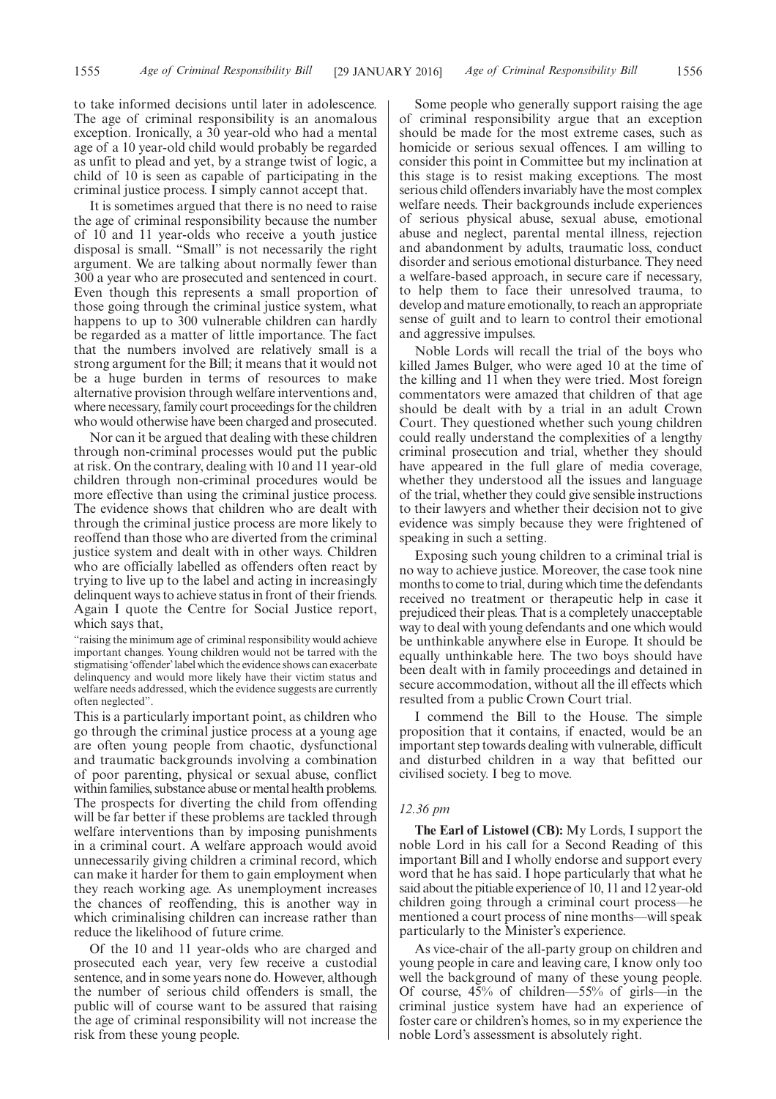to take informed decisions until later in adolescence. The age of criminal responsibility is an anomalous exception. Ironically, a 30 year-old who had a mental age of a 10 year-old child would probably be regarded as unfit to plead and yet, by a strange twist of logic, a child of 10 is seen as capable of participating in the criminal justice process. I simply cannot accept that.

It is sometimes argued that there is no need to raise the age of criminal responsibility because the number of 10 and 11 year-olds who receive a youth justice disposal is small. "Small" is not necessarily the right argument. We are talking about normally fewer than 300 a year who are prosecuted and sentenced in court. Even though this represents a small proportion of those going through the criminal justice system, what happens to up to 300 vulnerable children can hardly be regarded as a matter of little importance. The fact that the numbers involved are relatively small is a strong argument for the Bill; it means that it would not be a huge burden in terms of resources to make alternative provision through welfare interventions and, where necessary, family court proceedings for the children who would otherwise have been charged and prosecuted.

Nor can it be argued that dealing with these children through non-criminal processes would put the public at risk. On the contrary, dealing with 10 and 11 year-old children through non-criminal procedures would be more effective than using the criminal justice process. The evidence shows that children who are dealt with through the criminal justice process are more likely to reoffend than those who are diverted from the criminal justice system and dealt with in other ways. Children who are officially labelled as offenders often react by trying to live up to the label and acting in increasingly delinquent ways to achieve status in front of their friends. Again I quote the Centre for Social Justice report, which says that,

"raising the minimum age of criminal responsibility would achieve important changes. Young children would not be tarred with the stigmatising 'offender'label which the evidence shows can exacerbate delinquency and would more likely have their victim status and welfare needs addressed, which the evidence suggests are currently often neglected".

This is a particularly important point, as children who go through the criminal justice process at a young age are often young people from chaotic, dysfunctional and traumatic backgrounds involving a combination of poor parenting, physical or sexual abuse, conflict within families, substance abuse or mental health problems. The prospects for diverting the child from offending will be far better if these problems are tackled through welfare interventions than by imposing punishments in a criminal court. A welfare approach would avoid unnecessarily giving children a criminal record, which can make it harder for them to gain employment when they reach working age. As unemployment increases the chances of reoffending, this is another way in which criminalising children can increase rather than reduce the likelihood of future crime.

Of the 10 and 11 year-olds who are charged and prosecuted each year, very few receive a custodial sentence, and in some years none do. However, although the number of serious child offenders is small, the public will of course want to be assured that raising the age of criminal responsibility will not increase the risk from these young people.

Some people who generally support raising the age of criminal responsibility argue that an exception should be made for the most extreme cases, such as homicide or serious sexual offences. I am willing to consider this point in Committee but my inclination at this stage is to resist making exceptions. The most serious child offenders invariably have the most complex welfare needs. Their backgrounds include experiences of serious physical abuse, sexual abuse, emotional abuse and neglect, parental mental illness, rejection and abandonment by adults, traumatic loss, conduct disorder and serious emotional disturbance. They need a welfare-based approach, in secure care if necessary, to help them to face their unresolved trauma, to develop and mature emotionally, to reach an appropriate sense of guilt and to learn to control their emotional and aggressive impulses.

Noble Lords will recall the trial of the boys who killed James Bulger, who were aged 10 at the time of the killing and 11 when they were tried. Most foreign commentators were amazed that children of that age should be dealt with by a trial in an adult Crown Court. They questioned whether such young children could really understand the complexities of a lengthy criminal prosecution and trial, whether they should have appeared in the full glare of media coverage, whether they understood all the issues and language of the trial, whether they could give sensible instructions to their lawyers and whether their decision not to give evidence was simply because they were frightened of speaking in such a setting.

Exposing such young children to a criminal trial is no way to achieve justice. Moreover, the case took nine months to come to trial, during which time the defendants received no treatment or therapeutic help in case it prejudiced their pleas. That is a completely unacceptable way to deal with young defendants and one which would be unthinkable anywhere else in Europe. It should be equally unthinkable here. The two boys should have been dealt with in family proceedings and detained in secure accommodation, without all the ill effects which resulted from a public Crown Court trial.

I commend the Bill to the House. The simple proposition that it contains, if enacted, would be an important step towards dealing with vulnerable, difficult and disturbed children in a way that befitted our civilised society. I beg to move.

#### *12.36 pm*

**The Earl of Listowel (CB):** My Lords, I support the noble Lord in his call for a Second Reading of this important Bill and I wholly endorse and support every word that he has said. I hope particularly that what he said about the pitiable experience of 10, 11 and 12 year-old children going through a criminal court process—he mentioned a court process of nine months—will speak particularly to the Minister's experience.

As vice-chair of the all-party group on children and young people in care and leaving care, I know only too well the background of many of these young people. Of course, 45% of children—55% of girls—in the criminal justice system have had an experience of foster care or children's homes, so in my experience the noble Lord's assessment is absolutely right.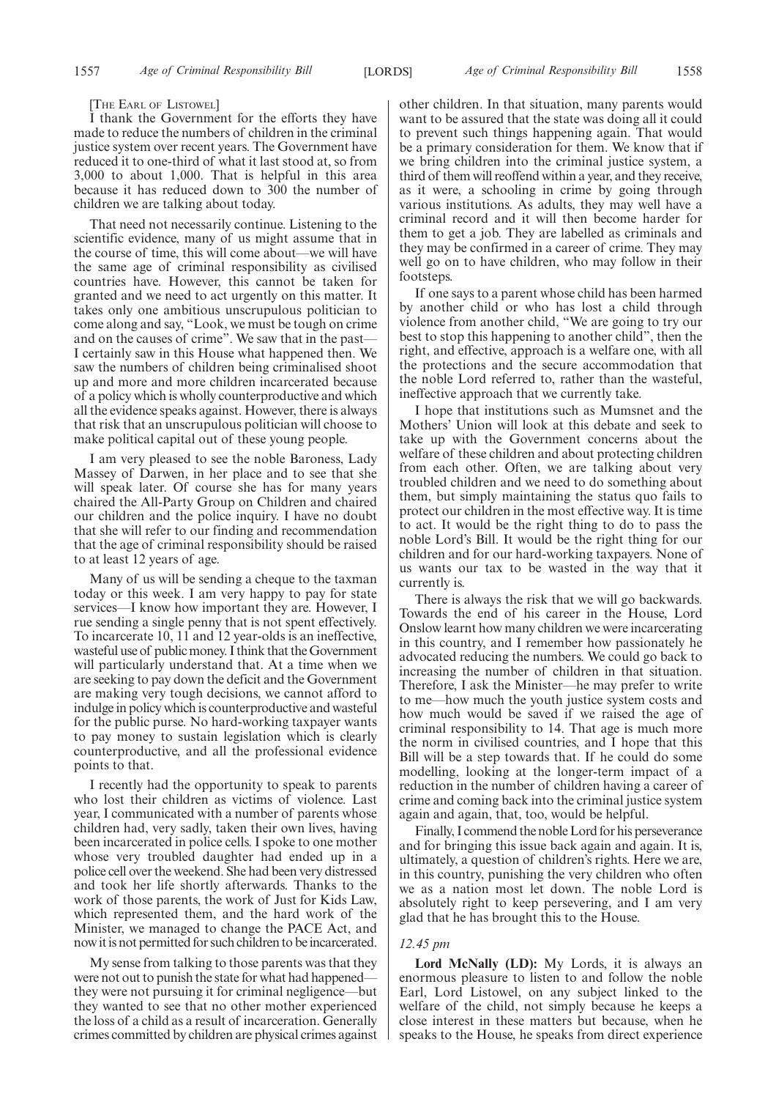#### [THE EARL OF LISTOWEL]

I thank the Government for the efforts they have made to reduce the numbers of children in the criminal justice system over recent years. The Government have reduced it to one-third of what it last stood at, so from 3,000 to about 1,000. That is helpful in this area because it has reduced down to 300 the number of children we are talking about today.

That need not necessarily continue. Listening to the scientific evidence, many of us might assume that in the course of time, this will come about—we will have the same age of criminal responsibility as civilised countries have. However, this cannot be taken for granted and we need to act urgently on this matter. It takes only one ambitious unscrupulous politician to come along and say, "Look, we must be tough on crime and on the causes of crime". We saw that in the past— I certainly saw in this House what happened then. We saw the numbers of children being criminalised shoot up and more and more children incarcerated because of a policy which is wholly counterproductive and which all the evidence speaks against. However, there is always that risk that an unscrupulous politician will choose to make political capital out of these young people.

I am very pleased to see the noble Baroness, Lady Massey of Darwen, in her place and to see that she will speak later. Of course she has for many years chaired the All-Party Group on Children and chaired our children and the police inquiry. I have no doubt that she will refer to our finding and recommendation that the age of criminal responsibility should be raised to at least 12 years of age.

Many of us will be sending a cheque to the taxman today or this week. I am very happy to pay for state services—I know how important they are. However, I rue sending a single penny that is not spent effectively. To incarcerate 10, 11 and 12 year-olds is an ineffective, wasteful use of public money. I think that the Government will particularly understand that. At a time when we are seeking to pay down the deficit and the Government are making very tough decisions, we cannot afford to indulge in policy which is counterproductive and wasteful for the public purse. No hard-working taxpayer wants to pay money to sustain legislation which is clearly counterproductive, and all the professional evidence points to that.

I recently had the opportunity to speak to parents who lost their children as victims of violence. Last year, I communicated with a number of parents whose children had, very sadly, taken their own lives, having been incarcerated in police cells. I spoke to one mother whose very troubled daughter had ended up in a police cell over the weekend. She had been very distressed and took her life shortly afterwards. Thanks to the work of those parents, the work of Just for Kids Law, which represented them, and the hard work of the Minister, we managed to change the PACE Act, and now it is not permitted for such children to be incarcerated.

My sense from talking to those parents was that they were not out to punish the state for what had happened they were not pursuing it for criminal negligence—but they wanted to see that no other mother experienced the loss of a child as a result of incarceration. Generally crimes committed by children are physical crimes against other children. In that situation, many parents would want to be assured that the state was doing all it could to prevent such things happening again. That would be a primary consideration for them. We know that if we bring children into the criminal justice system, a third of them will reoffend within a year, and they receive, as it were, a schooling in crime by going through various institutions. As adults, they may well have a criminal record and it will then become harder for them to get a job. They are labelled as criminals and they may be confirmed in a career of crime. They may well go on to have children, who may follow in their footsteps.

If one says to a parent whose child has been harmed by another child or who has lost a child through violence from another child, "We are going to try our best to stop this happening to another child", then the right, and effective, approach is a welfare one, with all the protections and the secure accommodation that the noble Lord referred to, rather than the wasteful, ineffective approach that we currently take.

I hope that institutions such as Mumsnet and the Mothers' Union will look at this debate and seek to take up with the Government concerns about the welfare of these children and about protecting children from each other. Often, we are talking about very troubled children and we need to do something about them, but simply maintaining the status quo fails to protect our children in the most effective way. It is time to act. It would be the right thing to do to pass the noble Lord's Bill. It would be the right thing for our children and for our hard-working taxpayers. None of us wants our tax to be wasted in the way that it currently is.

There is always the risk that we will go backwards. Towards the end of his career in the House, Lord Onslow learnt how many children we were incarcerating in this country, and I remember how passionately he advocated reducing the numbers. We could go back to increasing the number of children in that situation. Therefore, I ask the Minister—he may prefer to write to me—how much the youth justice system costs and how much would be saved if we raised the age of criminal responsibility to 14. That age is much more the norm in civilised countries, and I hope that this Bill will be a step towards that. If he could do some modelling, looking at the longer-term impact of a reduction in the number of children having a career of crime and coming back into the criminal justice system again and again, that, too, would be helpful.

Finally, I commend the noble Lord for his perseverance and for bringing this issue back again and again. It is, ultimately, a question of children's rights. Here we are, in this country, punishing the very children who often we as a nation most let down. The noble Lord is absolutely right to keep persevering, and I am very glad that he has brought this to the House.

#### *12.45 pm*

**Lord McNally (LD):** My Lords, it is always an enormous pleasure to listen to and follow the noble Earl, Lord Listowel, on any subject linked to the welfare of the child, not simply because he keeps a close interest in these matters but because, when he speaks to the House, he speaks from direct experience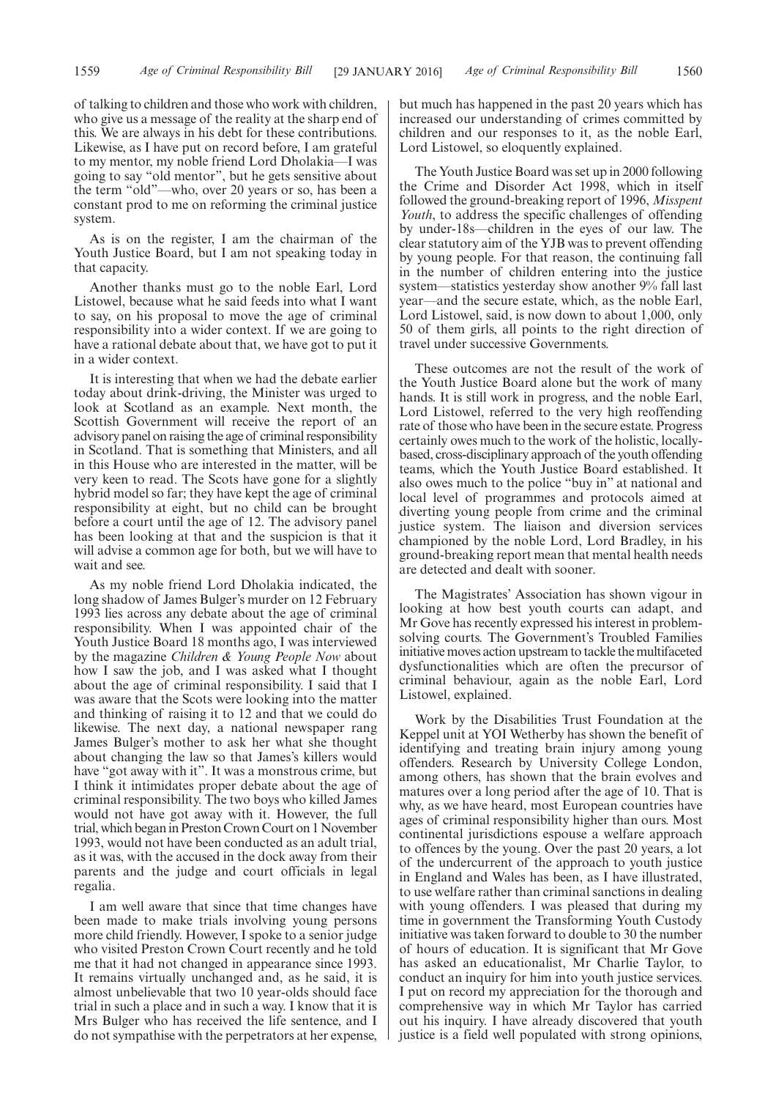of talking to children and those who work with children, who give us a message of the reality at the sharp end of this. We are always in his debt for these contributions. Likewise, as I have put on record before, I am grateful to my mentor, my noble friend Lord Dholakia—I was going to say "old mentor", but he gets sensitive about the term "old"—who, over 20 years or so, has been a constant prod to me on reforming the criminal justice system.

As is on the register, I am the chairman of the Youth Justice Board, but I am not speaking today in that capacity.

Another thanks must go to the noble Earl, Lord Listowel, because what he said feeds into what I want to say, on his proposal to move the age of criminal responsibility into a wider context. If we are going to have a rational debate about that, we have got to put it in a wider context.

It is interesting that when we had the debate earlier today about drink-driving, the Minister was urged to look at Scotland as an example. Next month, the Scottish Government will receive the report of an advisory panel on raising the age of criminal responsibility in Scotland. That is something that Ministers, and all in this House who are interested in the matter, will be very keen to read. The Scots have gone for a slightly hybrid model so far; they have kept the age of criminal responsibility at eight, but no child can be brought before a court until the age of 12. The advisory panel has been looking at that and the suspicion is that it will advise a common age for both, but we will have to wait and see.

As my noble friend Lord Dholakia indicated, the long shadow of James Bulger's murder on 12 February 1993 lies across any debate about the age of criminal responsibility. When I was appointed chair of the Youth Justice Board 18 months ago, I was interviewed by the magazine *Children & Young People Now* about how I saw the job, and I was asked what I thought about the age of criminal responsibility. I said that I was aware that the Scots were looking into the matter and thinking of raising it to 12 and that we could do likewise. The next day, a national newspaper rang James Bulger's mother to ask her what she thought about changing the law so that James's killers would have "got away with it". It was a monstrous crime, but I think it intimidates proper debate about the age of criminal responsibility. The two boys who killed James would not have got away with it. However, the full trial, which began in Preston Crown Court on 1 November 1993, would not have been conducted as an adult trial, as it was, with the accused in the dock away from their parents and the judge and court officials in legal regalia.

I am well aware that since that time changes have been made to make trials involving young persons more child friendly. However, I spoke to a senior judge who visited Preston Crown Court recently and he told me that it had not changed in appearance since 1993. It remains virtually unchanged and, as he said, it is almost unbelievable that two 10 year-olds should face trial in such a place and in such a way. I know that it is Mrs Bulger who has received the life sentence, and I do not sympathise with the perpetrators at her expense, but much has happened in the past 20 years which has increased our understanding of crimes committed by children and our responses to it, as the noble Earl, Lord Listowel, so eloquently explained.

The Youth Justice Board was set up in 2000 following the Crime and Disorder Act 1998, which in itself followed the ground-breaking report of 1996, *Misspent Youth*, to address the specific challenges of offending by under-18s—children in the eyes of our law. The clear statutory aim of the YJB was to prevent offending by young people. For that reason, the continuing fall in the number of children entering into the justice system—statistics yesterday show another 9% fall last year—and the secure estate, which, as the noble Earl, Lord Listowel, said, is now down to about 1,000, only 50 of them girls, all points to the right direction of travel under successive Governments.

These outcomes are not the result of the work of the Youth Justice Board alone but the work of many hands. It is still work in progress, and the noble Earl, Lord Listowel, referred to the very high reoffending rate of those who have been in the secure estate. Progress certainly owes much to the work of the holistic, locallybased, cross-disciplinary approach of the youth offending teams, which the Youth Justice Board established. It also owes much to the police "buy in" at national and local level of programmes and protocols aimed at diverting young people from crime and the criminal justice system. The liaison and diversion services championed by the noble Lord, Lord Bradley, in his ground-breaking report mean that mental health needs are detected and dealt with sooner.

The Magistrates' Association has shown vigour in looking at how best youth courts can adapt, and Mr Gove has recently expressed his interest in problemsolving courts. The Government's Troubled Families initiative moves action upstream to tackle the multifaceted dysfunctionalities which are often the precursor of criminal behaviour, again as the noble Earl, Lord Listowel, explained.

Work by the Disabilities Trust Foundation at the Keppel unit at YOI Wetherby has shown the benefit of identifying and treating brain injury among young offenders. Research by University College London, among others, has shown that the brain evolves and matures over a long period after the age of 10. That is why, as we have heard, most European countries have ages of criminal responsibility higher than ours. Most continental jurisdictions espouse a welfare approach to offences by the young. Over the past 20 years, a lot of the undercurrent of the approach to youth justice in England and Wales has been, as I have illustrated, to use welfare rather than criminal sanctions in dealing with young offenders. I was pleased that during my time in government the Transforming Youth Custody initiative was taken forward to double to 30 the number of hours of education. It is significant that Mr Gove has asked an educationalist, Mr Charlie Taylor, to conduct an inquiry for him into youth justice services. I put on record my appreciation for the thorough and comprehensive way in which Mr Taylor has carried out his inquiry. I have already discovered that youth justice is a field well populated with strong opinions,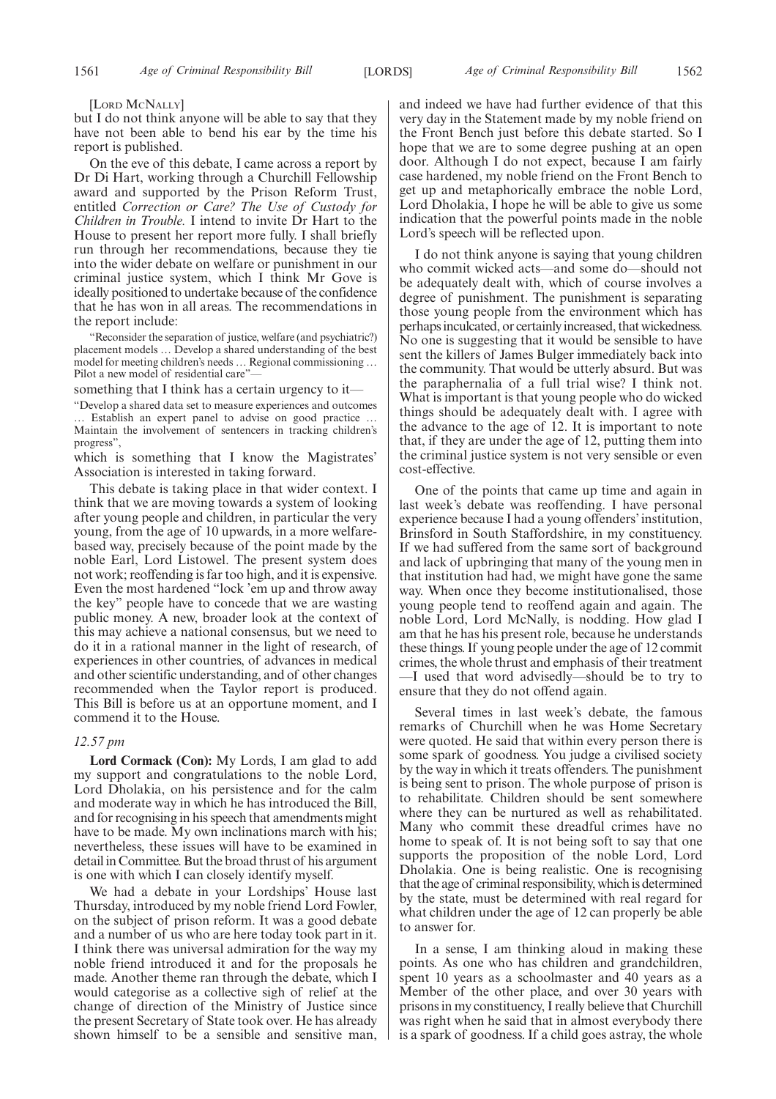[LORD MCNALLY]

but I do not think anyone will be able to say that they have not been able to bend his ear by the time his report is published.

On the eve of this debate, I came across a report by Dr Di Hart, working through a Churchill Fellowship award and supported by the Prison Reform Trust, entitled *Correction or Care? The Use of Custody for Children in Trouble.* I intend to invite Dr Hart to the House to present her report more fully. I shall briefly run through her recommendations, because they tie into the wider debate on welfare or punishment in our criminal justice system, which I think Mr Gove is ideally positioned to undertake because of the confidence that he has won in all areas. The recommendations in the report include:

"Reconsider the separation of justice, welfare (and psychiatric?) placement models … Develop a shared understanding of the best model for meeting children's needs … Regional commissioning … Pilot a new model of residential care"-

something that I think has a certain urgency to it—

"Develop a shared data set to measure experiences and outcomes … Establish an expert panel to advise on good practice … Maintain the involvement of sentencers in tracking children's progress",

which is something that I know the Magistrates' Association is interested in taking forward.

This debate is taking place in that wider context. I think that we are moving towards a system of looking after young people and children, in particular the very young, from the age of 10 upwards, in a more welfarebased way, precisely because of the point made by the noble Earl, Lord Listowel. The present system does not work; reoffending is far too high, and it is expensive. Even the most hardened "lock 'em up and throw away the key" people have to concede that we are wasting public money. A new, broader look at the context of this may achieve a national consensus, but we need to do it in a rational manner in the light of research, of experiences in other countries, of advances in medical and other scientific understanding, and of other changes recommended when the Taylor report is produced. This Bill is before us at an opportune moment, and I commend it to the House.

#### *12.57 pm*

**Lord Cormack (Con):** My Lords, I am glad to add my support and congratulations to the noble Lord, Lord Dholakia, on his persistence and for the calm and moderate way in which he has introduced the Bill, and for recognising in his speech that amendments might have to be made. My own inclinations march with his; nevertheless, these issues will have to be examined in detail in Committee. But the broad thrust of his argument is one with which I can closely identify myself.

We had a debate in your Lordships' House last Thursday, introduced by my noble friend Lord Fowler, on the subject of prison reform. It was a good debate and a number of us who are here today took part in it. I think there was universal admiration for the way my noble friend introduced it and for the proposals he made. Another theme ran through the debate, which I would categorise as a collective sigh of relief at the change of direction of the Ministry of Justice since the present Secretary of State took over. He has already shown himself to be a sensible and sensitive man, and indeed we have had further evidence of that this very day in the Statement made by my noble friend on the Front Bench just before this debate started. So I hope that we are to some degree pushing at an open door. Although I do not expect, because I am fairly case hardened, my noble friend on the Front Bench to get up and metaphorically embrace the noble Lord, Lord Dholakia, I hope he will be able to give us some indication that the powerful points made in the noble Lord's speech will be reflected upon.

I do not think anyone is saying that young children who commit wicked acts—and some do—should not be adequately dealt with, which of course involves a degree of punishment. The punishment is separating those young people from the environment which has perhaps inculcated, or certainly increased, that wickedness. No one is suggesting that it would be sensible to have sent the killers of James Bulger immediately back into the community. That would be utterly absurd. But was the paraphernalia of a full trial wise? I think not. What is important is that young people who do wicked things should be adequately dealt with. I agree with the advance to the age of 12. It is important to note that, if they are under the age of 12, putting them into the criminal justice system is not very sensible or even cost-effective.

One of the points that came up time and again in last week's debate was reoffending. I have personal experience because I had a young offenders' institution, Brinsford in South Staffordshire, in my constituency. If we had suffered from the same sort of background and lack of upbringing that many of the young men in that institution had had, we might have gone the same way. When once they become institutionalised, those young people tend to reoffend again and again. The noble Lord, Lord McNally, is nodding. How glad I am that he has his present role, because he understands these things. If young people under the age of 12 commit crimes, the whole thrust and emphasis of their treatment —I used that word advisedly—should be to try to ensure that they do not offend again.

Several times in last week's debate, the famous remarks of Churchill when he was Home Secretary were quoted. He said that within every person there is some spark of goodness. You judge a civilised society by the way in which it treats offenders. The punishment is being sent to prison. The whole purpose of prison is to rehabilitate. Children should be sent somewhere where they can be nurtured as well as rehabilitated. Many who commit these dreadful crimes have no home to speak of. It is not being soft to say that one supports the proposition of the noble Lord, Lord Dholakia. One is being realistic. One is recognising that the age of criminal responsibility, which is determined by the state, must be determined with real regard for what children under the age of 12 can properly be able to answer for.

In a sense, I am thinking aloud in making these points. As one who has children and grandchildren, spent 10 years as a schoolmaster and 40 years as a Member of the other place, and over 30 years with prisons in my constituency, I really believe that Churchill was right when he said that in almost everybody there is a spark of goodness. If a child goes astray, the whole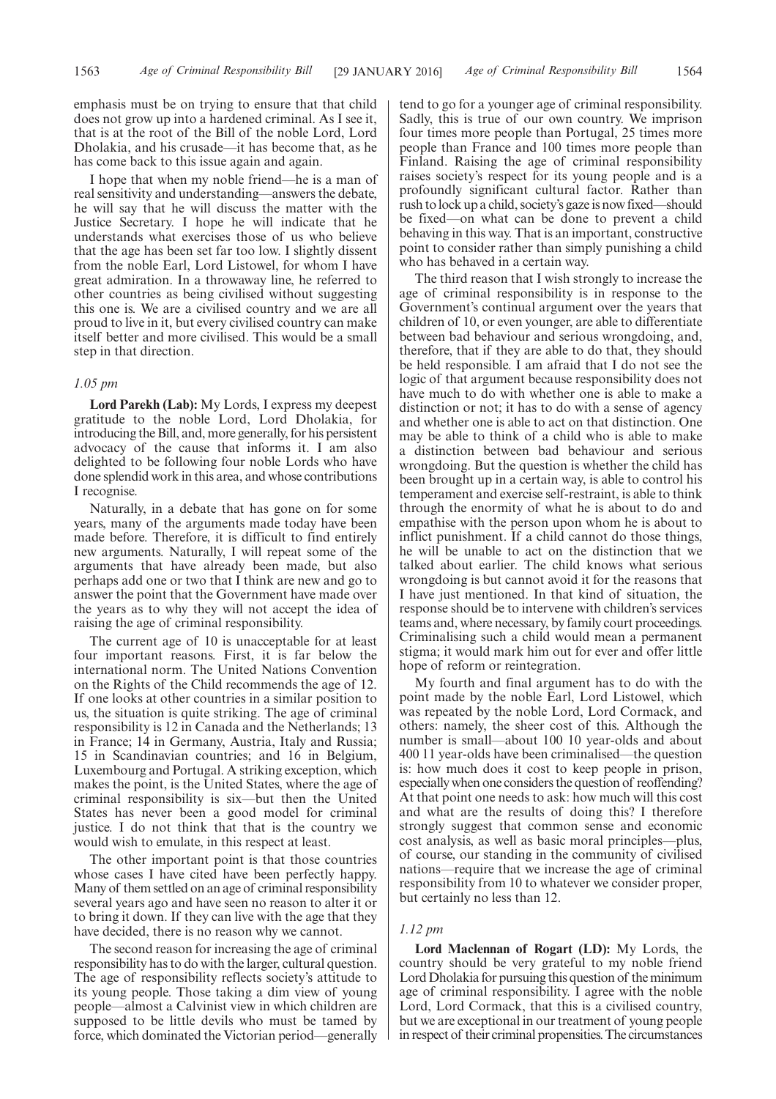emphasis must be on trying to ensure that that child does not grow up into a hardened criminal. As I see it, that is at the root of the Bill of the noble Lord, Lord Dholakia, and his crusade—it has become that, as he has come back to this issue again and again.

I hope that when my noble friend—he is a man of real sensitivity and understanding—answers the debate, he will say that he will discuss the matter with the Justice Secretary. I hope he will indicate that he understands what exercises those of us who believe that the age has been set far too low. I slightly dissent from the noble Earl, Lord Listowel, for whom I have great admiration. In a throwaway line, he referred to other countries as being civilised without suggesting this one is. We are a civilised country and we are all proud to live in it, but every civilised country can make itself better and more civilised. This would be a small step in that direction.

#### *1.05 pm*

**Lord Parekh (Lab):** My Lords, I express my deepest gratitude to the noble Lord, Lord Dholakia, for introducing the Bill, and, more generally, for his persistent advocacy of the cause that informs it. I am also delighted to be following four noble Lords who have done splendid work in this area, and whose contributions I recognise.

Naturally, in a debate that has gone on for some years, many of the arguments made today have been made before. Therefore, it is difficult to find entirely new arguments. Naturally, I will repeat some of the arguments that have already been made, but also perhaps add one or two that I think are new and go to answer the point that the Government have made over the years as to why they will not accept the idea of raising the age of criminal responsibility.

The current age of 10 is unacceptable for at least four important reasons. First, it is far below the international norm. The United Nations Convention on the Rights of the Child recommends the age of 12. If one looks at other countries in a similar position to us, the situation is quite striking. The age of criminal responsibility is 12 in Canada and the Netherlands; 13 in France; 14 in Germany, Austria, Italy and Russia; 15 in Scandinavian countries; and 16 in Belgium, Luxembourg and Portugal. A striking exception, which makes the point, is the United States, where the age of criminal responsibility is six—but then the United States has never been a good model for criminal justice. I do not think that that is the country we would wish to emulate, in this respect at least.

The other important point is that those countries whose cases I have cited have been perfectly happy. Many of them settled on an age of criminal responsibility several years ago and have seen no reason to alter it or to bring it down. If they can live with the age that they have decided, there is no reason why we cannot.

The second reason for increasing the age of criminal responsibility has to do with the larger, cultural question. The age of responsibility reflects society's attitude to its young people. Those taking a dim view of young people—almost a Calvinist view in which children are supposed to be little devils who must be tamed by force, which dominated the Victorian period—generally tend to go for a younger age of criminal responsibility. Sadly, this is true of our own country. We imprison four times more people than Portugal, 25 times more people than France and 100 times more people than Finland. Raising the age of criminal responsibility raises society's respect for its young people and is a profoundly significant cultural factor. Rather than rush to lock up a child, society's gaze is now fixed—should be fixed—on what can be done to prevent a child behaving in this way. That is an important, constructive point to consider rather than simply punishing a child who has behaved in a certain way.

The third reason that I wish strongly to increase the age of criminal responsibility is in response to the Government's continual argument over the years that children of 10, or even younger, are able to differentiate between bad behaviour and serious wrongdoing, and, therefore, that if they are able to do that, they should be held responsible. I am afraid that I do not see the logic of that argument because responsibility does not have much to do with whether one is able to make a distinction or not; it has to do with a sense of agency and whether one is able to act on that distinction. One may be able to think of a child who is able to make a distinction between bad behaviour and serious wrongdoing. But the question is whether the child has been brought up in a certain way, is able to control his temperament and exercise self-restraint, is able to think through the enormity of what he is about to do and empathise with the person upon whom he is about to inflict punishment. If a child cannot do those things, he will be unable to act on the distinction that we talked about earlier. The child knows what serious wrongdoing is but cannot avoid it for the reasons that I have just mentioned. In that kind of situation, the response should be to intervene with children's services teams and, where necessary, by family court proceedings. Criminalising such a child would mean a permanent stigma; it would mark him out for ever and offer little hope of reform or reintegration.

My fourth and final argument has to do with the point made by the noble Earl, Lord Listowel, which was repeated by the noble Lord, Lord Cormack, and others: namely, the sheer cost of this. Although the number is small—about 100 10 year-olds and about 400 11 year-olds have been criminalised—the question is: how much does it cost to keep people in prison, especially when one considers the question of reoffending? At that point one needs to ask: how much will this cost and what are the results of doing this? I therefore strongly suggest that common sense and economic cost analysis, as well as basic moral principles—plus, of course, our standing in the community of civilised nations—require that we increase the age of criminal responsibility from 10 to whatever we consider proper, but certainly no less than 12.

#### *1.12 pm*

**Lord Maclennan of Rogart (LD):** My Lords, the country should be very grateful to my noble friend Lord Dholakia for pursuing this question of the minimum age of criminal responsibility. I agree with the noble Lord, Lord Cormack, that this is a civilised country, but we are exceptional in our treatment of young people in respect of their criminal propensities. The circumstances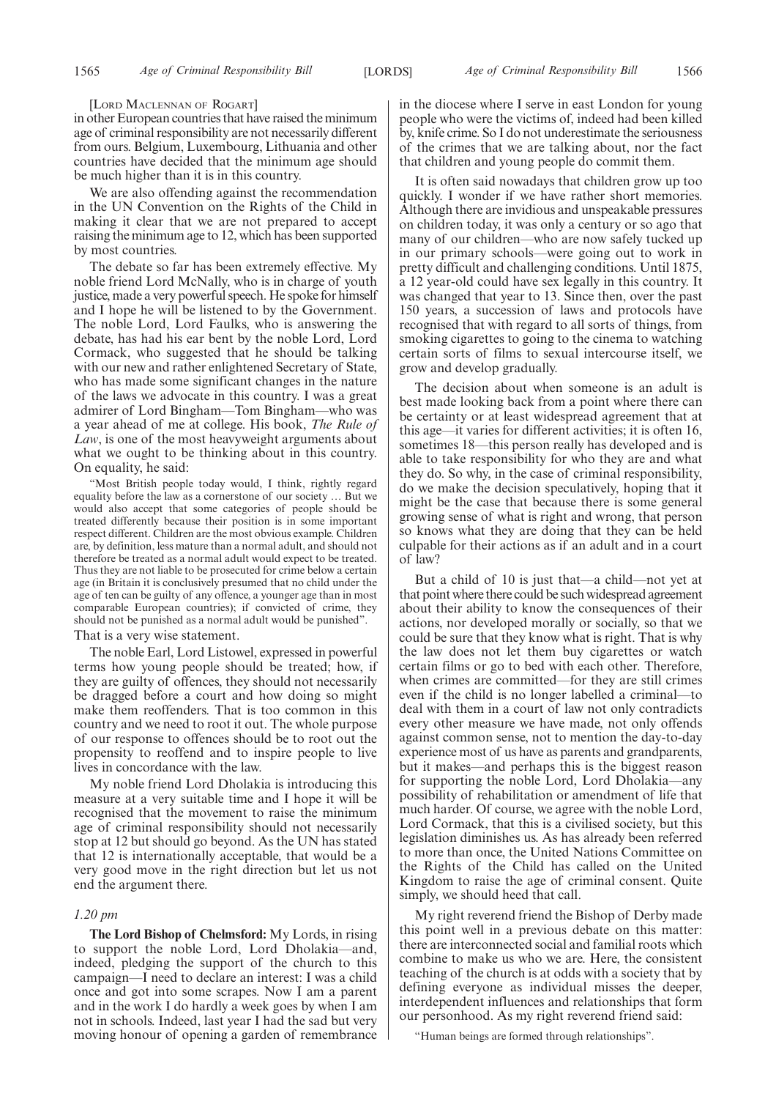#### [LORD MACLENNAN OF ROGART]

in other European countries that have raised the minimum age of criminal responsibility are not necessarily different from ours. Belgium, Luxembourg, Lithuania and other countries have decided that the minimum age should be much higher than it is in this country.

We are also offending against the recommendation in the UN Convention on the Rights of the Child in making it clear that we are not prepared to accept raising the minimum age to 12, which has been supported by most countries.

The debate so far has been extremely effective. My noble friend Lord McNally, who is in charge of youth justice, made a very powerful speech. He spoke for himself and I hope he will be listened to by the Government. The noble Lord, Lord Faulks, who is answering the debate, has had his ear bent by the noble Lord, Lord Cormack, who suggested that he should be talking with our new and rather enlightened Secretary of State, who has made some significant changes in the nature of the laws we advocate in this country. I was a great admirer of Lord Bingham—Tom Bingham—who was a year ahead of me at college. His book, *The Rule of Law*, is one of the most heavyweight arguments about what we ought to be thinking about in this country. On equality, he said:

"Most British people today would, I think, rightly regard equality before the law as a cornerstone of our society … But we would also accept that some categories of people should be treated differently because their position is in some important respect different. Children are the most obvious example. Children are, by definition, less mature than a normal adult, and should not therefore be treated as a normal adult would expect to be treated. Thus they are not liable to be prosecuted for crime below a certain age (in Britain it is conclusively presumed that no child under the age of ten can be guilty of any offence, a younger age than in most comparable European countries); if convicted of crime, they should not be punished as a normal adult would be punished".

That is a very wise statement.

The noble Earl, Lord Listowel, expressed in powerful terms how young people should be treated; how, if they are guilty of offences, they should not necessarily be dragged before a court and how doing so might make them reoffenders. That is too common in this country and we need to root it out. The whole purpose of our response to offences should be to root out the propensity to reoffend and to inspire people to live lives in concordance with the law.

My noble friend Lord Dholakia is introducing this measure at a very suitable time and I hope it will be recognised that the movement to raise the minimum age of criminal responsibility should not necessarily stop at 12 but should go beyond. As the UN has stated that 12 is internationally acceptable, that would be a very good move in the right direction but let us not end the argument there.

#### *1.20 pm*

**The Lord Bishop of Chelmsford:** My Lords, in rising to support the noble Lord, Lord Dholakia—and, indeed, pledging the support of the church to this campaign—I need to declare an interest: I was a child once and got into some scrapes. Now I am a parent and in the work I do hardly a week goes by when I am not in schools. Indeed, last year I had the sad but very moving honour of opening a garden of remembrance in the diocese where I serve in east London for young people who were the victims of, indeed had been killed by, knife crime. So I do not underestimate the seriousness of the crimes that we are talking about, nor the fact that children and young people do commit them.

It is often said nowadays that children grow up too quickly. I wonder if we have rather short memories. Although there are invidious and unspeakable pressures on children today, it was only a century or so ago that many of our children—who are now safely tucked up in our primary schools—were going out to work in pretty difficult and challenging conditions. Until 1875, a 12 year-old could have sex legally in this country. It was changed that year to 13. Since then, over the past 150 years, a succession of laws and protocols have recognised that with regard to all sorts of things, from smoking cigarettes to going to the cinema to watching certain sorts of films to sexual intercourse itself, we grow and develop gradually.

The decision about when someone is an adult is best made looking back from a point where there can be certainty or at least widespread agreement that at this age—it varies for different activities; it is often 16, sometimes 18—this person really has developed and is able to take responsibility for who they are and what they do. So why, in the case of criminal responsibility, do we make the decision speculatively, hoping that it might be the case that because there is some general growing sense of what is right and wrong, that person so knows what they are doing that they can be held culpable for their actions as if an adult and in a court of law?

But a child of 10 is just that—a child—not yet at that point where there could be such widespread agreement about their ability to know the consequences of their actions, nor developed morally or socially, so that we could be sure that they know what is right. That is why the law does not let them buy cigarettes or watch certain films or go to bed with each other. Therefore, when crimes are committed—for they are still crimes even if the child is no longer labelled a criminal—to deal with them in a court of law not only contradicts every other measure we have made, not only offends against common sense, not to mention the day-to-day experience most of us have as parents and grandparents, but it makes—and perhaps this is the biggest reason for supporting the noble Lord, Lord Dholakia—any possibility of rehabilitation or amendment of life that much harder. Of course, we agree with the noble Lord, Lord Cormack, that this is a civilised society, but this legislation diminishes us. As has already been referred to more than once, the United Nations Committee on the Rights of the Child has called on the United Kingdom to raise the age of criminal consent. Quite simply, we should heed that call.

My right reverend friend the Bishop of Derby made this point well in a previous debate on this matter: there are interconnected social and familial roots which combine to make us who we are. Here, the consistent teaching of the church is at odds with a society that by defining everyone as individual misses the deeper, interdependent influences and relationships that form our personhood. As my right reverend friend said:

"Human beings are formed through relationships".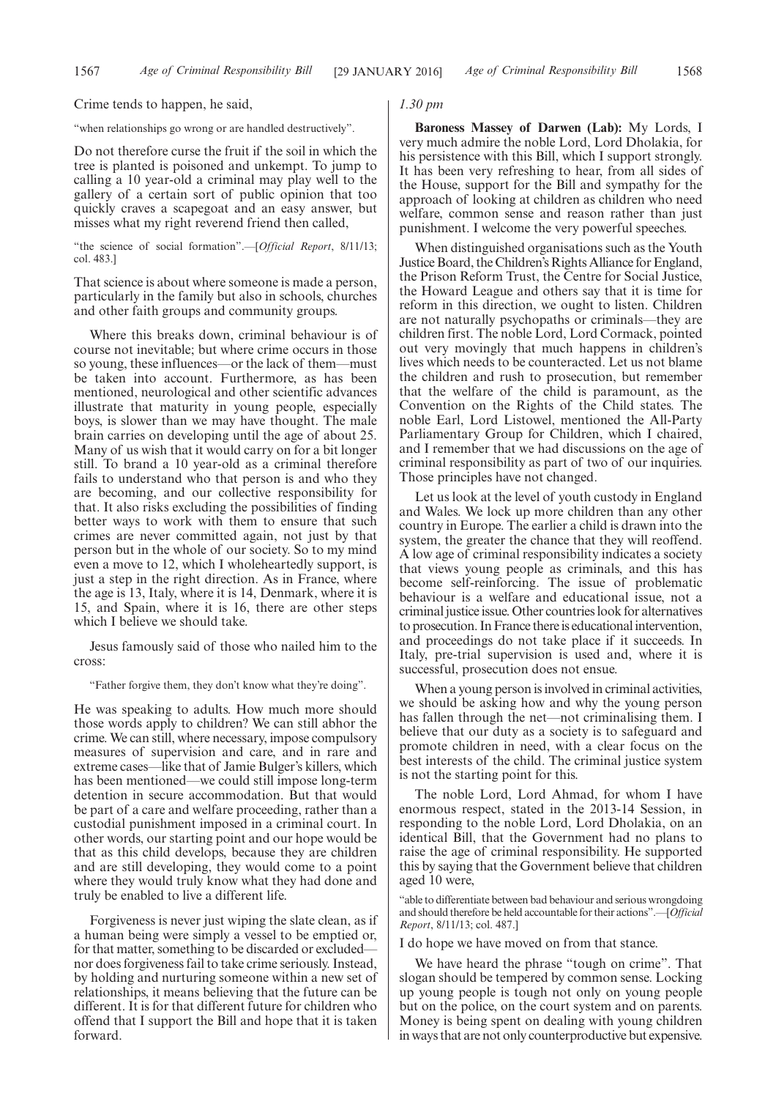Crime tends to happen, he said,

"when relationships go wrong or are handled destructively".

Do not therefore curse the fruit if the soil in which the tree is planted is poisoned and unkempt. To jump to calling a 10 year-old a criminal may play well to the gallery of a certain sort of public opinion that too quickly craves a scapegoat and an easy answer, but misses what my right reverend friend then called,

"the science of social formation".—[*Official Report*, 8/11/13; col. 483.]

That science is about where someone is made a person, particularly in the family but also in schools, churches and other faith groups and community groups.

Where this breaks down, criminal behaviour is of course not inevitable; but where crime occurs in those so young, these influences—or the lack of them—must be taken into account. Furthermore, as has been mentioned, neurological and other scientific advances illustrate that maturity in young people, especially boys, is slower than we may have thought. The male brain carries on developing until the age of about 25. Many of us wish that it would carry on for a bit longer still. To brand a 10 year-old as a criminal therefore fails to understand who that person is and who they are becoming, and our collective responsibility for that. It also risks excluding the possibilities of finding better ways to work with them to ensure that such crimes are never committed again, not just by that person but in the whole of our society. So to my mind even a move to 12, which I wholeheartedly support, is just a step in the right direction. As in France, where the age is 13, Italy, where it is 14, Denmark, where it is 15, and Spain, where it is 16, there are other steps which I believe we should take.

Jesus famously said of those who nailed him to the cross:

"Father forgive them, they don't know what they're doing".

He was speaking to adults. How much more should those words apply to children? We can still abhor the crime. We can still, where necessary, impose compulsory measures of supervision and care, and in rare and extreme cases—like that of Jamie Bulger's killers, which has been mentioned—we could still impose long-term detention in secure accommodation. But that would be part of a care and welfare proceeding, rather than a custodial punishment imposed in a criminal court. In other words, our starting point and our hope would be that as this child develops, because they are children and are still developing, they would come to a point where they would truly know what they had done and truly be enabled to live a different life.

Forgiveness is never just wiping the slate clean, as if a human being were simply a vessel to be emptied or, for that matter, something to be discarded or excluded nor does forgiveness fail to take crime seriously. Instead, by holding and nurturing someone within a new set of relationships, it means believing that the future can be different. It is for that different future for children who offend that I support the Bill and hope that it is taken forward.

#### *1.30 pm*

**Baroness Massey of Darwen (Lab):** My Lords, I very much admire the noble Lord, Lord Dholakia, for his persistence with this Bill, which I support strongly. It has been very refreshing to hear, from all sides of the House, support for the Bill and sympathy for the approach of looking at children as children who need welfare, common sense and reason rather than just punishment. I welcome the very powerful speeches.

When distinguished organisations such as the Youth Justice Board, the Children's Rights Alliance for England, the Prison Reform Trust, the Centre for Social Justice, the Howard League and others say that it is time for reform in this direction, we ought to listen. Children are not naturally psychopaths or criminals—they are children first. The noble Lord, Lord Cormack, pointed out very movingly that much happens in children's lives which needs to be counteracted. Let us not blame the children and rush to prosecution, but remember that the welfare of the child is paramount, as the Convention on the Rights of the Child states. The noble Earl, Lord Listowel, mentioned the All-Party Parliamentary Group for Children, which I chaired, and I remember that we had discussions on the age of criminal responsibility as part of two of our inquiries. Those principles have not changed.

Let us look at the level of youth custody in England and Wales. We lock up more children than any other country in Europe. The earlier a child is drawn into the system, the greater the chance that they will reoffend. A low age of criminal responsibility indicates a society that views young people as criminals, and this has become self-reinforcing. The issue of problematic behaviour is a welfare and educational issue, not a criminal justice issue. Other countries look for alternatives to prosecution. In France there is educational intervention, and proceedings do not take place if it succeeds. In Italy, pre-trial supervision is used and, where it is successful, prosecution does not ensue.

When a young person is involved in criminal activities, we should be asking how and why the young person has fallen through the net—not criminalising them. I believe that our duty as a society is to safeguard and promote children in need, with a clear focus on the best interests of the child. The criminal justice system is not the starting point for this.

The noble Lord, Lord Ahmad, for whom I have enormous respect, stated in the 2013-14 Session, in responding to the noble Lord, Lord Dholakia, on an identical Bill, that the Government had no plans to raise the age of criminal responsibility. He supported this by saying that the Government believe that children aged 10 were,

"able to differentiate between bad behaviour and serious wrongdoing and should therefore be held accountable for their actions".—[*Official Report*, 8/11/13; col. 487.]

I do hope we have moved on from that stance.

We have heard the phrase "tough on crime". That slogan should be tempered by common sense. Locking up young people is tough not only on young people but on the police, on the court system and on parents. Money is being spent on dealing with young children in ways that are not only counterproductive but expensive.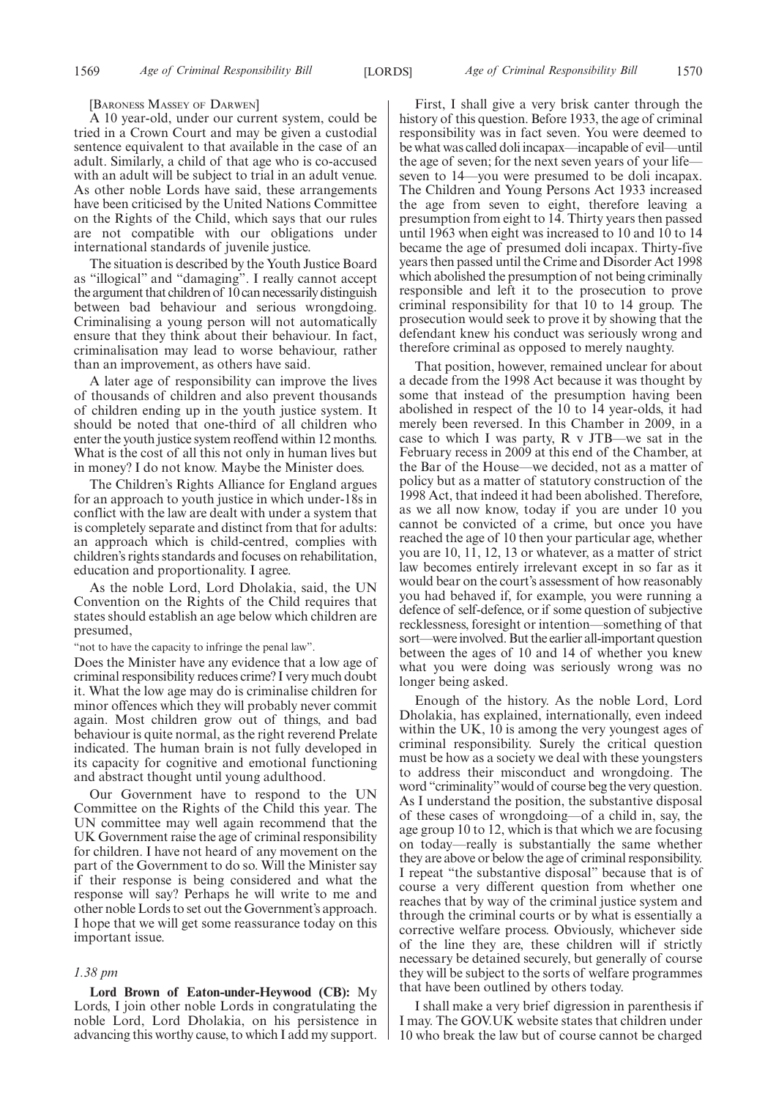#### [BARONESS MASSEY OF DARWEN]

A 10 year-old, under our current system, could be tried in a Crown Court and may be given a custodial sentence equivalent to that available in the case of an adult. Similarly, a child of that age who is co-accused with an adult will be subject to trial in an adult venue. As other noble Lords have said, these arrangements have been criticised by the United Nations Committee on the Rights of the Child, which says that our rules are not compatible with our obligations under international standards of juvenile justice.

The situation is described by the Youth Justice Board as "illogical" and "damaging". I really cannot accept the argument that children of 10 can necessarily distinguish between bad behaviour and serious wrongdoing. Criminalising a young person will not automatically ensure that they think about their behaviour. In fact, criminalisation may lead to worse behaviour, rather than an improvement, as others have said.

A later age of responsibility can improve the lives of thousands of children and also prevent thousands of children ending up in the youth justice system. It should be noted that one-third of all children who enter the youth justice system reoffend within 12 months. What is the cost of all this not only in human lives but in money? I do not know. Maybe the Minister does.

The Children's Rights Alliance for England argues for an approach to youth justice in which under-18s in conflict with the law are dealt with under a system that is completely separate and distinct from that for adults: an approach which is child-centred, complies with children's rights standards and focuses on rehabilitation, education and proportionality. I agree.

As the noble Lord, Lord Dholakia, said, the UN Convention on the Rights of the Child requires that states should establish an age below which children are presumed,

"not to have the capacity to infringe the penal law".

Does the Minister have any evidence that a low age of criminal responsibility reduces crime? I very much doubt it. What the low age may do is criminalise children for minor offences which they will probably never commit again. Most children grow out of things, and bad behaviour is quite normal, as the right reverend Prelate indicated. The human brain is not fully developed in its capacity for cognitive and emotional functioning and abstract thought until young adulthood.

Our Government have to respond to the UN Committee on the Rights of the Child this year. The UN committee may well again recommend that the UK Government raise the age of criminal responsibility for children. I have not heard of any movement on the part of the Government to do so. Will the Minister say if their response is being considered and what the response will say? Perhaps he will write to me and other noble Lords to set out the Government's approach. I hope that we will get some reassurance today on this important issue.

#### *1.38 pm*

**Lord Brown of Eaton-under-Heywood (CB):** My Lords, I join other noble Lords in congratulating the noble Lord, Lord Dholakia, on his persistence in advancing this worthy cause, to which I add my support.

First, I shall give a very brisk canter through the history of this question. Before 1933, the age of criminal responsibility was in fact seven. You were deemed to be what was called doli incapax—incapable of evil—until the age of seven; for the next seven years of your life seven to 14—you were presumed to be doli incapax. The Children and Young Persons Act 1933 increased the age from seven to eight, therefore leaving a presumption from eight to 14. Thirty years then passed until 1963 when eight was increased to 10 and 10 to 14 became the age of presumed doli incapax. Thirty-five years then passed until the Crime and Disorder Act 1998 which abolished the presumption of not being criminally responsible and left it to the prosecution to prove criminal responsibility for that 10 to 14 group. The prosecution would seek to prove it by showing that the defendant knew his conduct was seriously wrong and therefore criminal as opposed to merely naughty.

That position, however, remained unclear for about a decade from the 1998 Act because it was thought by some that instead of the presumption having been abolished in respect of the 10 to 14 year-olds, it had merely been reversed. In this Chamber in 2009, in a case to which I was party, R v JTB—we sat in the February recess in 2009 at this end of the Chamber, at the Bar of the House—we decided, not as a matter of policy but as a matter of statutory construction of the 1998 Act, that indeed it had been abolished. Therefore, as we all now know, today if you are under 10 you cannot be convicted of a crime, but once you have reached the age of 10 then your particular age, whether you are 10, 11, 12, 13 or whatever, as a matter of strict law becomes entirely irrelevant except in so far as it would bear on the court's assessment of how reasonably you had behaved if, for example, you were running a defence of self-defence, or if some question of subjective recklessness, foresight or intention—something of that sort—were involved. But the earlier all-important question between the ages of 10 and 14 of whether you knew what you were doing was seriously wrong was no longer being asked.

Enough of the history. As the noble Lord, Lord Dholakia, has explained, internationally, even indeed within the UK, 10 is among the very youngest ages of criminal responsibility. Surely the critical question must be how as a society we deal with these youngsters to address their misconduct and wrongdoing. The word "criminality"would of course beg the very question. As I understand the position, the substantive disposal of these cases of wrongdoing—of a child in, say, the age group 10 to 12, which is that which we are focusing on today—really is substantially the same whether they are above or below the age of criminal responsibility. I repeat "the substantive disposal" because that is of course a very different question from whether one reaches that by way of the criminal justice system and through the criminal courts or by what is essentially a corrective welfare process. Obviously, whichever side of the line they are, these children will if strictly necessary be detained securely, but generally of course they will be subject to the sorts of welfare programmes that have been outlined by others today.

I shall make a very brief digression in parenthesis if I may. The GOV.UK website states that children under 10 who break the law but of course cannot be charged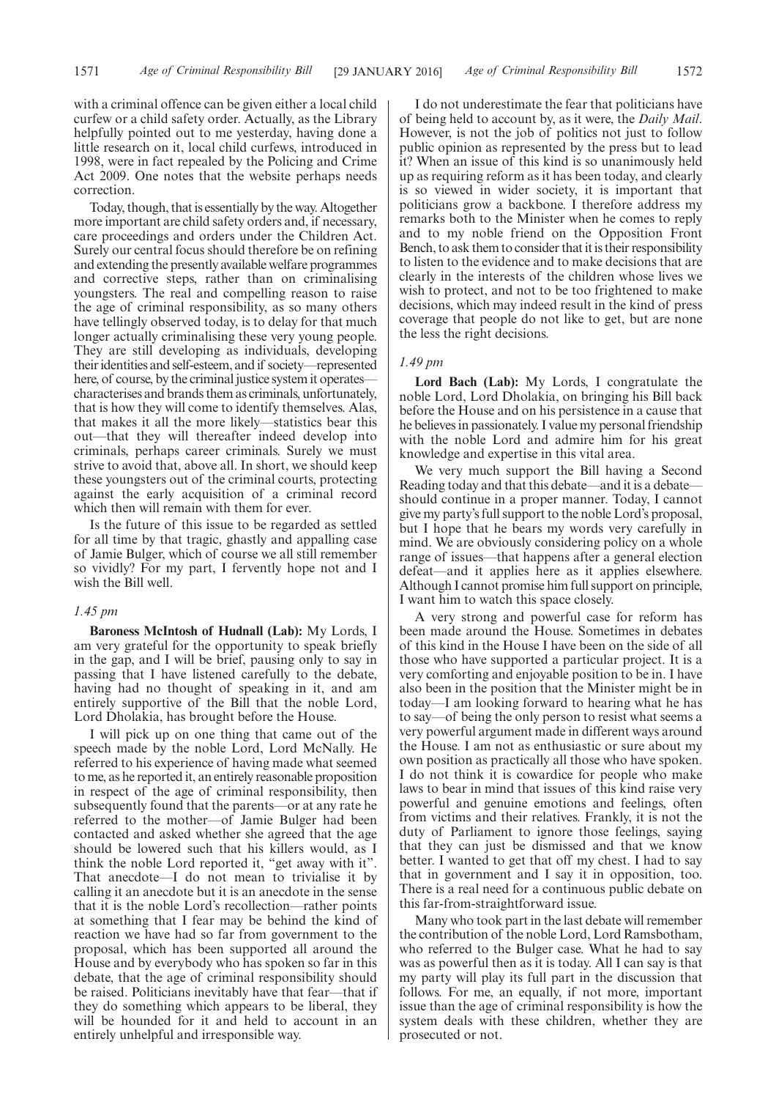with a criminal offence can be given either a local child curfew or a child safety order. Actually, as the Library helpfully pointed out to me yesterday, having done a little research on it, local child curfews, introduced in 1998, were in fact repealed by the Policing and Crime Act 2009. One notes that the website perhaps needs correction.

Today, though, that is essentially by the way. Altogether more important are child safety orders and, if necessary, care proceedings and orders under the Children Act. Surely our central focus should therefore be on refining and extending the presently available welfare programmes and corrective steps, rather than on criminalising youngsters. The real and compelling reason to raise the age of criminal responsibility, as so many others have tellingly observed today, is to delay for that much longer actually criminalising these very young people. They are still developing as individuals, developing their identities and self-esteem, and if society—represented here, of course, by the criminal justice system it operates characterises and brands them as criminals, unfortunately, that is how they will come to identify themselves. Alas, that makes it all the more likely—statistics bear this out—that they will thereafter indeed develop into criminals, perhaps career criminals. Surely we must strive to avoid that, above all. In short, we should keep these youngsters out of the criminal courts, protecting against the early acquisition of a criminal record which then will remain with them for ever.

Is the future of this issue to be regarded as settled for all time by that tragic, ghastly and appalling case of Jamie Bulger, which of course we all still remember so vividly? For my part, I fervently hope not and I wish the Bill well.

### *1.45 pm*

**Baroness McIntosh of Hudnall (Lab):** My Lords, I am very grateful for the opportunity to speak briefly in the gap, and I will be brief, pausing only to say in passing that I have listened carefully to the debate, having had no thought of speaking in it, and am entirely supportive of the Bill that the noble Lord, Lord Dholakia, has brought before the House.

I will pick up on one thing that came out of the speech made by the noble Lord, Lord McNally. He referred to his experience of having made what seemed to me, as he reported it, an entirely reasonable proposition in respect of the age of criminal responsibility, then subsequently found that the parents—or at any rate he referred to the mother—of Jamie Bulger had been contacted and asked whether she agreed that the age should be lowered such that his killers would, as I think the noble Lord reported it, "get away with it". That anecdote—I do not mean to trivialise it by calling it an anecdote but it is an anecdote in the sense that it is the noble Lord's recollection—rather points at something that I fear may be behind the kind of reaction we have had so far from government to the proposal, which has been supported all around the House and by everybody who has spoken so far in this debate, that the age of criminal responsibility should be raised. Politicians inevitably have that fear—that if they do something which appears to be liberal, they will be hounded for it and held to account in an entirely unhelpful and irresponsible way.

I do not underestimate the fear that politicians have of being held to account by, as it were, the *Daily Mail*. However, is not the job of politics not just to follow public opinion as represented by the press but to lead it? When an issue of this kind is so unanimously held up as requiring reform as it has been today, and clearly is so viewed in wider society, it is important that politicians grow a backbone. I therefore address my remarks both to the Minister when he comes to reply and to my noble friend on the Opposition Front Bench, to ask them to consider that it is their responsibility to listen to the evidence and to make decisions that are clearly in the interests of the children whose lives we wish to protect, and not to be too frightened to make decisions, which may indeed result in the kind of press coverage that people do not like to get, but are none the less the right decisions.

## *1.49 pm*

**Lord Bach (Lab):** My Lords, I congratulate the noble Lord, Lord Dholakia, on bringing his Bill back before the House and on his persistence in a cause that he believes in passionately. I value my personal friendship with the noble Lord and admire him for his great knowledge and expertise in this vital area.

We very much support the Bill having a Second Reading today and that this debate—and it is a debate should continue in a proper manner. Today, I cannot give my party's full support to the noble Lord's proposal, but I hope that he bears my words very carefully in mind. We are obviously considering policy on a whole range of issues—that happens after a general election defeat—and it applies here as it applies elsewhere. Although I cannot promise him full support on principle, I want him to watch this space closely.

A very strong and powerful case for reform has been made around the House. Sometimes in debates of this kind in the House I have been on the side of all those who have supported a particular project. It is a very comforting and enjoyable position to be in. I have also been in the position that the Minister might be in today—I am looking forward to hearing what he has to say—of being the only person to resist what seems a very powerful argument made in different ways around the House. I am not as enthusiastic or sure about my own position as practically all those who have spoken. I do not think it is cowardice for people who make laws to bear in mind that issues of this kind raise very powerful and genuine emotions and feelings, often from victims and their relatives. Frankly, it is not the duty of Parliament to ignore those feelings, saying that they can just be dismissed and that we know better. I wanted to get that off my chest. I had to say that in government and I say it in opposition, too. There is a real need for a continuous public debate on this far-from-straightforward issue.

Many who took part in the last debate will remember the contribution of the noble Lord, Lord Ramsbotham, who referred to the Bulger case. What he had to say was as powerful then as it is today. All I can say is that my party will play its full part in the discussion that follows. For me, an equally, if not more, important issue than the age of criminal responsibility is how the system deals with these children, whether they are prosecuted or not.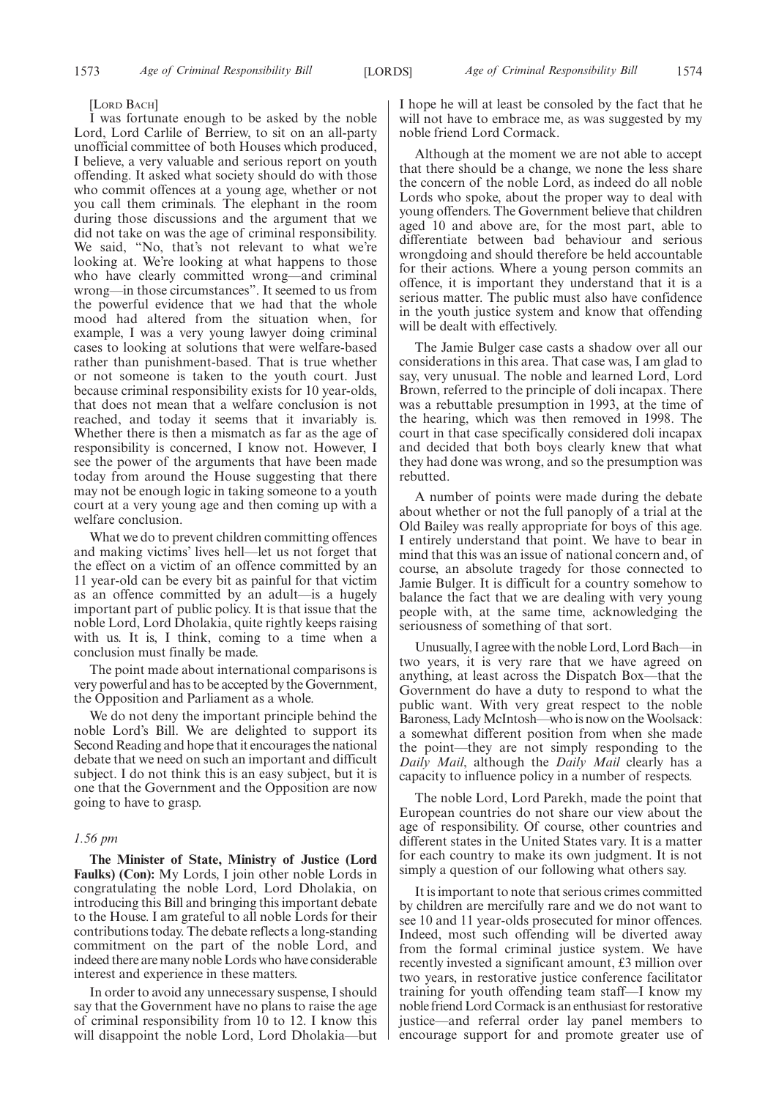#### [LORD BACH]

I was fortunate enough to be asked by the noble Lord, Lord Carlile of Berriew, to sit on an all-party unofficial committee of both Houses which produced, I believe, a very valuable and serious report on youth offending. It asked what society should do with those who commit offences at a young age, whether or not you call them criminals. The elephant in the room during those discussions and the argument that we did not take on was the age of criminal responsibility. We said, "No, that's not relevant to what we're looking at. We're looking at what happens to those who have clearly committed wrong—and criminal wrong—in those circumstances". It seemed to us from the powerful evidence that we had that the whole mood had altered from the situation when, for example, I was a very young lawyer doing criminal cases to looking at solutions that were welfare-based rather than punishment-based. That is true whether or not someone is taken to the youth court. Just because criminal responsibility exists for 10 year-olds, that does not mean that a welfare conclusion is not reached, and today it seems that it invariably is. Whether there is then a mismatch as far as the age of responsibility is concerned, I know not. However, I see the power of the arguments that have been made today from around the House suggesting that there may not be enough logic in taking someone to a youth court at a very young age and then coming up with a welfare conclusion.

What we do to prevent children committing offences and making victims' lives hell—let us not forget that the effect on a victim of an offence committed by an 11 year-old can be every bit as painful for that victim as an offence committed by an adult—is a hugely important part of public policy. It is that issue that the noble Lord, Lord Dholakia, quite rightly keeps raising with us. It is, I think, coming to a time when a conclusion must finally be made.

The point made about international comparisons is very powerful and has to be accepted by the Government, the Opposition and Parliament as a whole.

We do not deny the important principle behind the noble Lord's Bill. We are delighted to support its Second Reading and hope that it encourages the national debate that we need on such an important and difficult subject. I do not think this is an easy subject, but it is one that the Government and the Opposition are now going to have to grasp.

### *1.56 pm*

**The Minister of State, Ministry of Justice (Lord Faulks) (Con):** My Lords, I join other noble Lords in congratulating the noble Lord, Lord Dholakia, on introducing this Bill and bringing this important debate to the House. I am grateful to all noble Lords for their contributions today. The debate reflects a long-standing commitment on the part of the noble Lord, and indeed there are many noble Lords who have considerable interest and experience in these matters.

In order to avoid any unnecessary suspense, I should say that the Government have no plans to raise the age of criminal responsibility from 10 to 12. I know this will disappoint the noble Lord, Lord Dholakia—but I hope he will at least be consoled by the fact that he will not have to embrace me, as was suggested by my noble friend Lord Cormack.

Although at the moment we are not able to accept that there should be a change, we none the less share the concern of the noble Lord, as indeed do all noble Lords who spoke, about the proper way to deal with young offenders. The Government believe that children aged 10 and above are, for the most part, able to differentiate between bad behaviour and serious wrongdoing and should therefore be held accountable for their actions. Where a young person commits an offence, it is important they understand that it is a serious matter. The public must also have confidence in the youth justice system and know that offending will be dealt with effectively.

The Jamie Bulger case casts a shadow over all our considerations in this area. That case was, I am glad to say, very unusual. The noble and learned Lord, Lord Brown, referred to the principle of doli incapax. There was a rebuttable presumption in 1993, at the time of the hearing, which was then removed in 1998. The court in that case specifically considered doli incapax and decided that both boys clearly knew that what they had done was wrong, and so the presumption was rebutted.

A number of points were made during the debate about whether or not the full panoply of a trial at the Old Bailey was really appropriate for boys of this age. I entirely understand that point. We have to bear in mind that this was an issue of national concern and, of course, an absolute tragedy for those connected to Jamie Bulger. It is difficult for a country somehow to balance the fact that we are dealing with very young people with, at the same time, acknowledging the seriousness of something of that sort.

Unusually, I agree with the noble Lord, Lord Bach—in two years, it is very rare that we have agreed on anything, at least across the Dispatch Box—that the Government do have a duty to respond to what the public want. With very great respect to the noble Baroness, Lady McIntosh—who is now on the Woolsack: a somewhat different position from when she made the point—they are not simply responding to the *Daily Mail*, although the *Daily Mail* clearly has a capacity to influence policy in a number of respects.

The noble Lord, Lord Parekh, made the point that European countries do not share our view about the age of responsibility. Of course, other countries and different states in the United States vary. It is a matter for each country to make its own judgment. It is not simply a question of our following what others say.

It is important to note that serious crimes committed by children are mercifully rare and we do not want to see 10 and 11 year-olds prosecuted for minor offences. Indeed, most such offending will be diverted away from the formal criminal justice system. We have recently invested a significant amount, £3 million over two years, in restorative justice conference facilitator training for youth offending team staff—I know my noble friend Lord Cormack is an enthusiast for restorative justice—and referral order lay panel members to encourage support for and promote greater use of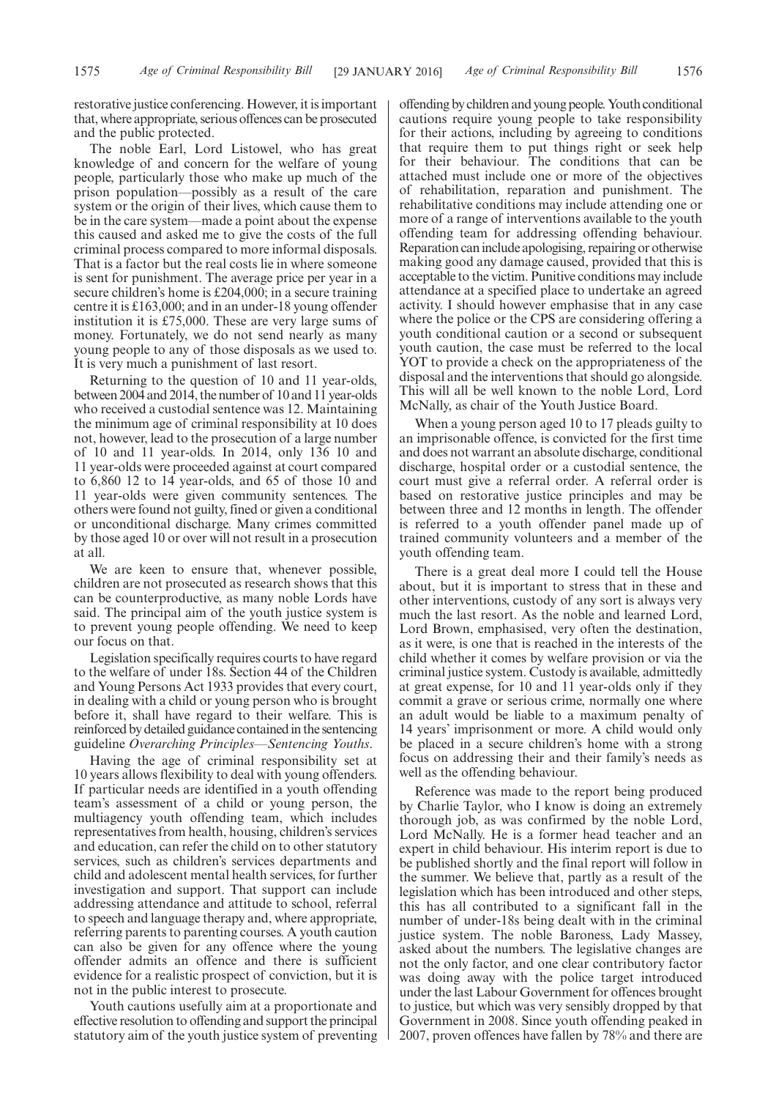restorative justice conferencing. However, it is important that, where appropriate, serious offences can be prosecuted and the public protected.

The noble Earl, Lord Listowel, who has great knowledge of and concern for the welfare of young people, particularly those who make up much of the prison population—possibly as a result of the care system or the origin of their lives, which cause them to be in the care system—made a point about the expense this caused and asked me to give the costs of the full criminal process compared to more informal disposals. That is a factor but the real costs lie in where someone is sent for punishment. The average price per year in a secure children's home is £204,000; in a secure training centre it is £163,000; and in an under-18 young offender institution it is £75,000. These are very large sums of money. Fortunately, we do not send nearly as many young people to any of those disposals as we used to. It is very much a punishment of last resort.

Returning to the question of 10 and 11 year-olds, between 2004 and 2014, the number of 10 and 11 year-olds who received a custodial sentence was 12. Maintaining the minimum age of criminal responsibility at 10 does not, however, lead to the prosecution of a large number of 10 and 11 year-olds. In 2014, only 136 10 and 11 year-olds were proceeded against at court compared to 6,860 12 to 14 year-olds, and 65 of those 10 and 11 year-olds were given community sentences. The others were found not guilty, fined or given a conditional or unconditional discharge. Many crimes committed by those aged 10 or over will not result in a prosecution at all.

We are keen to ensure that, whenever possible, children are not prosecuted as research shows that this can be counterproductive, as many noble Lords have said. The principal aim of the youth justice system is to prevent young people offending. We need to keep our focus on that.

Legislation specifically requires courts to have regard to the welfare of under 18s. Section 44 of the Children and Young Persons Act 1933 provides that every court, in dealing with a child or young person who is brought before it, shall have regard to their welfare. This is reinforced by detailed guidance contained in the sentencing guideline *Overarching Principles—Sentencing Youths*.

Having the age of criminal responsibility set at 10 years allows flexibility to deal with young offenders. If particular needs are identified in a youth offending team's assessment of a child or young person, the multiagency youth offending team, which includes representatives from health, housing, children's services and education, can refer the child on to other statutory services, such as children's services departments and child and adolescent mental health services, for further investigation and support. That support can include addressing attendance and attitude to school, referral to speech and language therapy and, where appropriate, referring parents to parenting courses. A youth caution can also be given for any offence where the young offender admits an offence and there is sufficient evidence for a realistic prospect of conviction, but it is not in the public interest to prosecute.

Youth cautions usefully aim at a proportionate and effective resolution to offending and support the principal statutory aim of the youth justice system of preventing offending by children and young people. Youth conditional cautions require young people to take responsibility for their actions, including by agreeing to conditions that require them to put things right or seek help for their behaviour. The conditions that can be attached must include one or more of the objectives of rehabilitation, reparation and punishment. The rehabilitative conditions may include attending one or more of a range of interventions available to the youth offending team for addressing offending behaviour. Reparation can include apologising, repairing or otherwise making good any damage caused, provided that this is acceptable to the victim. Punitive conditions may include attendance at a specified place to undertake an agreed activity. I should however emphasise that in any case where the police or the CPS are considering offering a youth conditional caution or a second or subsequent youth caution, the case must be referred to the local YOT to provide a check on the appropriateness of the disposal and the interventions that should go alongside. This will all be well known to the noble Lord, Lord McNally, as chair of the Youth Justice Board.

When a young person aged 10 to 17 pleads guilty to an imprisonable offence, is convicted for the first time and does not warrant an absolute discharge, conditional discharge, hospital order or a custodial sentence, the court must give a referral order. A referral order is based on restorative justice principles and may be between three and 12 months in length. The offender is referred to a youth offender panel made up of trained community volunteers and a member of the youth offending team.

There is a great deal more I could tell the House about, but it is important to stress that in these and other interventions, custody of any sort is always very much the last resort. As the noble and learned Lord, Lord Brown, emphasised, very often the destination, as it were, is one that is reached in the interests of the child whether it comes by welfare provision or via the criminal justice system. Custody is available, admittedly at great expense, for 10 and 11 year-olds only if they commit a grave or serious crime, normally one where an adult would be liable to a maximum penalty of 14 years' imprisonment or more. A child would only be placed in a secure children's home with a strong focus on addressing their and their family's needs as well as the offending behaviour.

Reference was made to the report being produced by Charlie Taylor, who I know is doing an extremely thorough job, as was confirmed by the noble Lord, Lord McNally. He is a former head teacher and an expert in child behaviour. His interim report is due to be published shortly and the final report will follow in the summer. We believe that, partly as a result of the legislation which has been introduced and other steps, this has all contributed to a significant fall in the number of under-18s being dealt with in the criminal justice system. The noble Baroness, Lady Massey, asked about the numbers. The legislative changes are not the only factor, and one clear contributory factor was doing away with the police target introduced under the last Labour Government for offences brought to justice, but which was very sensibly dropped by that Government in 2008. Since youth offending peaked in 2007, proven offences have fallen by 78% and there are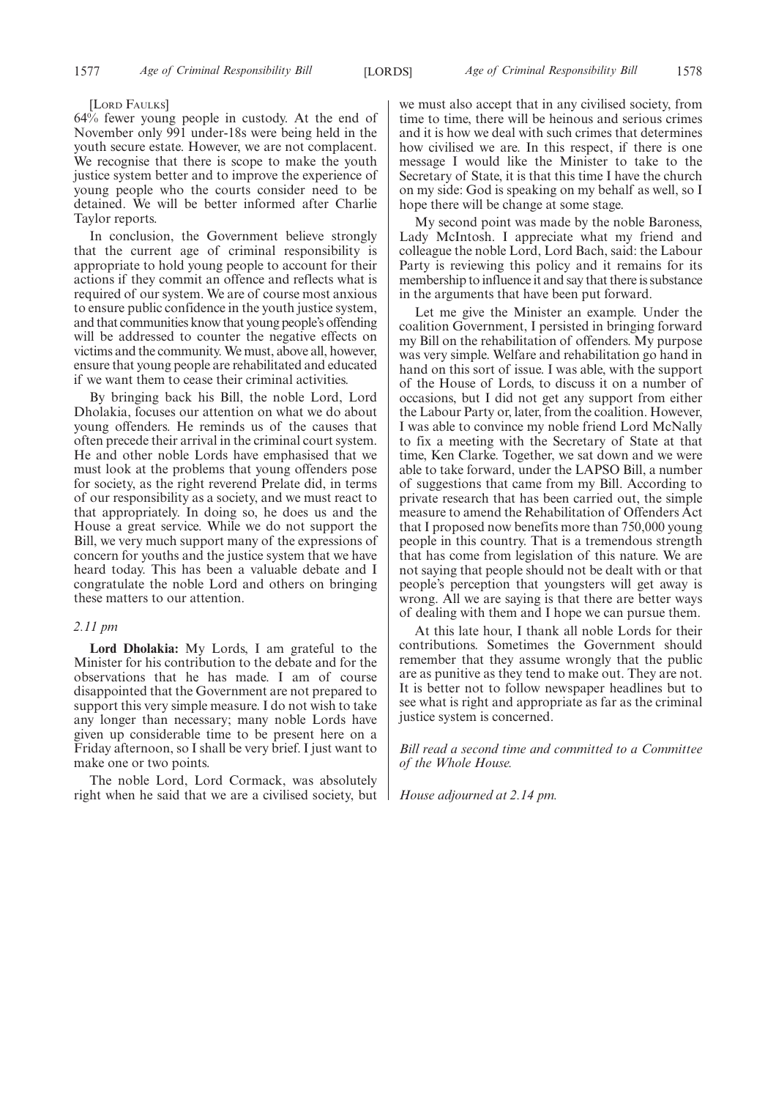#### [LORD FAULKS]

64% fewer young people in custody. At the end of November only 991 under-18s were being held in the youth secure estate. However, we are not complacent. We recognise that there is scope to make the youth justice system better and to improve the experience of young people who the courts consider need to be detained. We will be better informed after Charlie Taylor reports.

In conclusion, the Government believe strongly that the current age of criminal responsibility is appropriate to hold young people to account for their actions if they commit an offence and reflects what is required of our system. We are of course most anxious to ensure public confidence in the youth justice system, and that communities know that young people's offending will be addressed to counter the negative effects on victims and the community.We must, above all, however, ensure that young people are rehabilitated and educated if we want them to cease their criminal activities.

By bringing back his Bill, the noble Lord, Lord Dholakia, focuses our attention on what we do about young offenders. He reminds us of the causes that often precede their arrival in the criminal court system. He and other noble Lords have emphasised that we must look at the problems that young offenders pose for society, as the right reverend Prelate did, in terms of our responsibility as a society, and we must react to that appropriately. In doing so, he does us and the House a great service. While we do not support the Bill, we very much support many of the expressions of concern for youths and the justice system that we have heard today. This has been a valuable debate and I congratulate the noble Lord and others on bringing these matters to our attention.

#### *2.11 pm*

**Lord Dholakia:** My Lords, I am grateful to the Minister for his contribution to the debate and for the observations that he has made. I am of course disappointed that the Government are not prepared to support this very simple measure. I do not wish to take any longer than necessary; many noble Lords have given up considerable time to be present here on a Friday afternoon, so I shall be very brief. I just want to make one or two points.

The noble Lord, Lord Cormack, was absolutely right when he said that we are a civilised society, but we must also accept that in any civilised society, from time to time, there will be heinous and serious crimes and it is how we deal with such crimes that determines how civilised we are. In this respect, if there is one message I would like the Minister to take to the Secretary of State, it is that this time I have the church on my side: God is speaking on my behalf as well, so I hope there will be change at some stage.

My second point was made by the noble Baroness, Lady McIntosh. I appreciate what my friend and colleague the noble Lord, Lord Bach, said: the Labour Party is reviewing this policy and it remains for its membership to influence it and say that there is substance in the arguments that have been put forward.

Let me give the Minister an example. Under the coalition Government, I persisted in bringing forward my Bill on the rehabilitation of offenders. My purpose was very simple. Welfare and rehabilitation go hand in hand on this sort of issue. I was able, with the support of the House of Lords, to discuss it on a number of occasions, but I did not get any support from either the Labour Party or, later, from the coalition. However, I was able to convince my noble friend Lord McNally to fix a meeting with the Secretary of State at that time, Ken Clarke. Together, we sat down and we were able to take forward, under the LAPSO Bill, a number of suggestions that came from my Bill. According to private research that has been carried out, the simple measure to amend the Rehabilitation of Offenders Act that I proposed now benefits more than 750,000 young people in this country. That is a tremendous strength that has come from legislation of this nature. We are not saying that people should not be dealt with or that people's perception that youngsters will get away is wrong. All we are saying is that there are better ways of dealing with them and I hope we can pursue them.

At this late hour, I thank all noble Lords for their contributions. Sometimes the Government should remember that they assume wrongly that the public are as punitive as they tend to make out. They are not. It is better not to follow newspaper headlines but to see what is right and appropriate as far as the criminal justice system is concerned.

*Bill read a second time and committed to a Committee of the Whole House.*

*House adjourned at 2.14 pm.*